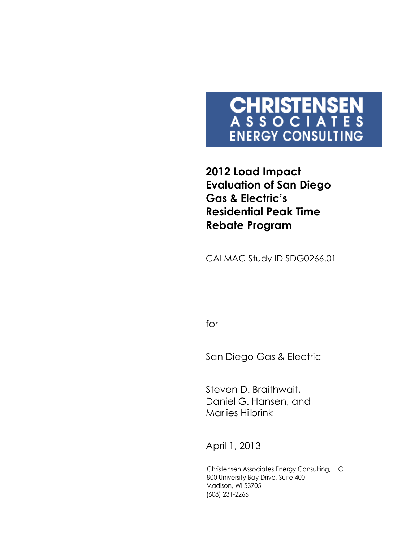# **CHRISTENSEN**<br>ASSOCIATES **ENERGY CONSULTING**

**2012 Load Impact Evaluation of San Diego Gas & Electric's Residential Peak Time Rebate Program** 

CALMAC Study ID SDG0266.01

for

San Diego Gas & Electric

Steven D. Braithwait, Daniel G. Hansen, and Marlies Hilbrink

April 1, 2013

Christensen Associates Energy Consulting, LLC 800 University Bay Drive, Suite 400 Madison, WI 53705 (608) 231-2266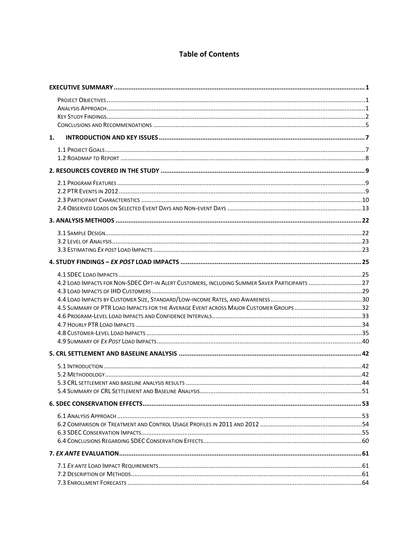## **Table of Contents**

| 1. |                                                                                              |  |
|----|----------------------------------------------------------------------------------------------|--|
|    |                                                                                              |  |
|    |                                                                                              |  |
|    |                                                                                              |  |
|    |                                                                                              |  |
|    |                                                                                              |  |
|    |                                                                                              |  |
|    |                                                                                              |  |
|    |                                                                                              |  |
|    |                                                                                              |  |
|    |                                                                                              |  |
|    |                                                                                              |  |
|    |                                                                                              |  |
|    |                                                                                              |  |
|    | 4.2 LOAD IMPACTS FOR NON-SDEC OPT-IN ALERT CUSTOMERS, INCLUDING SUMMER SAVER PARTICIPANTS 27 |  |
|    |                                                                                              |  |
|    |                                                                                              |  |
|    |                                                                                              |  |
|    |                                                                                              |  |
|    |                                                                                              |  |
|    |                                                                                              |  |
|    |                                                                                              |  |
|    |                                                                                              |  |
|    |                                                                                              |  |
|    |                                                                                              |  |
|    |                                                                                              |  |
|    |                                                                                              |  |
|    |                                                                                              |  |
|    |                                                                                              |  |
|    |                                                                                              |  |
|    |                                                                                              |  |
|    |                                                                                              |  |
|    |                                                                                              |  |
|    |                                                                                              |  |
|    |                                                                                              |  |
|    |                                                                                              |  |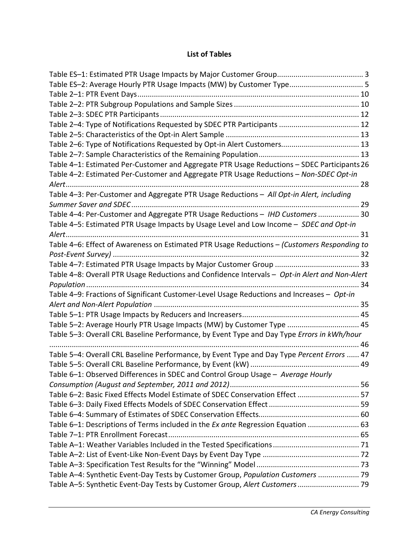## **List of Tables**

| Table ES-2: Average Hourly PTR Usage Impacts (MW) by Customer Type 5                          |  |
|-----------------------------------------------------------------------------------------------|--|
|                                                                                               |  |
|                                                                                               |  |
|                                                                                               |  |
|                                                                                               |  |
|                                                                                               |  |
|                                                                                               |  |
|                                                                                               |  |
| Table 4-1: Estimated Per-Customer and Aggregate PTR Usage Reductions - SDEC Participants 26   |  |
| Table 4-2: Estimated Per-Customer and Aggregate PTR Usage Reductions - Non-SDEC Opt-in        |  |
|                                                                                               |  |
| Table 4-3: Per-Customer and Aggregate PTR Usage Reductions - All Opt-in Alert, including      |  |
|                                                                                               |  |
| Table 4-4: Per-Customer and Aggregate PTR Usage Reductions - IHD Customers  30                |  |
| Table 4-5: Estimated PTR Usage Impacts by Usage Level and Low Income - SDEC and Opt-in        |  |
|                                                                                               |  |
| Table 4-6: Effect of Awareness on Estimated PTR Usage Reductions - (Customers Responding to   |  |
|                                                                                               |  |
|                                                                                               |  |
| Table 4-8: Overall PTR Usage Reductions and Confidence Intervals - Opt-in Alert and Non-Alert |  |
|                                                                                               |  |
| Table 4-9: Fractions of Significant Customer-Level Usage Reductions and Increases - Opt-in    |  |
|                                                                                               |  |
|                                                                                               |  |
| Table 5-2: Average Hourly PTR Usage Impacts (MW) by Customer Type  45                         |  |
| Table 5-3: Overall CRL Baseline Performance, by Event Type and Day Type Errors in kWh/hour    |  |
|                                                                                               |  |
| Table 5-4: Overall CRL Baseline Performance, by Event Type and Day Type Percent Errors  47    |  |
|                                                                                               |  |
| Table 6-1: Observed Differences in SDEC and Control Group Usage - Average Hourly              |  |
|                                                                                               |  |
| Table 6-2: Basic Fixed Effects Model Estimate of SDEC Conservation Effect  57                 |  |
|                                                                                               |  |
|                                                                                               |  |
| Table 6-1: Descriptions of Terms included in the Ex ante Regression Equation  63              |  |
|                                                                                               |  |
|                                                                                               |  |
|                                                                                               |  |
|                                                                                               |  |
| Table A-4: Synthetic Event-Day Tests by Customer Group, Population Customers  79              |  |
| Table A-5: Synthetic Event-Day Tests by Customer Group, Alert Customers 79                    |  |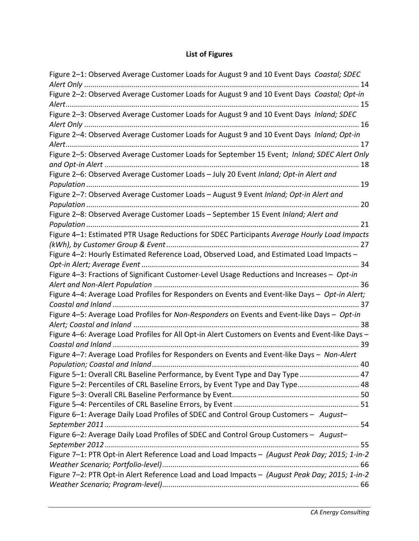# **List of Figures**

| Figure 2-1: Observed Average Customer Loads for August 9 and 10 Event Days Coastal; SDEC         |
|--------------------------------------------------------------------------------------------------|
|                                                                                                  |
| Figure 2-2: Observed Average Customer Loads for August 9 and 10 Event Days Coastal; Opt-in       |
|                                                                                                  |
| Figure 2-3: Observed Average Customer Loads for August 9 and 10 Event Days Inland; SDEC          |
|                                                                                                  |
|                                                                                                  |
|                                                                                                  |
| Figure 2-5: Observed Average Customer Loads for September 15 Event; Inland; SDEC Alert Only      |
|                                                                                                  |
| Figure 2-6: Observed Average Customer Loads - July 20 Event Inland; Opt-in Alert and             |
|                                                                                                  |
| Figure 2-7: Observed Average Customer Loads - August 9 Event Inland; Opt-in Alert and            |
|                                                                                                  |
| Figure 2-8: Observed Average Customer Loads - September 15 Event Inland; Alert and               |
|                                                                                                  |
| Figure 4-1: Estimated PTR Usage Reductions for SDEC Participants Average Hourly Load Impacts     |
|                                                                                                  |
| Figure 4-2: Hourly Estimated Reference Load, Observed Load, and Estimated Load Impacts -         |
|                                                                                                  |
| Figure 4-3: Fractions of Significant Customer-Level Usage Reductions and Increases - Opt-in      |
|                                                                                                  |
| Figure 4-4: Average Load Profiles for Responders on Events and Event-like Days - Opt-in Alert;   |
|                                                                                                  |
| Figure 4-5: Average Load Profiles for Non-Responders on Events and Event-like Days - Opt-in      |
|                                                                                                  |
| Figure 4-6: Average Load Profiles for All Opt-in Alert Customers on Events and Event-like Days - |
|                                                                                                  |
| Figure 4-7: Average Load Profiles for Responders on Events and Event-like Days - Non-Alert       |
|                                                                                                  |
| Figure 5-1: Overall CRL Baseline Performance, by Event Type and Day Type  47                     |
| Figure 5-2: Percentiles of CRL Baseline Errors, by Event Type and Day Type 48                    |
|                                                                                                  |
|                                                                                                  |
| Figure 6-1: Average Daily Load Profiles of SDEC and Control Group Customers - August-            |
|                                                                                                  |
| Figure 6-2: Average Daily Load Profiles of SDEC and Control Group Customers - August-            |
|                                                                                                  |
| Figure 7-1: PTR Opt-in Alert Reference Load and Load Impacts - (August Peak Day; 2015; 1-in-2    |
|                                                                                                  |
| Figure 7-2: PTR Opt-in Alert Reference Load and Load Impacts - (August Peak Day; 2015; 1-in-2    |
|                                                                                                  |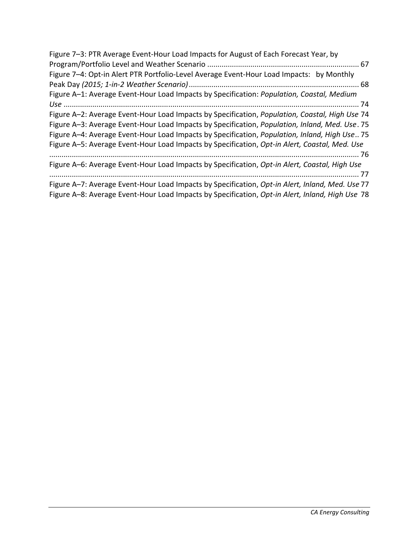| Figure 7-3: PTR Average Event-Hour Load Impacts for August of Each Forecast Year, by                    |
|---------------------------------------------------------------------------------------------------------|
|                                                                                                         |
| Figure 7-4: Opt-in Alert PTR Portfolio-Level Average Event-Hour Load Impacts: by Monthly                |
|                                                                                                         |
| Figure A-1: Average Event-Hour Load Impacts by Specification: Population, Coastal, Medium               |
|                                                                                                         |
| Figure A-2: Average Event-Hour Load Impacts by Specification, Population, Coastal, High Use 74          |
| Figure A-3: Average Event-Hour Load Impacts by Specification, Population, Inland, Med. Use. 75          |
| Figure A-4: Average Event-Hour Load Impacts by Specification, <i>Population, Inland, High Use.</i> . 75 |
| Figure A-5: Average Event-Hour Load Impacts by Specification, Opt-in Alert, Coastal, Med. Use           |
|                                                                                                         |
| Figure A-6: Average Event-Hour Load Impacts by Specification, Opt-in Alert, Coastal, High Use           |
|                                                                                                         |
| Figure A-7: Average Event-Hour Load Impacts by Specification, Opt-in Alert, Inland, Med. Use 77         |
| Figure A-8: Average Event-Hour Load Impacts by Specification, Opt-in Alert, Inland, High Use 78         |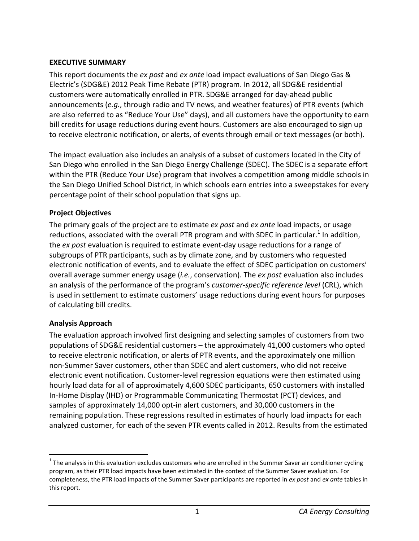## **EXECUTIVE SUMMARY**

This report documents the *ex post* and *ex ante* load impact evaluations of San Diego Gas & Electric's (SDG&E) 2012 Peak Time Rebate (PTR) program. In 2012, all SDG&E residential customers were automatically enrolled in PTR. SDG&E arranged for day-ahead public announcements (*e.g.*, through radio and TV news, and weather features) of PTR events (which are also referred to as "Reduce Your Use" days), and all customers have the opportunity to earn bill credits for usage reductions during event hours. Customers are also encouraged to sign up to receive electronic notification, or alerts, of events through email or text messages (or both).

The impact evaluation also includes an analysis of a subset of customers located in the City of San Diego who enrolled in the San Diego Energy Challenge (SDEC). The SDEC is a separate effort within the PTR (Reduce Your Use) program that involves a competition among middle schools in the San Diego Unified School District, in which schools earn entries into a sweepstakes for every percentage point of their school population that signs up.

## **Project Objectives**

The primary goals of the project are to estimate *ex post* and *ex ante* load impacts, or usage reductions, associated with the overall PTR program and with SDEC in particular.<sup>1</sup> In addition, the *ex post* evaluation is required to estimate event-day usage reductions for a range of subgroups of PTR participants, such as by climate zone, and by customers who requested electronic notification of events, and to evaluate the effect of SDEC participation on customers' overall average summer energy usage (*i.e.*, conservation). The *ex post* evaluation also includes an analysis of the performance of the program's *customer-specific reference level* (CRL), which is used in settlement to estimate customers' usage reductions during event hours for purposes of calculating bill credits.

## **Analysis Approach**

l

The evaluation approach involved first designing and selecting samples of customers from two populations of SDG&E residential customers – the approximately 41,000 customers who opted to receive electronic notification, or alerts of PTR events, and the approximately one million non-Summer Saver customers, other than SDEC and alert customers, who did not receive electronic event notification. Customer-level regression equations were then estimated using hourly load data for all of approximately 4,600 SDEC participants, 650 customers with installed In-Home Display (IHD) or Programmable Communicating Thermostat (PCT) devices, and samples of approximately 14,000 opt-in alert customers, and 30,000 customers in the remaining population. These regressions resulted in estimates of hourly load impacts for each analyzed customer, for each of the seven PTR events called in 2012. Results from the estimated

 $1$  The analysis in this evaluation excludes customers who are enrolled in the Summer Saver air conditioner cycling program, as their PTR load impacts have been estimated in the context of the Summer Saver evaluation. For completeness, the PTR load impacts of the Summer Saver participants are reported in *ex post* and *ex ante* tables in this report.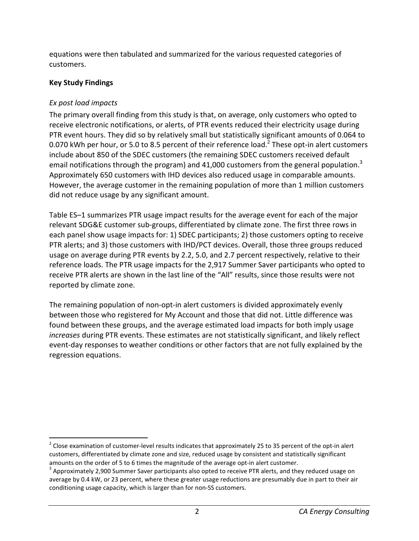equations were then tabulated and summarized for the various requested categories of customers.

## **Key Study Findings**

# *Ex post load impacts*

l

The primary overall finding from this study is that, on average, only customers who opted to receive electronic notifications, or alerts, of PTR events reduced their electricity usage during PTR event hours. They did so by relatively small but statistically significant amounts of 0.064 to 0.070 kWh per hour, or 5.0 to 8.5 percent of their reference load.<sup>2</sup> These opt-in alert customers include about 850 of the SDEC customers (the remaining SDEC customers received default email notifications through the program) and 41,000 customers from the general population.<sup>3</sup> Approximately 650 customers with IHD devices also reduced usage in comparable amounts. However, the average customer in the remaining population of more than 1 million customers did not reduce usage by any significant amount.

Table ES–1 summarizes PTR usage impact results for the average event for each of the major relevant SDG&E customer sub-groups, differentiated by climate zone. The first three rows in each panel show usage impacts for: 1) SDEC participants; 2) those customers opting to receive PTR alerts; and 3) those customers with IHD/PCT devices. Overall, those three groups reduced usage on average during PTR events by 2.2, 5.0, and 2.7 percent respectively, relative to their reference loads. The PTR usage impacts for the 2,917 Summer Saver participants who opted to receive PTR alerts are shown in the last line of the "All" results, since those results were not reported by climate zone.

The remaining population of non-opt-in alert customers is divided approximately evenly between those who registered for My Account and those that did not. Little difference was found between these groups, and the average estimated load impacts for both imply usage *increases* during PTR events. These estimates are not statistically significant, and likely reflect event-day responses to weather conditions or other factors that are not fully explained by the regression equations.

<sup>&</sup>lt;sup>2</sup> Close examination of customer-level results indicates that approximately 25 to 35 percent of the opt-in alert customers, differentiated by climate zone and size, reduced usage by consistent and statistically significant amounts on the order of 5 to 6 times the magnitude of the average opt-in alert customer.

 $3$  Approximately 2,900 Summer Saver participants also opted to receive PTR alerts, and they reduced usage on average by 0.4 kW, or 23 percent, where these greater usage reductions are presumably due in part to their air conditioning usage capacity, which is larger than for non-SS customers.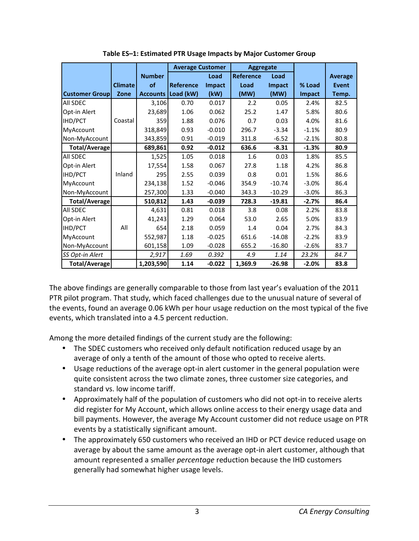|                       |                |                 | <b>Average Customer</b> |               | <b>Aggregate</b> |          |         |                |
|-----------------------|----------------|-----------------|-------------------------|---------------|------------------|----------|---------|----------------|
|                       |                | <b>Number</b>   |                         | Load          | <b>Reference</b> | Load     |         | <b>Average</b> |
|                       | <b>Climate</b> | of              | Reference               | <b>Impact</b> | Load             | Impact   | % Load  | <b>Event</b>   |
| <b>Customer Group</b> | Zone           | <b>Accounts</b> | Load (kW)               | (kW)          | (MW)             | (MW)     | Impact  | Temp.          |
| All SDEC              |                | 3,106           | 0.70                    | 0.017         | 2.2              | 0.05     | 2.4%    | 82.5           |
| Opt-in Alert          |                | 23,689          | 1.06                    | 0.062         | 25.2             | 1.47     | 5.8%    | 80.6           |
| IHD/PCT               | Coastal        | 359             | 1.88                    | 0.076         | 0.7              | 0.03     | 4.0%    | 81.6           |
| MyAccount             |                | 318,849         | 0.93                    | $-0.010$      | 296.7            | $-3.34$  | $-1.1%$ | 80.9           |
| Non-MyAccount         |                | 343,859         | 0.91                    | $-0.019$      | 311.8            | $-6.52$  | $-2.1%$ | 80.8           |
| <b>Total/Average</b>  |                | 689,861         | 0.92                    | $-0.012$      | 636.6            | $-8.31$  | $-1.3%$ | 80.9           |
| All SDEC              |                | 1,525           | 1.05                    | 0.018         | 1.6              | 0.03     | 1.8%    | 85.5           |
| Opt-in Alert          |                | 17,554          | 1.58                    | 0.067         | 27.8             | 1.18     | 4.2%    | 86.8           |
| IHD/PCT               | Inland         | 295             | 2.55                    | 0.039         | 0.8              | 0.01     | 1.5%    | 86.6           |
| MyAccount             |                | 234,138         | 1.52                    | $-0.046$      | 354.9            | $-10.74$ | $-3.0%$ | 86.4           |
| Non-MyAccount         |                | 257,300         | 1.33                    | $-0.040$      | 343.3            | $-10.29$ | $-3.0%$ | 86.3           |
| <b>Total/Average</b>  |                | 510,812         | 1.43                    | $-0.039$      | 728.3            | $-19.81$ | $-2.7%$ | 86.4           |
| All SDEC              |                | 4,631           | 0.81                    | 0.018         | 3.8              | 0.08     | 2.2%    | 83.8           |
| Opt-in Alert          |                | 41,243          | 1.29                    | 0.064         | 53.0             | 2.65     | 5.0%    | 83.9           |
| IHD/PCT               | All            | 654             | 2.18                    | 0.059         | 1.4              | 0.04     | 2.7%    | 84.3           |
| MyAccount             |                | 552,987         | 1.18                    | $-0.025$      | 651.6            | $-14.08$ | $-2.2%$ | 83.9           |
| Non-MyAccount         |                | 601,158         | 1.09                    | $-0.028$      | 655.2            | $-16.80$ | $-2.6%$ | 83.7           |
| SS Opt-in Alert       |                | 2,917           | 1.69                    | 0.392         | 4.9              | 1.14     | 23.2%   | 84.7           |
| <b>Total/Average</b>  |                | 1,203,590       | 1.14                    | $-0.022$      | 1,369.9          | $-26.98$ | $-2.0%$ | 83.8           |

**Table ES–1: Estimated PTR Usage Impacts by Major Customer Group** 

The above findings are generally comparable to those from last year's evaluation of the 2011 PTR pilot program. That study, which faced challenges due to the unusual nature of several of the events, found an average 0.06 kWh per hour usage reduction on the most typical of the five events, which translated into a 4.5 percent reduction.

Among the more detailed findings of the current study are the following:

- The SDEC customers who received only default notification reduced usage by an average of only a tenth of the amount of those who opted to receive alerts.
- Usage reductions of the average opt-in alert customer in the general population were quite consistent across the two climate zones, three customer size categories, and standard vs. low income tariff.
- Approximately half of the population of customers who did not opt-in to receive alerts did register for My Account, which allows online access to their energy usage data and bill payments. However, the average My Account customer did not reduce usage on PTR events by a statistically significant amount.
- The approximately 650 customers who received an IHD or PCT device reduced usage on average by about the same amount as the average opt-in alert customer, although that amount represented a smaller *percentage* reduction because the IHD customers generally had somewhat higher usage levels.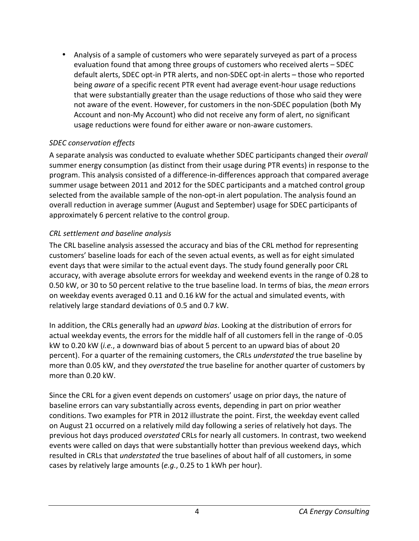• Analysis of a sample of customers who were separately surveyed as part of a process evaluation found that among three groups of customers who received alerts – SDEC default alerts, SDEC opt-in PTR alerts, and non-SDEC opt-in alerts – those who reported being *aware* of a specific recent PTR event had average event-hour usage reductions that were substantially greater than the usage reductions of those who said they were not aware of the event. However, for customers in the non-SDEC population (both My Account and non-My Account) who did not receive any form of alert, no significant usage reductions were found for either aware or non-aware customers.

## *SDEC conservation effects*

A separate analysis was conducted to evaluate whether SDEC participants changed their *overall* summer energy consumption (as distinct from their usage during PTR events) in response to the program. This analysis consisted of a difference-in-differences approach that compared average summer usage between 2011 and 2012 for the SDEC participants and a matched control group selected from the available sample of the non-opt-in alert population. The analysis found an overall reduction in average summer (August and September) usage for SDEC participants of approximately 6 percent relative to the control group.

## *CRL settlement and baseline analysis*

The CRL baseline analysis assessed the accuracy and bias of the CRL method for representing customers' baseline loads for each of the seven actual events, as well as for eight simulated event days that were similar to the actual event days. The study found generally poor CRL accuracy, with average absolute errors for weekday and weekend events in the range of 0.28 to 0.50 kW, or 30 to 50 percent relative to the true baseline load. In terms of bias, the *mean* errors on weekday events averaged 0.11 and 0.16 kW for the actual and simulated events, with relatively large standard deviations of 0.5 and 0.7 kW.

In addition, the CRLs generally had an *upward bias*. Looking at the distribution of errors for actual weekday events, the errors for the middle half of all customers fell in the range of -0.05 kW to 0.20 kW (*i.e.*, a downward bias of about 5 percent to an upward bias of about 20 percent). For a quarter of the remaining customers, the CRLs *understated* the true baseline by more than 0.05 kW, and they *overstated* the true baseline for another quarter of customers by more than 0.20 kW.

Since the CRL for a given event depends on customers' usage on prior days, the nature of baseline errors can vary substantially across events, depending in part on prior weather conditions. Two examples for PTR in 2012 illustrate the point. First, the weekday event called on August 21 occurred on a relatively mild day following a series of relatively hot days. The previous hot days produced *overstated* CRLs for nearly all customers. In contrast, two weekend events were called on days that were substantially hotter than previous weekend days, which resulted in CRLs that *understated* the true baselines of about half of all customers, in some cases by relatively large amounts (*e.g.*, 0.25 to 1 kWh per hour).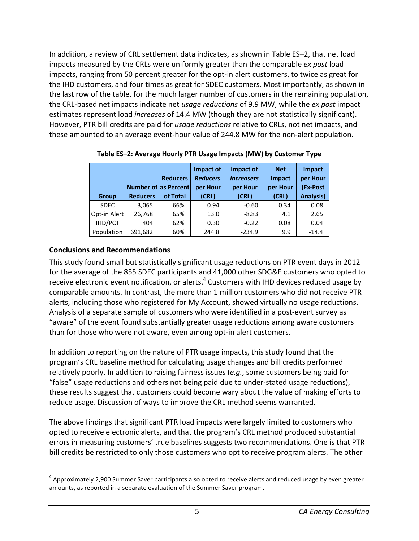In addition, a review of CRL settlement data indicates, as shown in Table ES–2, that net load impacts measured by the CRLs were uniformly greater than the comparable *ex post* load impacts, ranging from 50 percent greater for the opt-in alert customers, to twice as great for the IHD customers, and four times as great for SDEC customers. Most importantly, as shown in the last row of the table, for the much larger number of customers in the remaining population, the CRL-based net impacts indicate net *usage reductions* of 9.9 MW, while the *ex post* impact estimates represent load *increases* of 14.4 MW (though they are not statistically significant). However, PTR bill credits are paid for *usage reductions* relative to CRLs, not net impacts, and these amounted to an average event-hour value of 244.8 MW for the non-alert population.

|              | <b>Number of as Percent</b> | <b>Reducers</b> | Impact of<br><b>Reducers</b><br>per Hour | Impact of<br><b>Increasers</b><br>per Hour | <b>Net</b><br><b>Impact</b><br>per Hour | Impact<br>per Hour<br>(Ex-Post |
|--------------|-----------------------------|-----------------|------------------------------------------|--------------------------------------------|-----------------------------------------|--------------------------------|
| <b>Group</b> | <b>Reducers</b>             | of Total        | (CRL)                                    | (CRL)                                      | (CRL)                                   | <b>Analysis)</b>               |
| <b>SDEC</b>  | 3,065                       | 66%             | 0.94                                     | $-0.60$                                    | 0.34                                    | 0.08                           |
| Opt-in Alert | 26,768                      | 65%             | 13.0                                     | $-8.83$                                    | 4.1                                     | 2.65                           |
| IHD/PCT      | 404                         | 62%             | 0.30                                     | $-0.22$                                    | 0.08                                    | 0.04                           |
| Population   | 691,682                     | 60%             | 244.8                                    | $-234.9$                                   | 9.9                                     | $-14.4$                        |

**Table ES–2: Average Hourly PTR Usage Impacts (MW) by Customer Type** 

# **Conclusions and Recommendations**

l

This study found small but statistically significant usage reductions on PTR event days in 2012 for the average of the 855 SDEC participants and 41,000 other SDG&E customers who opted to receive electronic event notification, or alerts. $4$  Customers with IHD devices reduced usage by comparable amounts. In contrast, the more than 1 million customers who did not receive PTR alerts, including those who registered for My Account, showed virtually no usage reductions. Analysis of a separate sample of customers who were identified in a post-event survey as "aware" of the event found substantially greater usage reductions among aware customers than for those who were not aware, even among opt-in alert customers.

In addition to reporting on the nature of PTR usage impacts, this study found that the program's CRL baseline method for calculating usage changes and bill credits performed relatively poorly. In addition to raising fairness issues (*e.g.*, some customers being paid for "false" usage reductions and others not being paid due to under-stated usage reductions), these results suggest that customers could become wary about the value of making efforts to reduce usage. Discussion of ways to improve the CRL method seems warranted.

The above findings that significant PTR load impacts were largely limited to customers who opted to receive electronic alerts, and that the program's CRL method produced substantial errors in measuring customers' true baselines suggests two recommendations. One is that PTR bill credits be restricted to only those customers who opt to receive program alerts. The other

 $^4$  Approximately 2,900 Summer Saver participants also opted to receive alerts and reduced usage by even greater amounts, as reported in a separate evaluation of the Summer Saver program.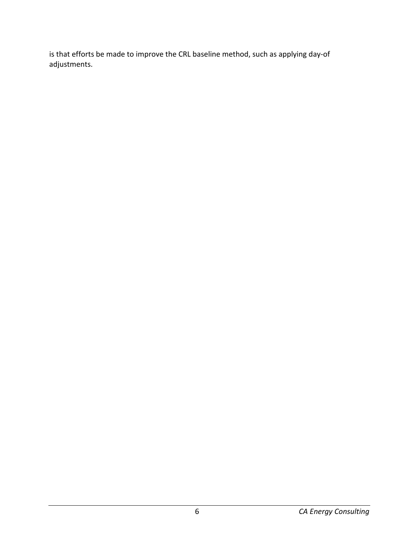is that efforts be made to improve the CRL baseline method, such as applying day-of adjustments.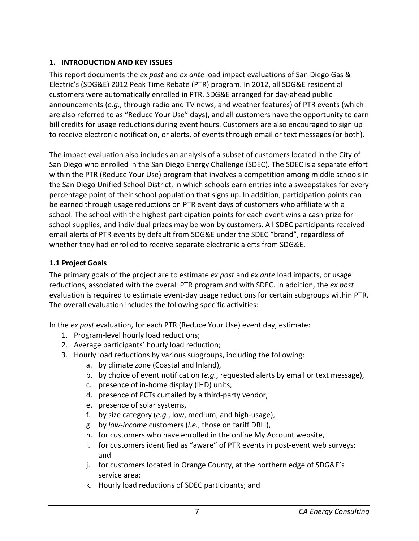# **1. INTRODUCTION AND KEY ISSUES**

This report documents the *ex post* and *ex ante* load impact evaluations of San Diego Gas & Electric's (SDG&E) 2012 Peak Time Rebate (PTR) program. In 2012, all SDG&E residential customers were automatically enrolled in PTR. SDG&E arranged for day-ahead public announcements (*e.g.*, through radio and TV news, and weather features) of PTR events (which are also referred to as "Reduce Your Use" days), and all customers have the opportunity to earn bill credits for usage reductions during event hours. Customers are also encouraged to sign up to receive electronic notification, or alerts, of events through email or text messages (or both).

The impact evaluation also includes an analysis of a subset of customers located in the City of San Diego who enrolled in the San Diego Energy Challenge (SDEC). The SDEC is a separate effort within the PTR (Reduce Your Use) program that involves a competition among middle schools in the San Diego Unified School District, in which schools earn entries into a sweepstakes for every percentage point of their school population that signs up. In addition, participation points can be earned through usage reductions on PTR event days of customers who affiliate with a school. The school with the highest participation points for each event wins a cash prize for school supplies, and individual prizes may be won by customers. All SDEC participants received email alerts of PTR events by default from SDG&E under the SDEC "brand", regardless of whether they had enrolled to receive separate electronic alerts from SDG&E.

# **1.1 Project Goals**

The primary goals of the project are to estimate *ex post* and *ex ante* load impacts, or usage reductions, associated with the overall PTR program and with SDEC. In addition, the *ex post* evaluation is required to estimate event-day usage reductions for certain subgroups within PTR. The overall evaluation includes the following specific activities:

In the *ex post* evaluation, for each PTR (Reduce Your Use) event day, estimate:

- 1. Program-level hourly load reductions;
- 2. Average participants' hourly load reduction;
- 3. Hourly load reductions by various subgroups, including the following:
	- a. by climate zone (Coastal and Inland),
	- b. by choice of event notification (*e.g.*, requested alerts by email or text message),
	- c. presence of in-home display (IHD) units,
	- d. presence of PCTs curtailed by a third-party vendor,
	- e. presence of solar systems,
	- f. by size category (*e.g.*, low, medium, and high-usage),
	- g. by *low-income* customers (*i.e.*, those on tariff DRLI),
	- h. for customers who have enrolled in the online My Account website,
	- i. for customers identified as "aware" of PTR events in post-event web surveys; and
	- j. for customers located in Orange County, at the northern edge of SDG&E's service area;
	- k. Hourly load reductions of SDEC participants; and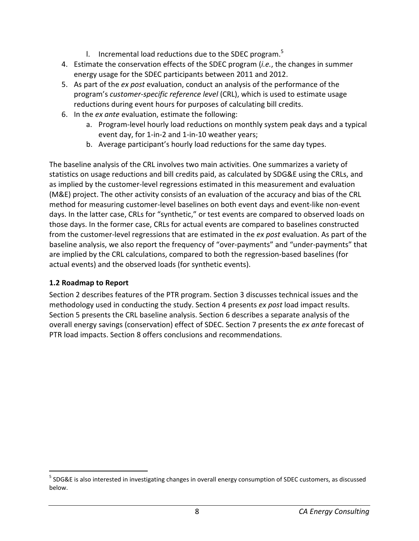- I. Incremental load reductions due to the SDEC program.<sup>5</sup>
- 4. Estimate the conservation effects of the SDEC program (*i.e.*, the changes in summer energy usage for the SDEC participants between 2011 and 2012.
- 5. As part of the *ex post* evaluation, conduct an analysis of the performance of the program's *customer-specific reference level* (CRL), which is used to estimate usage reductions during event hours for purposes of calculating bill credits.
- 6. In the *ex ante* evaluation, estimate the following:
	- a. Program-level hourly load reductions on monthly system peak days and a typical event day, for 1-in-2 and 1-in-10 weather years;
	- b. Average participant's hourly load reductions for the same day types.

The baseline analysis of the CRL involves two main activities. One summarizes a variety of statistics on usage reductions and bill credits paid, as calculated by SDG&E using the CRLs, and as implied by the customer-level regressions estimated in this measurement and evaluation (M&E) project. The other activity consists of an evaluation of the accuracy and bias of the CRL method for measuring customer-level baselines on both event days and event-like non-event days. In the latter case, CRLs for "synthetic," or test events are compared to observed loads on those days. In the former case, CRLs for actual events are compared to baselines constructed from the customer-level regressions that are estimated in the *ex post* evaluation. As part of the baseline analysis, we also report the frequency of "over-payments" and "under-payments" that are implied by the CRL calculations, compared to both the regression-based baselines (for actual events) and the observed loads (for synthetic events).

## **1.2 Roadmap to Report**

l

Section 2 describes features of the PTR program. Section 3 discusses technical issues and the methodology used in conducting the study. Section 4 presents *ex post* load impact results. Section 5 presents the CRL baseline analysis. Section 6 describes a separate analysis of the overall energy savings (conservation) effect of SDEC. Section 7 presents the *ex ante* forecast of PTR load impacts. Section 8 offers conclusions and recommendations.

<sup>&</sup>lt;sup>5</sup> SDG&E is also interested in investigating changes in overall energy consumption of SDEC customers, as discussed below.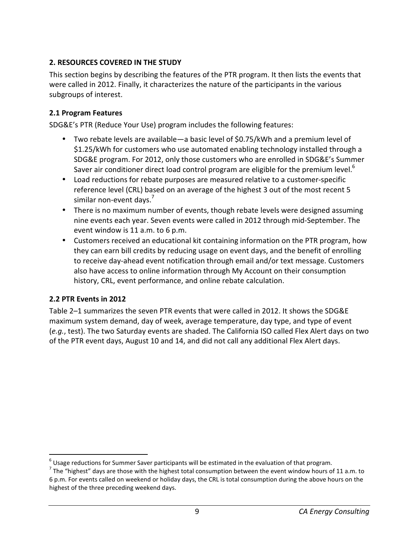# **2. RESOURCES COVERED IN THE STUDY**

This section begins by describing the features of the PTR program. It then lists the events that were called in 2012. Finally, it characterizes the nature of the participants in the various subgroups of interest.

## **2.1 Program Features**

SDG&E's PTR (Reduce Your Use) program includes the following features:

- Two rebate levels are available—a basic level of \$0.75/kWh and a premium level of \$1.25/kWh for customers who use automated enabling technology installed through a SDG&E program. For 2012, only those customers who are enrolled in SDG&E's Summer Saver air conditioner direct load control program are eligible for the premium level. $6$
- Load reductions for rebate purposes are measured relative to a customer-specific reference level (CRL) based on an average of the highest 3 out of the most recent 5 similar non-event days.<sup>7</sup>
- There is no maximum number of events, though rebate levels were designed assuming nine events each year. Seven events were called in 2012 through mid-September. The event window is 11 a.m. to 6 p.m.
- Customers received an educational kit containing information on the PTR program, how they can earn bill credits by reducing usage on event days, and the benefit of enrolling to receive day-ahead event notification through email and/or text message. Customers also have access to online information through My Account on their consumption history, CRL, event performance, and online rebate calculation.

## **2.2 PTR Events in 2012**

.

Table 2–1 summarizes the seven PTR events that were called in 2012. It shows the SDG&E maximum system demand, day of week, average temperature, day type, and type of event (*e.g.*, test). The two Saturday events are shaded. The California ISO called Flex Alert days on two of the PTR event days, August 10 and 14, and did not call any additional Flex Alert days.

 $^6$  Usage reductions for Summer Saver participants will be estimated in the evaluation of that program.

<sup>&</sup>lt;sup>7</sup> The "highest" days are those with the highest total consumption between the event window hours of 11 a.m. to 6 p.m. For events called on weekend or holiday days, the CRL is total consumption during the above hours on the highest of the three preceding weekend days.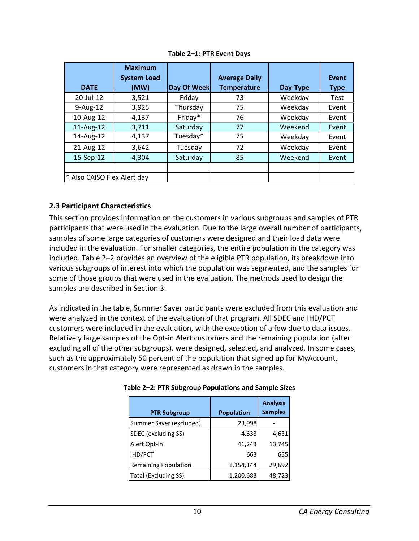|                             | <b>Maximum</b>     |             |                      |          |             |
|-----------------------------|--------------------|-------------|----------------------|----------|-------------|
|                             | <b>System Load</b> |             | <b>Average Daily</b> |          | Event       |
| <b>DATE</b>                 | (MW)               | Day Of Week | <b>Temperature</b>   | Day-Type | <b>Type</b> |
| 20-Jul-12                   | 3,521              | Friday      | 73                   | Weekday  | Test        |
| $9-Aug-12$                  | 3,925              | Thursday    | 75                   | Weekday  | Event       |
| 10-Aug-12                   | 4,137              | Friday*     | 76                   | Weekday  | Event       |
| 11-Aug-12                   | 3,711              | Saturday    | 77                   | Weekend  | Event       |
| 14-Aug-12                   | 4,137              | Tuesday*    | 75                   | Weekday  | Event       |
| 21-Aug-12                   | 3,642              | Tuesday     | 72                   | Weekday  | Event       |
| 15-Sep-12                   | 4,304              | Saturday    | 85                   | Weekend  | Event       |
|                             |                    |             |                      |          |             |
| * Also CAISO Flex Alert day |                    |             |                      |          |             |

**Table 2–1: PTR Event Days** 

## **2.3 Participant Characteristics**

This section provides information on the customers in various subgroups and samples of PTR participants that were used in the evaluation. Due to the large overall number of participants, samples of some large categories of customers were designed and their load data were included in the evaluation. For smaller categories, the entire population in the category was included. Table 2–2 provides an overview of the eligible PTR population, its breakdown into various subgroups of interest into which the population was segmented, and the samples for some of those groups that were used in the evaluation. The methods used to design the samples are described in Section 3.

As indicated in the table, Summer Saver participants were excluded from this evaluation and were analyzed in the context of the evaluation of that program. All SDEC and IHD/PCT customers were included in the evaluation, with the exception of a few due to data issues. Relatively large samples of the Opt-in Alert customers and the remaining population (after excluding all of the other subgroups), were designed, selected, and analyzed. In some cases, such as the approximately 50 percent of the population that signed up for MyAccount, customers in that category were represented as drawn in the samples.

| <b>PTR Subgroup</b>         | <b>Population</b> | <b>Analysis</b><br><b>Samples</b> |
|-----------------------------|-------------------|-----------------------------------|
| Summer Saver (excluded)     | 23,998            |                                   |
| SDEC (excluding SS)         | 4,633             | 4,631                             |
| Alert Opt-in                | 41,243            | 13,745                            |
| <b>IHD/PCT</b>              | 663               | 655                               |
| <b>Remaining Population</b> | 1,154,144         | 29,692                            |
| <b>Total (Excluding SS)</b> | 1,200,683         | 48,723                            |

| Table 2-2: PTR Subgroup Populations and Sample Sizes |  |
|------------------------------------------------------|--|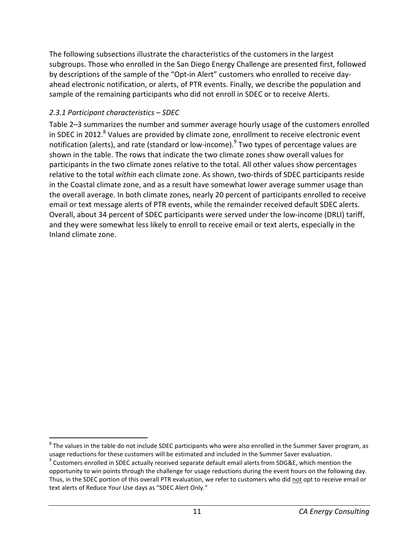The following subsections illustrate the characteristics of the customers in the largest subgroups. Those who enrolled in the San Diego Energy Challenge are presented first, followed by descriptions of the sample of the "Opt-in Alert" customers who enrolled to receive dayahead electronic notification, or alerts, of PTR events. Finally, we describe the population and sample of the remaining participants who did not enroll in SDEC or to receive Alerts.

## *2.3.1 Participant characteristics – SDEC*

l

Table 2–3 summarizes the number and summer average hourly usage of the customers enrolled in SDEC in 2012. $8$  Values are provided by climate zone, enrollment to receive electronic event notification (alerts), and rate (standard or low-income).<sup>9</sup> Two types of percentage values are shown in the table. The rows that indicate the two climate zones show overall values for participants in the two climate zones relative to the total. All other values show percentages relative to the total *within* each climate zone. As shown, two-thirds of SDEC participants reside in the Coastal climate zone, and as a result have somewhat lower average summer usage than the overall average. In both climate zones, nearly 20 percent of participants enrolled to receive email or text message alerts of PTR events, while the remainder received default SDEC alerts. Overall, about 34 percent of SDEC participants were served under the low-income (DRLI) tariff, and they were somewhat less likely to enroll to receive email or text alerts, especially in the Inland climate zone.

 $^8$  The values in the table do not include SDEC participants who were also enrolled in the Summer Saver program, as usage reductions for these customers will be estimated and included in the Summer Saver evaluation.

 $9$  Customers enrolled in SDEC actually received separate default email alerts from SDG&E, which mention the opportunity to win points through the challenge for usage reductions during the event hours on the following day. Thus, in the SDEC portion of this overall PTR evaluation, we refer to customers who did not opt to receive email or text alerts of Reduce Your Use days as "SDEC Alert Only."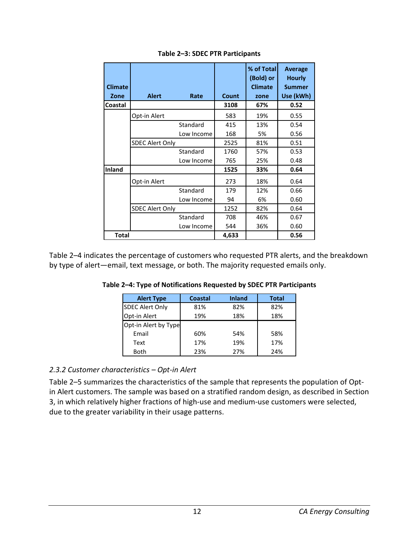| <b>Climate</b><br>Zone | <b>Alert</b>           | Rate       | Count | % of Total<br>(Bold) or<br><b>Climate</b><br>zone | Average<br><b>Hourly</b><br><b>Summer</b><br>Use (kWh) |
|------------------------|------------------------|------------|-------|---------------------------------------------------|--------------------------------------------------------|
| Coastal                |                        |            | 3108  | 67%                                               | 0.52                                                   |
|                        | Opt-in Alert           |            | 583   | 19%                                               | 0.55                                                   |
|                        |                        | Standard   | 415   | 13%                                               | 0.54                                                   |
|                        |                        | Low Income | 168   | 5%                                                | 0.56                                                   |
|                        | <b>SDEC Alert Only</b> |            | 2525  | 81%                                               | 0.51                                                   |
|                        |                        | Standard   | 1760  | 57%                                               | 0.53                                                   |
|                        |                        | Low Income | 765   | 25%                                               | 0.48                                                   |
| <b>Inland</b>          |                        |            | 1525  | 33%                                               | 0.64                                                   |
|                        | Opt-in Alert           |            | 273   | 18%                                               | 0.64                                                   |
|                        |                        | Standard   | 179   | 12%                                               | 0.66                                                   |
|                        |                        | Low Income | 94    | 6%                                                | 0.60                                                   |
|                        | <b>SDEC Alert Only</b> |            | 1252  | 82%                                               | 0.64                                                   |
|                        |                        | Standard   | 708   | 46%                                               | 0.67                                                   |
|                        |                        | Low Income | 544   | 36%                                               | 0.60                                                   |
| <b>Total</b>           |                        |            | 4,633 |                                                   | 0.56                                                   |

#### **Table 2–3: SDEC PTR Participants**

Table 2–4 indicates the percentage of customers who requested PTR alerts, and the breakdown by type of alert—email, text message, or both. The majority requested emails only.

| <b>Alert Type</b>      | Coastal | <b>Inland</b> | <b>Total</b> |
|------------------------|---------|---------------|--------------|
| <b>SDEC Alert Only</b> | 81%     | 82%           | 82%          |
| Opt-in Alert           | 19%     | 18%           | 18%          |
| Opt-in Alert by Type   |         |               |              |
| Email                  | 60%     | 54%           | 58%          |
| Text                   | 17%     | 19%           | 17%          |
| <b>Both</b>            | 23%     | 27%           | 24%          |

**Table 2–4: Type of Notifications Requested by SDEC PTR Participants** 

#### *2.3.2 Customer characteristics – Opt-in Alert*

Table 2–5 summarizes the characteristics of the sample that represents the population of Optin Alert customers. The sample was based on a stratified random design, as described in Section 3, in which relatively higher fractions of high-use and medium-use customers were selected, due to the greater variability in their usage patterns.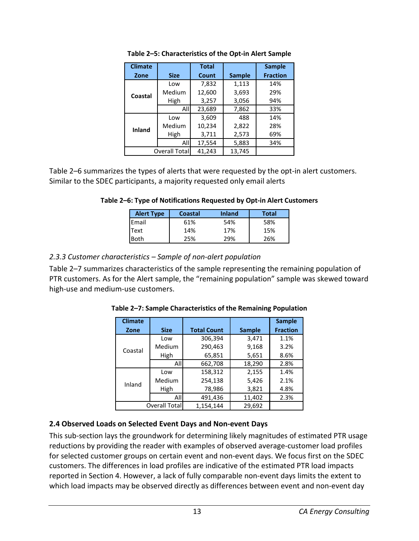| <b>Climate</b> |                      | <b>Total</b> |               | <b>Sample</b>   |
|----------------|----------------------|--------------|---------------|-----------------|
| Zone           | <b>Size</b>          | Count        | <b>Sample</b> | <b>Fraction</b> |
|                | Low                  | 7,832        | 1,113         | 14%             |
| Coastal        | Medium               | 12,600       | 3,693         | 29%             |
|                | High                 | 3,257        | 3,056         | 94%             |
|                | All                  | 23,689       | 7,862         | 33%             |
|                | Low                  | 3,609        | 488           | 14%             |
| Inland         | Medium               | 10,234       | 2,822         | 28%             |
|                | High                 | 3,711        | 2,573         | 69%             |
|                | All                  | 17,554       | 5,883         | 34%             |
|                | <b>Overall Total</b> | 41,243       | 13,745        |                 |

**Table 2–5: Characteristics of the Opt-in Alert Sample** 

Table 2–6 summarizes the types of alerts that were requested by the opt-in alert customers. Similar to the SDEC participants, a majority requested only email alerts

#### **Table 2–6: Type of Notifications Requested by Opt-in Alert Customers**

| <b>Alert Type</b> | Coastal | <b>Inland</b> | <b>Total</b> |
|-------------------|---------|---------------|--------------|
| Email             | 61%     | 54%           | 58%          |
| <b>Text</b>       | 14%     | 17%           | 15%          |
| <b>Both</b>       | 25%     | 29%           | 26%          |

## *2.3.3 Customer characteristics – Sample of non-alert population*

Table 2–7 summarizes characteristics of the sample representing the remaining population of PTR customers. As for the Alert sample, the "remaining population" sample was skewed toward high-use and medium-use customers.

| <b>Climate</b> |               |                    |               | <b>Sample</b>   |
|----------------|---------------|--------------------|---------------|-----------------|
| Zone           | <b>Size</b>   | <b>Total Count</b> | <b>Sample</b> | <b>Fraction</b> |
|                | Low           | 306,394            | 3,471         | 1.1%            |
| Coastal        | Medium        | 290,463            | 9,168         | 3.2%            |
|                | High          | 65,851             | 5,651         | 8.6%            |
|                | Alll          | 662,708            | 18,290        | 2.8%            |
|                | Low           | 158,312            | 2,155         | 1.4%            |
| Inland         | Medium        | 254,138            | 5,426         | 2.1%            |
|                | High          | 78,986             | 3,821         | 4.8%            |
|                | All           | 491,436            | 11,402        | 2.3%            |
|                | Overall Total | 1,154,144          | 29,692        |                 |

**Table 2–7: Sample Characteristics of the Remaining Population** 

## **2.4 Observed Loads on Selected Event Days and Non-event Days**

This sub-section lays the groundwork for determining likely magnitudes of estimated PTR usage reductions by providing the reader with examples of observed average-customer load profiles for selected customer groups on certain event and non-event days. We focus first on the SDEC customers. The differences in load profiles are indicative of the estimated PTR load impacts reported in Section 4. However, a lack of fully comparable non-event days limits the extent to which load impacts may be observed directly as differences between event and non-event day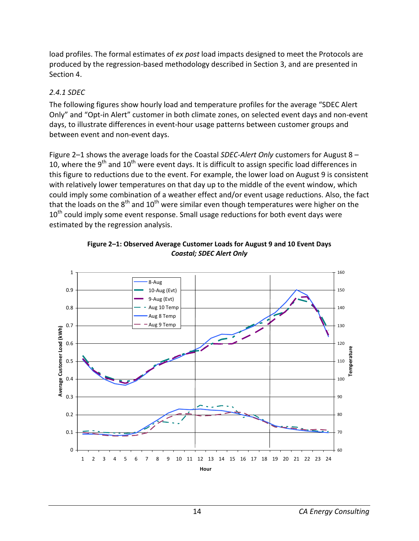load profiles. The formal estimates of *ex post* load impacts designed to meet the Protocols are produced by the regression-based methodology described in Section 3, and are presented in Section 4.

### *2.4.1 SDEC*

The following figures show hourly load and temperature profiles for the average "SDEC Alert Only" and "Opt-in Alert" customer in both climate zones, on selected event days and non-event days, to illustrate differences in event-hour usage patterns between customer groups and between event and non-event days.

Figure 2–1 shows the average loads for the Coastal *SDEC-Alert Only* customers for August 8 – 10, where the 9<sup>th</sup> and 10<sup>th</sup> were event days. It is difficult to assign specific load differences in this figure to reductions due to the event. For example, the lower load on August 9 is consistent with relatively lower temperatures on that day up to the middle of the event window, which could imply some combination of a weather effect and/or event usage reductions. Also, the fact that the loads on the  $8<sup>th</sup>$  and  $10<sup>th</sup>$  were similar even though temperatures were higher on the  $10<sup>th</sup>$  could imply some event response. Small usage reductions for both event days were estimated by the regression analysis.



**Figure 2–1: Observed Average Customer Loads for August 9 and 10 Event Days**  *Coastal; SDEC Alert Only*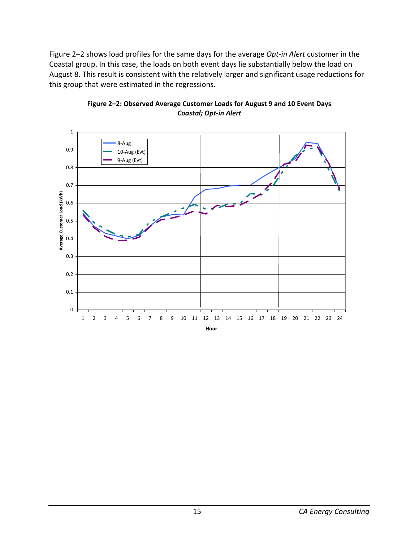Figure 2–2 shows load profiles for the same days for the average *Opt-in Alert* customer in the Coastal group. In this case, the loads on both event days lie substantially below the load on August 8. This result is consistent with the relatively larger and significant usage reductions for this group that were estimated in the regressions.



#### **Figure 2–2: Observed Average Customer Loads for August 9 and 10 Event Days**  *Coastal; Opt-in Alert*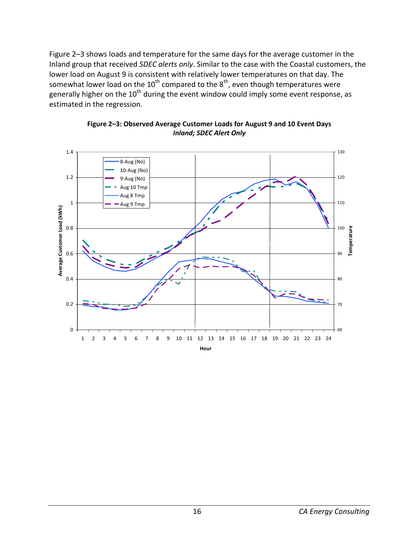Figure 2–3 shows loads and temperature for the same days for the average customer in the Inland group that received *SDEC alerts only*. Similar to the case with the Coastal customers, the lower load on August 9 is consistent with relatively lower temperatures on that day. The somewhat lower load on the 10<sup>th</sup> compared to the 8<sup>th</sup>, even though temperatures were generally higher on the 10<sup>th</sup> during the event window could imply some event response, as estimated in the regression.



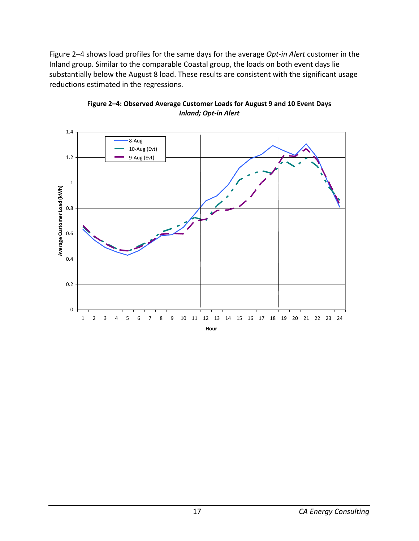Figure 2–4 shows load profiles for the same days for the average *Opt-in Alert* customer in the Inland group. Similar to the comparable Coastal group, the loads on both event days lie substantially below the August 8 load. These results are consistent with the significant usage reductions estimated in the regressions.



**Figure 2–4: Observed Average Customer Loads for August 9 and 10 Event Days**  *Inland; Opt-in Alert*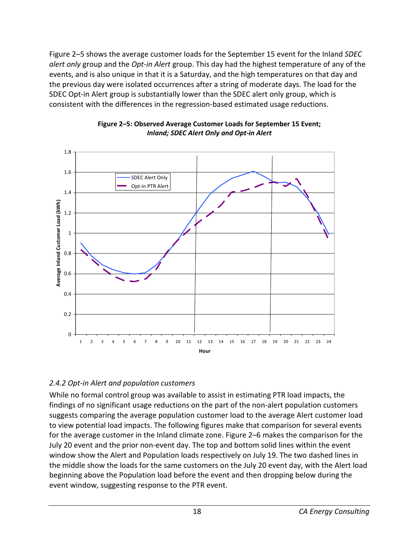Figure 2–5 shows the average customer loads for the September 15 event for the Inland *SDEC alert only* group and the *Opt-in Alert* group. This day had the highest temperature of any of the events, and is also unique in that it is a Saturday, and the high temperatures on that day and the previous day were isolated occurrences after a string of moderate days. The load for the SDEC Opt-in Alert group is substantially lower than the SDEC alert only group, which is consistent with the differences in the regression-based estimated usage reductions.





## *2.4.2 Opt-in Alert and population customers*

While no formal control group was available to assist in estimating PTR load impacts, the findings of no significant usage reductions on the part of the non-alert population customers suggests comparing the average population customer load to the average Alert customer load to view potential load impacts. The following figures make that comparison for several events for the average customer in the Inland climate zone. Figure 2–6 makes the comparison for the July 20 event and the prior non-event day. The top and bottom solid lines within the event window show the Alert and Population loads respectively on July 19. The two dashed lines in the middle show the loads for the same customers on the July 20 event day, with the Alert load beginning above the Population load before the event and then dropping below during the event window, suggesting response to the PTR event.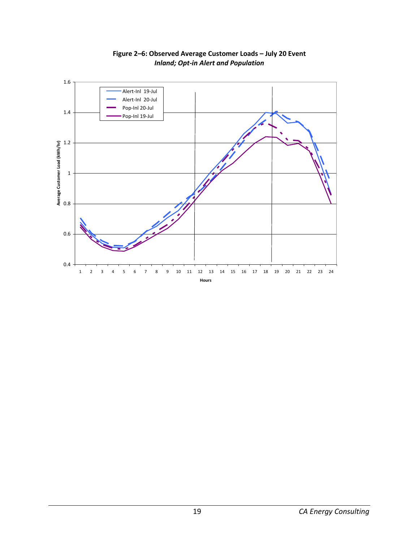

**Figure 2–6: Observed Average Customer Loads – July 20 Event**  *Inland; Opt-in Alert and Population*

**Hours**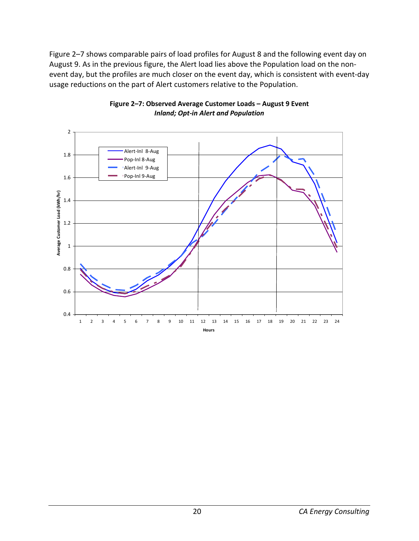Figure 2–7 shows comparable pairs of load profiles for August 8 and the following event day on August 9. As in the previous figure, the Alert load lies above the Population load on the nonevent day, but the profiles are much closer on the event day, which is consistent with event-day usage reductions on the part of Alert customers relative to the Population.



#### **Figure 2–7: Observed Average Customer Loads – August 9 Event**  *Inland; Opt-in Alert and Population*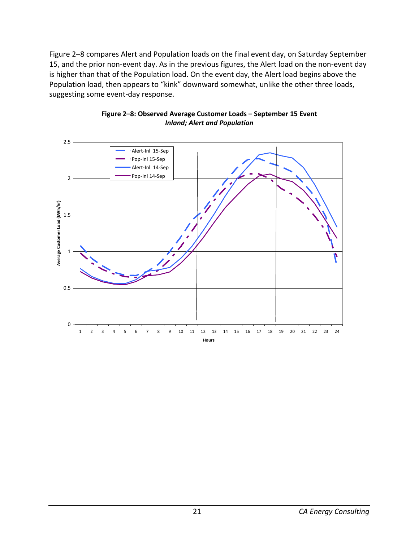Figure 2–8 compares Alert and Population loads on the final event day, on Saturday September 15, and the prior non-event day. As in the previous figures, the Alert load on the non-event day is higher than that of the Population load. On the event day, the Alert load begins above the Population load, then appears to "kink" downward somewhat, unlike the other three loads, suggesting some event-day response.



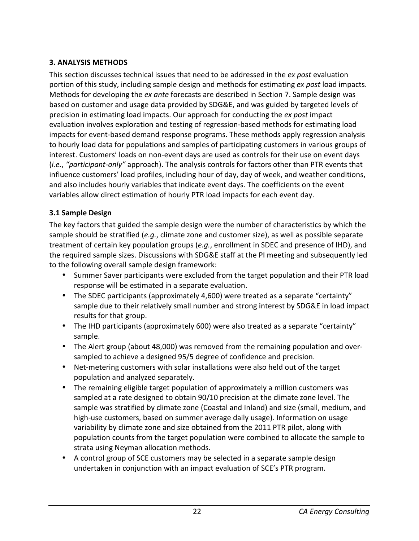# **3. ANALYSIS METHODS**

This section discusses technical issues that need to be addressed in the *ex post* evaluation portion of this study, including sample design and methods for estimating *ex post* load impacts. Methods for developing the *ex ante* forecasts are described in Section 7. Sample design was based on customer and usage data provided by SDG&E, and was guided by targeted levels of precision in estimating load impacts. Our approach for conducting the *ex post* impact evaluation involves exploration and testing of regression-based methods for estimating load impacts for event-based demand response programs. These methods apply regression analysis to hourly load data for populations and samples of participating customers in various groups of interest. Customers' loads on non-event days are used as controls for their use on event days (*i.e.*, *"participant-only"* approach). The analysis controls for factors other than PTR events that influence customers' load profiles, including hour of day, day of week, and weather conditions, and also includes hourly variables that indicate event days. The coefficients on the event variables allow direct estimation of hourly PTR load impacts for each event day.

## **3.1 Sample Design**

The key factors that guided the sample design were the number of characteristics by which the sample should be stratified (*e.g.*, climate zone and customer size), as well as possible separate treatment of certain key population groups (*e.g.*, enrollment in SDEC and presence of IHD), and the required sample sizes. Discussions with SDG&E staff at the PI meeting and subsequently led to the following overall sample design framework:

- Summer Saver participants were excluded from the target population and their PTR load response will be estimated in a separate evaluation.
- The SDEC participants (approximately 4,600) were treated as a separate "certainty" sample due to their relatively small number and strong interest by SDG&E in load impact results for that group.
- The IHD participants (approximately 600) were also treated as a separate "certainty" sample.
- The Alert group (about 48,000) was removed from the remaining population and oversampled to achieve a designed 95/5 degree of confidence and precision.
- Net-metering customers with solar installations were also held out of the target population and analyzed separately.
- The remaining eligible target population of approximately a million customers was sampled at a rate designed to obtain 90/10 precision at the climate zone level. The sample was stratified by climate zone (Coastal and Inland) and size (small, medium, and high-use customers, based on summer average daily usage). Information on usage variability by climate zone and size obtained from the 2011 PTR pilot, along with population counts from the target population were combined to allocate the sample to strata using Neyman allocation methods.
- A control group of SCE customers may be selected in a separate sample design undertaken in conjunction with an impact evaluation of SCE's PTR program.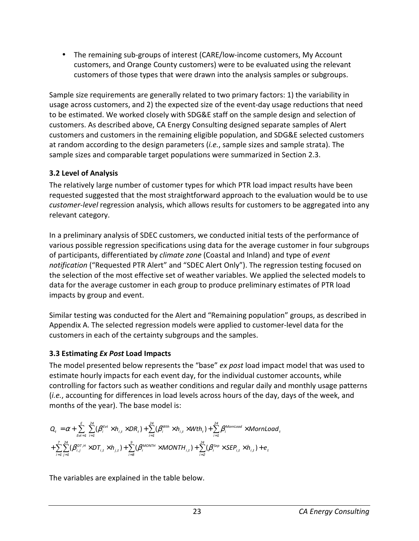• The remaining sub-groups of interest (CARE/low-income customers, My Account customers, and Orange County customers) were to be evaluated using the relevant customers of those types that were drawn into the analysis samples or subgroups.

Sample size requirements are generally related to two primary factors: 1) the variability in usage across customers, and 2) the expected size of the event-day usage reductions that need to be estimated. We worked closely with SDG&E staff on the sample design and selection of customers. As described above, CA Energy Consulting designed separate samples of Alert customers and customers in the remaining eligible population, and SDG&E selected customers at random according to the design parameters (*i.e.*, sample sizes and sample strata). The sample sizes and comparable target populations were summarized in Section 2.3.

## **3.2 Level of Analysis**

The relatively large number of customer types for which PTR load impact results have been requested suggested that the most straightforward approach to the evaluation would be to use *customer-level* regression analysis, which allows results for customers to be aggregated into any relevant category.

In a preliminary analysis of SDEC customers, we conducted initial tests of the performance of various possible regression specifications using data for the average customer in four subgroups of participants, differentiated by *climate zone* (Coastal and Inland) and type of *event notification* ("Requested PTR Alert" and "SDEC Alert Only"). The regression testing focused on the selection of the most effective set of weather variables. We applied the selected models to data for the average customer in each group to produce preliminary estimates of PTR load impacts by group and event.

Similar testing was conducted for the Alert and "Remaining population" groups, as described in Appendix A. The selected regression models were applied to customer-level data for the customers in each of the certainty subgroups and the samples.

# **3.3 Estimating** *Ex Post* **Load Impacts**

The model presented below represents the "base" *ex post* load impact model that was used to estimate hourly impacts for each event day, for the individual customer accounts, while controlling for factors such as weather conditions and regular daily and monthly usage patterns (*i.e.*, accounting for differences in load levels across hours of the day, days of the week, and months of the year). The base model is:

$$
\begin{aligned} &\boldsymbol{Q}_{t}=\boldsymbol{\alpha}+\sum_{\ell\leq t-1}^{\ell}\sum_{i=1}^{24}(\boldsymbol{\beta}_{i}^{\ell\leq t}\times\boldsymbol{h}_{i,t}\times\boldsymbol{D}\boldsymbol{R}_{t})+\sum_{i=1}^{24}(\boldsymbol{\beta}_{i}^{\text{Wth}}\times\boldsymbol{h}_{i,t}\times\boldsymbol{W}\boldsymbol{t}\boldsymbol{h}_{t})+\sum_{i=1}^{24}\boldsymbol{\beta}_{i}^{\text{Mornload}}\times\boldsymbol{MornLoad}_{t}\\ &+\sum_{i=1}^{7}\sum_{j=1}^{24}(\boldsymbol{\beta}_{i,j}^{\text{DT},H}\times\boldsymbol{D}\boldsymbol{T}_{i,t}\times\boldsymbol{h}_{j,t})+\sum_{i=8}^{9}(\boldsymbol{\beta}_{i}^{\text{MONTH}}\times\boldsymbol{MONTH}_{i,t})+\sum_{i=2}^{24}(\boldsymbol{\beta}_{i}^{\text{Sep}}\times\boldsymbol{SEP}_{i,t}\times\boldsymbol{h}_{i,t})+\boldsymbol{e}_{t}\end{aligned}
$$

The variables are explained in the table below.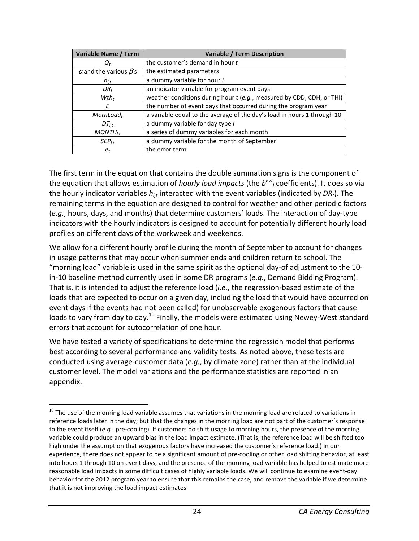| <b>Variable Name / Term</b>         | <b>Variable / Term Description</b>                                      |
|-------------------------------------|-------------------------------------------------------------------------|
|                                     | the customer's demand in hour t                                         |
| $\alpha$ and the various $\beta$ 's | the estimated parameters                                                |
| $h_{i,t}$                           | a dummy variable for hour i                                             |
| $DR_t$                              | an indicator variable for program event days                            |
| $Wth_t$                             | weather conditions during hour t (e.g., measured by CDD, CDH, or THI)   |
| F                                   | the number of event days that occurred during the program year          |
| $MornLoad_t$                        | a variable equal to the average of the day's load in hours 1 through 10 |
| $DT_{i.t.}$                         | a dummy variable for day type i                                         |
| $MONTH_{i,t}$                       | a series of dummy variables for each month                              |
| $\mathsf{SEP}_{i.t}$                | a dummy variable for the month of September                             |
| $e_t$                               | the error term.                                                         |

The first term in the equation that contains the double summation signs is the component of the equation that allows estimation of *hourly load impacts* (the *b Evt i* coefficients). It does so via the hourly indicator variables *hi,t* interacted with the event variables (indicated by *DRt*). The remaining terms in the equation are designed to control for weather and other periodic factors (*e.g.*, hours, days, and months) that determine customers' loads. The interaction of day-type indicators with the hourly indicators is designed to account for potentially different hourly load profiles on different days of the workweek and weekends.

We allow for a different hourly profile during the month of September to account for changes in usage patterns that may occur when summer ends and children return to school. The "morning load" variable is used in the same spirit as the optional day-of adjustment to the 10 in-10 baseline method currently used in some DR programs (*e.g.*, Demand Bidding Program). That is, it is intended to adjust the reference load (*i.e.*, the regression-based estimate of the loads that are expected to occur on a given day, including the load that would have occurred on event days if the events had not been called) for unobservable exogenous factors that cause loads to vary from day to day.<sup>10</sup> Finally, the models were estimated using Newey-West standard errors that account for autocorrelation of one hour.

We have tested a variety of specifications to determine the regression model that performs best according to several performance and validity tests. As noted above, these tests are conducted using average-customer data (*e.g.*, by climate zone) rather than at the individual customer level. The model variations and the performance statistics are reported in an appendix.

l

 $10$  The use of the morning load variable assumes that variations in the morning load are related to variations in reference loads later in the day; but that the changes in the morning load are not part of the customer's response to the event itself (*e.g.*, pre-cooling). If customers do shift usage to morning hours, the presence of the morning variable could produce an upward bias in the load impact estimate. (That is, the reference load will be shifted too high under the assumption that exogenous factors have increased the customer's reference load.) In our experience, there does not appear to be a significant amount of pre-cooling or other load shifting behavior, at least into hours 1 through 10 on event days, and the presence of the morning load variable has helped to estimate more reasonable load impacts in some difficult cases of highly variable loads. We will continue to examine event-day behavior for the 2012 program year to ensure that this remains the case, and remove the variable if we determine that it is not improving the load impact estimates.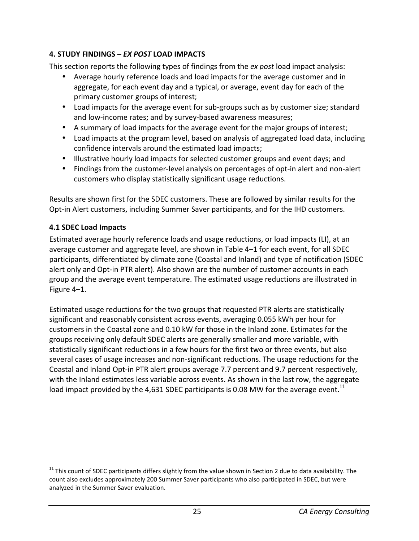## **4. STUDY FINDINGS –** *EX POST* **LOAD IMPACTS**

This section reports the following types of findings from the *ex post* load impact analysis:

- Average hourly reference loads and load impacts for the average customer and in aggregate, for each event day and a typical, or average, event day for each of the primary customer groups of interest;
- Load impacts for the average event for sub-groups such as by customer size; standard and low-income rates; and by survey-based awareness measures;
- A summary of load impacts for the average event for the major groups of interest;
- Load impacts at the program level, based on analysis of aggregated load data, including confidence intervals around the estimated load impacts;
- Illustrative hourly load impacts for selected customer groups and event days; and
- Findings from the customer-level analysis on percentages of opt-in alert and non-alert customers who display statistically significant usage reductions.

Results are shown first for the SDEC customers. These are followed by similar results for the Opt-in Alert customers, including Summer Saver participants, and for the IHD customers.

# **4.1 SDEC Load Impacts**

l

Estimated average hourly reference loads and usage reductions, or load impacts (LI), at an average customer and aggregate level, are shown in Table 4–1 for each event, for all SDEC participants, differentiated by climate zone (Coastal and Inland) and type of notification (SDEC alert only and Opt-in PTR alert). Also shown are the number of customer accounts in each group and the average event temperature. The estimated usage reductions are illustrated in Figure 4–1.

Estimated usage reductions for the two groups that requested PTR alerts are statistically significant and reasonably consistent across events, averaging 0.055 kWh per hour for customers in the Coastal zone and 0.10 kW for those in the Inland zone. Estimates for the groups receiving only default SDEC alerts are generally smaller and more variable, with statistically significant reductions in a few hours for the first two or three events, but also several cases of usage increases and non-significant reductions. The usage reductions for the Coastal and Inland Opt-in PTR alert groups average 7.7 percent and 9.7 percent respectively, with the Inland estimates less variable across events. As shown in the last row, the aggregate load impact provided by the 4,631 SDEC participants is 0.08 MW for the average event.<sup>11</sup>

 $11$  This count of SDEC participants differs slightly from the value shown in Section 2 due to data availability. The count also excludes approximately 200 Summer Saver participants who also participated in SDEC, but were analyzed in the Summer Saver evaluation.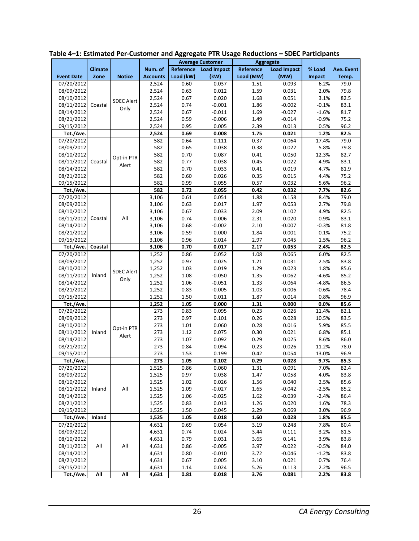|                         |                |                   |                 |           | <b>Average Customer</b><br>Aggregate |           |                    |         |            |
|-------------------------|----------------|-------------------|-----------------|-----------|--------------------------------------|-----------|--------------------|---------|------------|
|                         | <b>Climate</b> |                   | Num. of         |           | Reference Load Impact                | Reference | <b>Load Impact</b> | % Load  | Ave. Event |
| <b>Event Date</b>       | Zone           | <b>Notice</b>     | <b>Accounts</b> | Load (kW) | (kW)                                 | Load (MW) | (MW)               | Impact  | Temp.      |
| 07/20/2012              |                |                   | 2,524           | 0.60      | 0.037                                | 1.51      | 0.093              | 6.2%    | 79.0       |
| 08/09/2012              |                |                   | 2,524           | 0.63      | 0.012                                | 1.59      | 0.031              | 2.0%    | 79.8       |
| 08/10/2012              |                | <b>SDEC Alert</b> | 2,524           | 0.67      | 0.020                                | 1.68      | 0.051              | 3.1%    | 82.5       |
| 08/11/2012              | Coastal        | Only              | 2,524           | 0.74      | $-0.001$                             | 1.86      | $-0.002$           | $-0.1%$ | 83.1       |
| 08/14/2012              |                |                   | 2,524           | 0.67      | $-0.011$                             | 1.69      | $-0.027$           | $-1.6%$ | 81.7       |
| 08/21/2012              |                |                   | 2,524           | 0.59      | $-0.006$                             | 1.49      | $-0.014$           | $-0.9%$ | 75.2       |
| 09/15/2012              |                |                   | 2,524           | 0.95      | 0.005                                | 2.39      | 0.013              | 0.5%    | 96.2       |
| Tot./Ave.               |                |                   | 2,524           | 0.69      | 0.008                                | 1.75      | 0.021              | 1.2%    | 82.5       |
| 07/20/2012              |                |                   | 582             | 0.64      | 0.111                                | 0.37      | 0.064              | 17.4%   | 79.0       |
| 08/09/2012              |                |                   | 582             | 0.65      | 0.038                                | 0.38      | 0.022              | 5.8%    | 79.8       |
| 08/10/2012              |                | Opt-in PTR        | 582             | 0.70      | 0.087                                | 0.41      | 0.050              | 12.3%   | 82.7       |
| 08/11/2012              | Coastal        | Alert             | 582             | 0.77      | 0.038                                | 0.45      | 0.022              | 4.9%    | 83.1       |
| 08/14/2012              |                |                   | 582             | 0.70      | 0.033                                | 0.41      | 0.019              | 4.7%    | 81.9       |
| 08/21/2012              |                |                   | 582             | 0.60      | 0.026                                | 0.35      | 0.015              | 4.4%    | 75.2       |
| 09/15/2012              |                |                   | 582             | 0.99      | 0.055                                | 0.57      | 0.032              | 5.6%    | 96.2       |
| Tot./Ave.               |                |                   | 582             | 0.72      | 0.055                                | 0.42      | 0.032              | 7.7%    | 82.6       |
| 07/20/2012              |                |                   | 3,106           | 0.61      | 0.051                                | 1.88      | 0.158              | 8.4%    | 79.0       |
| 08/09/2012              |                |                   | 3,106           | 0.63      | 0.017                                | 1.97      | 0.053              | 2.7%    | 79.8       |
| 08/10/2012              |                |                   | 3,106           | 0.67      | 0.033                                | 2.09      | 0.102              | 4.9%    | 82.5       |
| 08/11/2012              | Coastal        | All               | 3,106           | 0.74      | 0.006                                | 2.31      | 0.020              | 0.9%    | 83.1       |
| 08/14/2012              |                |                   | 3,106           | 0.68      | $-0.002$                             | 2.10      | $-0.007$           | $-0.3%$ | 81.8       |
| 08/21/2012              |                |                   | 3,106           | 0.59      | 0.000                                | 1.84      | 0.001              | 0.1%    | 75.2       |
| 09/15/2012              |                |                   | 3,106           | 0.96      | 0.014                                | 2.97      | 0.045              | 1.5%    | 96.2       |
| Tot./Ave.               | Coastal        |                   | 3,106           | 0.70      | 0.017                                | 2.17      | 0.053              | 2.4%    | 82.5       |
| 07/20/2012              |                |                   | 1,252           | 0.86      | 0.052                                | 1.08      | 0.065              | 6.0%    | 82.5       |
| 08/09/2012              |                |                   | 1,252           | 0.97      | 0.025                                | 1.21      | 0.031              | 2.5%    | 83.8       |
| 08/10/2012              |                | <b>SDEC Alert</b> | 1,252           | 1.03      | 0.019                                | 1.29      | 0.023              | 1.8%    | 85.6       |
| 08/11/2012              | Inland         | Only              | 1,252           | 1.08      | $-0.050$                             | 1.35      | $-0.062$           | $-4.6%$ | 85.2       |
| 08/14/2012              |                |                   | 1,252           | 1.06      | $-0.051$                             | 1.33      | $-0.064$           | $-4.8%$ | 86.5       |
| 08/21/2012              |                |                   | 1,252           | 0.83      | $-0.005$                             | 1.03      | $-0.006$           | $-0.6%$ | 78.4       |
| 09/15/2012              |                |                   | 1,252           | 1.50      | 0.011                                | 1.87      | 0.014              | 0.8%    | 96.9       |
| Tot./Ave.               |                |                   | 1,252           | 1.05      | 0.000                                | 1.31      | 0.000              | 0.0%    | 85.6       |
| 07/20/2012              |                |                   | 273             | 0.83      | 0.095                                | 0.23      | 0.026              | 11.4%   | 82.1       |
| 08/09/2012              |                |                   | 273             | 0.97      | 0.101                                | 0.26      | 0.028              | 10.5%   | 83.5       |
| 08/10/2012              |                | Opt-in PTR        | 273             | 1.01      | 0.060                                | 0.28      | 0.016              | 5.9%    | 85.5       |
| 08/11/2012              | Inland         | Alert             | 273             | 1.12      | 0.075                                | 0.30      | 0.021              | 6.8%    | 85.1       |
| 08/14/2012              |                |                   | 273             | 1.07      | 0.092                                | 0.29      | 0.025              | 8.6%    | 86.0       |
| 08/21/2012              |                |                   | 273             | 0.84      | 0.094                                | 0.23      | 0.026              | 11.2%   | 78.0       |
| 09/15/2012              |                |                   | 273             | 1.53      | 0.199                                | 0.42      | 0.054              | 13.0%   | 96.9       |
| Tot./Ave.               |                |                   | 273             | 1.05      | 0.102                                | 0.29      | 0.028              | 9.7%    | 85.3       |
| $\overline{07/20/2012}$ |                |                   | 1,525           | 0.86      | 0.060                                | 1.31      | 0.091              | 7.0%    | 82.4       |
| 08/09/2012              |                |                   | 1,525           | 0.97      | 0.038                                | 1.47      | 0.058              | 4.0%    | 83.8       |
| 08/10/2012              |                |                   | 1,525           | 1.02      | 0.026                                | 1.56      | 0.040              | 2.5%    | 85.6       |
| 08/11/2012              | Inland         | All               | 1,525           | 1.09      | $-0.027$                             | 1.65      | $-0.042$           | $-2.5%$ | 85.2       |
| 08/14/2012              |                |                   | 1,525           | 1.06      | $-0.025$                             | 1.62      | $-0.039$           | $-2.4%$ | 86.4       |
| 08/21/2012              |                |                   | 1,525           | 0.83      | 0.013                                | 1.26      | 0.020              | 1.6%    | 78.3       |
| 09/15/2012              |                |                   | 1,525           | 1.50      | 0.045                                | 2.29      | 0.069              | 3.0%    | 96.9       |
| Tot./Ave.               | Inland         |                   | 1,525           | 1.05      | 0.018                                | 1.60      | 0.028              | 1.8%    | 85.5       |
| 07/20/2012              |                |                   | 4,631           | 0.69      | 0.054                                | 3.19      | 0.248              | 7.8%    | 80.4       |
| 08/09/2012              |                |                   | 4,631           | 0.74      | 0.024                                | 3.44      | 0.111              | 3.2%    | 81.5       |
| 08/10/2012              |                |                   | 4,631           | 0.79      | 0.031                                | 3.65      | 0.141              | 3.9%    | 83.8       |
| 08/11/2012              | All            | All               | 4,631           | 0.86      | $-0.005$                             | 3.97      | $-0.022$           | $-0.5%$ | 84.0       |
| 08/14/2012              |                |                   | 4,631           | 0.80      | $-0.010$                             | 3.72      | $-0.046$           | $-1.2%$ | 83.8       |
| 08/21/2012              |                |                   | 4,631           | 0.67      | 0.005                                | 3.10      | 0.021              | 0.7%    | 76.4       |
| 09/15/2012              |                |                   | 4,631           | 1.14      | 0.024                                | 5.26      | 0.113              | 2.2%    | 96.5       |
| Tot./Ave.               | All            | All               | 4,631           | 0.81      | 0.018                                | 3.76      | 0.081              | 2.2%    | 83.8       |

**Table 4–1: Estimated Per-Customer and Aggregate PTR Usage Reductions – SDEC Participants**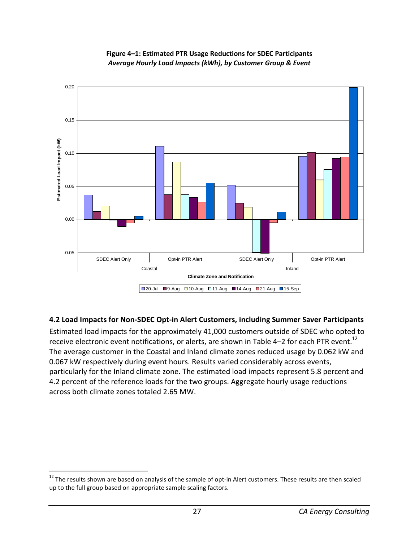

#### **Figure 4–1: Estimated PTR Usage Reductions for SDEC Participants**  *Average Hourly Load Impacts (kWh), by Customer Group & Event*

## **4.2 Load Impacts for Non-SDEC Opt-in Alert Customers, including Summer Saver Participants**

Estimated load impacts for the approximately 41,000 customers outside of SDEC who opted to receive electronic event notifications, or alerts, are shown in Table 4–2 for each PTR event.<sup>12</sup> The average customer in the Coastal and Inland climate zones reduced usage by 0.062 kW and 0.067 kW respectively during event hours. Results varied considerably across events, particularly for the Inland climate zone. The estimated load impacts represent 5.8 percent and 4.2 percent of the reference loads for the two groups. Aggregate hourly usage reductions across both climate zones totaled 2.65 MW.

.

 $12$  The results shown are based on analysis of the sample of opt-in Alert customers. These results are then scaled up to the full group based on appropriate sample scaling factors.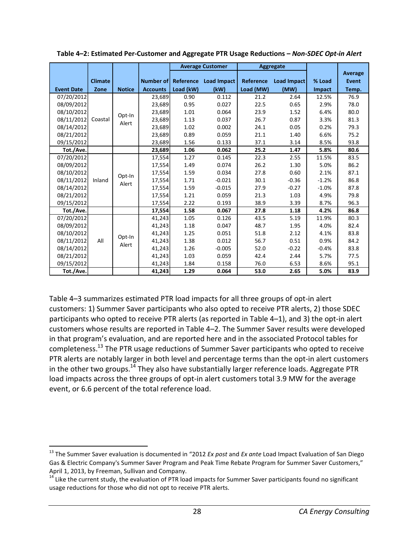|                   |                |                 |                 | <b>Average Customer</b> |                       | Aggregate |             |               |              |      |
|-------------------|----------------|-----------------|-----------------|-------------------------|-----------------------|-----------|-------------|---------------|--------------|------|
|                   |                |                 |                 |                         |                       |           |             |               | Average      |      |
|                   | <b>Climate</b> |                 | Number of       |                         | Reference Load Impact | Reference | Load Impact | % Load        | <b>Event</b> |      |
| <b>Event Date</b> | Zone           | <b>Notice</b>   | <b>Accounts</b> | Load (kW)               | (kW)                  | Load (MW) | (MW)        | <b>Impact</b> | Temp.        |      |
| 07/20/2012        |                |                 | 23,689          | 0.90                    | 0.112                 | 21.2      | 2.64        | 12.5%         | 76.9         |      |
| 08/09/2012        |                |                 | 23,689          | 0.95                    | 0.027                 | 22.5      | 0.65        | 2.9%          | 78.0         |      |
| 08/10/2012        |                | Opt-In          | 23,689          | 1.01                    | 0.064                 | 23.9      | 1.52        | 6.4%          | 80.0         |      |
| 08/11/2012        | Coastal        | Alert           | 23,689          | 1.13                    | 0.037                 | 26.7      | 0.87        | 3.3%          | 81.3         |      |
| 08/14/2012        |                |                 | 23,689          | 1.02                    | 0.002                 | 24.1      | 0.05        | 0.2%          | 79.3         |      |
| 08/21/2012        |                |                 | 23,689          | 0.89                    | 0.059                 | 21.1      | 1.40        | 6.6%          | 75.2         |      |
| 09/15/2012        |                |                 | 23,689          | 1.56                    | 0.133                 | 37.1      | 3.14        | 8.5%          | 93.8         |      |
| Tot./Ave.         |                |                 | 23,689          | 1.06                    | 0.062                 | 25.2      | 1.47        | 5.8%          | 80.6         |      |
| 07/20/2012        |                |                 |                 | 17,554                  | 1.27                  | 0.145     | 22.3        | 2.55          | 11.5%        | 83.5 |
| 08/09/2012        |                |                 | 17,554          | 1.49                    | 0.074                 | 26.2      | 1.30        | 5.0%          | 86.2         |      |
| 08/10/2012        |                | Opt-In<br>Alert | 17,554          | 1.59                    | 0.034                 | 27.8      | 0.60        | 2.1%          | 87.1         |      |
| 08/11/2012        | Inland         |                 | 17,554          | 1.71                    | $-0.021$              | 30.1      | $-0.36$     | $-1.2%$       | 86.8         |      |
| 08/14/2012        |                |                 | 17,554          | 1.59                    | $-0.015$              | 27.9      | $-0.27$     | $-1.0%$       | 87.8         |      |
| 08/21/2012        |                |                 | 17,554          | 1.21                    | 0.059                 | 21.3      | 1.03        | 4.9%          | 79.8         |      |
| 09/15/2012        |                |                 | 17,554          | 2.22                    | 0.193                 | 38.9      | 3.39        | 8.7%          | 96.3         |      |
| Tot./Ave.         |                |                 | 17,554          | 1.58                    | 0.067                 | 27.8      | 1.18        | 4.2%          | 86.8         |      |
| 07/20/2012        |                |                 | 41,243          | 1.05                    | 0.126                 | 43.5      | 5.19        | 11.9%         | 80.3         |      |
| 08/09/2012        |                |                 | 41,243          | 1.18                    | 0.047                 | 48.7      | 1.95        | 4.0%          | 82.4         |      |
| 08/10/2012        |                | Opt-In          | 41,243          | 1.25                    | 0.051                 | 51.8      | 2.12        | 4.1%          | 83.8         |      |
| 08/11/2012        | All<br>Alert   |                 | 41,243          | 1.38                    | 0.012                 | 56.7      | 0.51        | 0.9%          | 84.2         |      |
| 08/14/2012        |                |                 | 41,243          | 1.26                    | $-0.005$              | 52.0      | $-0.22$     | $-0.4%$       | 83.8         |      |
| 08/21/2012        |                |                 | 41,243          | 1.03                    | 0.059                 | 42.4      | 2.44        | 5.7%          | 77.5         |      |
| 09/15/2012        |                |                 | 41,243          | 1.84                    | 0.158                 | 76.0      | 6.53        | 8.6%          | 95.1         |      |
| Tot./Ave.         |                |                 | 41,243          | 1.29                    | 0.064                 | 53.0      | 2.65        | 5.0%          | 83.9         |      |

**Table 4–2: Estimated Per-Customer and Aggregate PTR Usage Reductions –** *Non-SDEC Opt-in Alert* 

Table 4–3 summarizes estimated PTR load impacts for all three groups of opt-in alert customers: 1) Summer Saver participants who also opted to receive PTR alerts, 2) those SDEC participants who opted to receive PTR alerts (as reported in Table 4–1), and 3) the opt-in alert customers whose results are reported in Table 4–2. The Summer Saver results were developed in that program's evaluation, and are reported here and in the associated Protocol tables for completeness.<sup>13</sup> The PTR usage reductions of Summer Saver participants who opted to receive PTR alerts are notably larger in both level and percentage terms than the opt-in alert customers in the other two groups.<sup>14</sup> They also have substantially larger reference loads. Aggregate PTR load impacts across the three groups of opt-in alert customers total 3.9 MW for the average event, or 6.6 percent of the total reference load.

l

<sup>13</sup> The Summer Saver evaluation is documented in "2012 *Ex post* and *Ex ante* Load Impact Evaluation of San Diego Gas & Electric Company's Summer Saver Program and Peak Time Rebate Program for Summer Saver Customers," April 1, 2013, by Freeman, Sullivan and Company.

 $14$  Like the current study, the evaluation of PTR load impacts for Summer Saver participants found no significant usage reductions for those who did not opt to receive PTR alerts.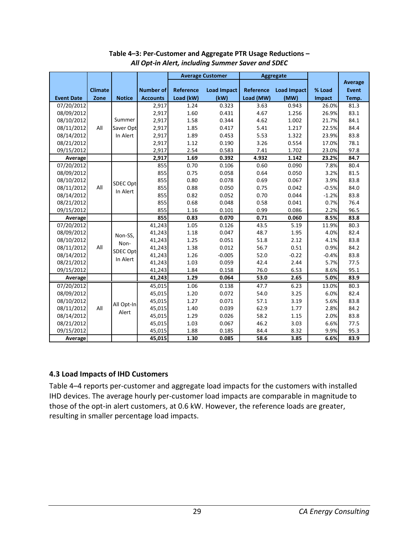|                   |                |               |                  |           | <b>Average Customer</b> |           | <b>Aggregate</b> |               |              |
|-------------------|----------------|---------------|------------------|-----------|-------------------------|-----------|------------------|---------------|--------------|
|                   |                |               |                  |           |                         |           |                  |               | Average      |
|                   | <b>Climate</b> |               | <b>Number of</b> | Reference | <b>Load Impact</b>      | Reference | Load Impact      | % Load        | <b>Event</b> |
| <b>Event Date</b> | Zone           | <b>Notice</b> | <b>Accounts</b>  | Load (kW) | (kW)                    | Load (MW) | (MW)             | <b>Impact</b> | Temp.        |
| 07/20/2012        |                |               | 2,917            | 1.24      | 0.323                   | 3.63      | 0.943            | 26.0%         | 81.3         |
| 08/09/2012        |                |               | 2,917            | 1.60      | 0.431                   | 4.67      | 1.256            | 26.9%         | 83.1         |
| 08/10/2012        |                | Summer        | 2,917            | 1.58      | 0.344                   | 4.62      | 1.002            | 21.7%         | 84.1         |
| 08/11/2012        | All            | Saver Opt     | 2,917            | 1.85      | 0.417                   | 5.41      | 1.217            | 22.5%         | 84.4         |
| 08/14/2012        |                | In Alert      | 2,917            | 1.89      | 0.453                   | 5.53      | 1.322            | 23.9%         | 83.8         |
| 08/21/2012        |                |               | 2,917            | 1.12      | 0.190                   | 3.26      | 0.554            | 17.0%         | 78.1         |
| 09/15/2012        |                |               | 2,917            | 2.54      | 0.583                   | 7.41      | 1.702            | 23.0%         | 97.8         |
| Average           |                |               | 2,917            | 1.69      | 0.392                   | 4.932     | 1.142            | 23.2%         | 84.7         |
| 07/20/2012        |                |               | 855              | 0.70      | 0.106                   | 0.60      | 0.090            | 7.8%          | 80.4         |
| 08/09/2012        |                |               | 855              | 0.75      | 0.058                   | 0.64      | 0.050            | 3.2%          | 81.5         |
| 08/10/2012        |                | SDEC Opt-     | 855              | 0.80      | 0.078                   | 0.69      | 0.067            | 3.9%          | 83.8         |
| 08/11/2012        | All            | In Alert      | 855              | 0.88      | 0.050                   | 0.75      | 0.042            | $-0.5%$       | 84.0         |
| 08/14/2012        |                |               | 855              | 0.82      | 0.052                   | 0.70      | 0.044            | $-1.2%$       | 83.8         |
| 08/21/2012        |                |               | 855              | 0.68      | 0.048                   | 0.58      | 0.041            | 0.7%          | 76.4         |
| 09/15/2012        |                |               | 855              | 1.16      | 0.101                   | 0.99      | 0.086            | 2.2%          | 96.5         |
| Average           |                |               | 855              | 0.83      | 0.070                   | 0.71      | 0.060            | 8.5%          | 83.8         |
| 07/20/2012        |                |               | 41,243           | 1.05      | 0.126                   | 43.5      | 5.19             | 11.9%         | 80.3         |
| 08/09/2012        |                | Non-SS,       | 41,243           | 1.18      | 0.047                   | 48.7      | 1.95             | 4.0%          | 82.4         |
| 08/10/2012        |                | Non-          | 41,243           | 1.25      | 0.051                   | 51.8      | 2.12             | 4.1%          | 83.8         |
| 08/11/2012        | All            | SDEC Opt-     | 41,243           | 1.38      | 0.012                   | 56.7      | 0.51             | 0.9%          | 84.2         |
| 08/14/2012        |                | In Alert      | 41,243           | 1.26      | $-0.005$                | 52.0      | $-0.22$          | $-0.4%$       | 83.8         |
| 08/21/2012        |                |               | 41,243           | 1.03      | 0.059                   | 42.4      | 2.44             | 5.7%          | 77.5         |
| 09/15/2012        |                |               | 41,243           | 1.84      | 0.158                   | 76.0      | 6.53             | 8.6%          | 95.1         |
| Average           |                |               | 41,243           | 1.29      | 0.064                   | 53.0      | 2.65             | 5.0%          | 83.9         |
| 07/20/2012        |                |               | 45,015           | 1.06      | 0.138                   | 47.7      | 6.23             | 13.0%         | 80.3         |
| 08/09/2012        |                |               | 45,015           | 1.20      | 0.072                   | 54.0      | 3.25             | 6.0%          | 82.4         |
| 08/10/2012        |                | All Opt-In    | 45,015           | 1.27      | 0.071                   | 57.1      | 3.19             | 5.6%          | 83.8         |
| 08/11/2012        | All            | Alert         | 45,015           | 1.40      | 0.039                   | 62.9      | 1.77             | 2.8%          | 84.2         |
| 08/14/2012        |                |               | 45,015           | 1.29      | 0.026                   | 58.2      | 1.15             | 2.0%          | 83.8         |
| 08/21/2012        |                |               | 45,015           | 1.03      | 0.067                   | 46.2      | 3.03             | 6.6%          | 77.5         |
| 09/15/2012        |                |               | 45,015           | 1.88      | 0.185                   | 84.4      | 8.32             | 9.9%          | 95.3         |
| Average           |                |               | 45,015           | 1.30      | 0.085                   | 58.6      | 3.85             | 6.6%          | 83.9         |

#### **Table 4–3: Per-Customer and Aggregate PTR Usage Reductions –**  *All Opt-in Alert, including Summer Saver and SDEC*

## **4.3 Load Impacts of IHD Customers**

Table 4–4 reports per-customer and aggregate load impacts for the customers with installed IHD devices. The average hourly per-customer load impacts are comparable in magnitude to those of the opt-in alert customers, at 0.6 kW. However, the reference loads are greater, resulting in smaller percentage load impacts.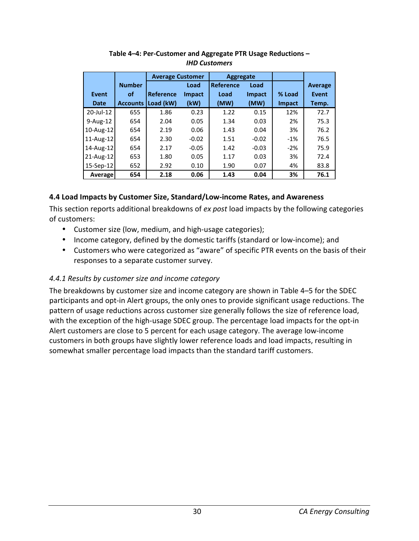|              |                 | <b>Average Customer</b> |               | <b>Aggregate</b> |               |               |                |
|--------------|-----------------|-------------------------|---------------|------------------|---------------|---------------|----------------|
|              | <b>Number</b>   |                         | Load          | <b>Reference</b> | Load          |               | <b>Average</b> |
| Event        | οf              | <b>Reference</b>        | <b>Impact</b> | Load             | <b>Impact</b> | % Load        | Event          |
| <b>Date</b>  | <b>Accounts</b> | Load (kW)               | (kW)          | (MW)             | (MW)          | <b>Impact</b> | Temp.          |
| 20-Jul-12    | 655             | 1.86                    | 0.23          | 1.22             | 0.15          | 12%           | 72.7           |
| $9-Aug-12$   | 654             | 2.04                    | 0.05          | 1.34             | 0.03          | 2%            | 75.3           |
| 10-Aug-12    | 654             | 2.19                    | 0.06          | 1.43             | 0.04          | 3%            | 76.2           |
| 11-Aug-12    | 654             | 2.30                    | $-0.02$       | 1.51             | $-0.02$       | $-1%$         | 76.5           |
| 14-Aug-12    | 654             | 2.17                    | $-0.05$       | 1.42             | $-0.03$       | $-2%$         | 75.9           |
| $21$ -Aug-12 | 653             | 1.80                    | 0.05          | 1.17             | 0.03          | 3%            | 72.4           |
| $15-Sep-12$  | 652             | 2.92                    | 0.10          | 1.90             | 0.07          | 4%            | 83.8           |
| Average      | 654             | 2.18                    | 0.06          | 1.43             | 0.04          | 3%            | 76.1           |

**Table 4–4: Per-Customer and Aggregate PTR Usage Reductions –**  *IHD Customers* 

## **4.4 Load Impacts by Customer Size, Standard/Low-income Rates, and Awareness**

This section reports additional breakdowns of *ex post* load impacts by the following categories of customers:

- Customer size (low, medium, and high-usage categories);
- Income category, defined by the domestic tariffs (standard or low-income); and
- Customers who were categorized as "aware" of specific PTR events on the basis of their responses to a separate customer survey.

## *4.4.1 Results by customer size and income category*

The breakdowns by customer size and income category are shown in Table 4–5 for the SDEC participants and opt-in Alert groups, the only ones to provide significant usage reductions. The pattern of usage reductions across customer size generally follows the size of reference load, with the exception of the high-usage SDEC group. The percentage load impacts for the opt-in Alert customers are close to 5 percent for each usage category. The average low-income customers in both groups have slightly lower reference loads and load impacts, resulting in somewhat smaller percentage load impacts than the standard tariff customers.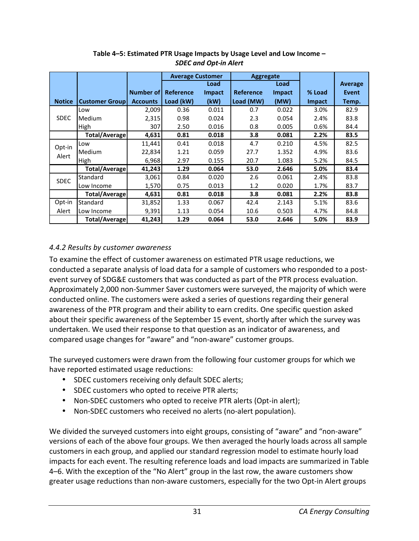|               |                       |                  | <b>Average Customer</b> |               | Aggregate        |               |               |                |
|---------------|-----------------------|------------------|-------------------------|---------------|------------------|---------------|---------------|----------------|
|               |                       |                  |                         | Load          |                  | Load          |               | <b>Average</b> |
|               |                       | <b>Number of</b> | Reference               | <b>Impact</b> | <b>Reference</b> | <b>Impact</b> | % Load        | <b>Event</b>   |
| <b>Notice</b> | <b>Customer Group</b> | <b>Accounts</b>  | Load (kW)               | (kW)          | Load (MW)        | (MW)          | <b>Impact</b> | Temp.          |
|               | Low                   | 2,009            | 0.36                    | 0.011         | 0.7              | 0.022         | 3.0%          | 82.9           |
| <b>SDEC</b>   | Medium                | 2,315            | 0.98                    | 0.024         | 2.3              | 0.054         | 2.4%          | 83.8           |
|               | High                  | 307              | 2.50                    | 0.016         | 0.8              | 0.005         | 0.6%          | 84.4           |
|               | <b>Total/Average</b>  | 4,631            | 0.81                    | 0.018         | 3.8              | 0.081         | 2.2%          | 83.5           |
| Opt-in        | Low                   | 11,441           | 0.41                    | 0.018         | 4.7              | 0.210         | 4.5%          | 82.5           |
|               | Medium                | 22,834           | 1.21                    | 0.059         | 27.7             | 1.352         | 4.9%          | 83.6           |
| Alert         | High                  | 6,968            | 2.97                    | 0.155         | 20.7             | 1.083         | 5.2%          | 84.5           |
|               | <b>Total/Average</b>  | 41,243           | 1.29                    | 0.064         | 53.0             | 2.646         | 5.0%          | 83.4           |
| <b>SDEC</b>   | Standard              | 3,061            | 0.84                    | 0.020         | 2.6              | 0.061         | 2.4%          | 83.8           |
|               | Low Income            | 1,570            | 0.75                    | 0.013         | 1.2              | 0.020         | 1.7%          | 83.7           |
|               | <b>Total/Average</b>  | 4,631            | 0.81                    | 0.018         | 3.8              | 0.081         | 2.2%          | 83.8           |
| Opt-in        | Standard              | 31,852           | 1.33                    | 0.067         | 42.4             | 2.143         | 5.1%          | 83.6           |
| Alert         | Low Income            | 9,391            | 1.13                    | 0.054         | 10.6             | 0.503         | 4.7%          | 84.8           |
|               | <b>Total/Average</b>  | 41,243           | 1.29                    | 0.064         | 53.0             | 2.646         | 5.0%          | 83.9           |

**Table 4–5: Estimated PTR Usage Impacts by Usage Level and Low Income –**  *SDEC and Opt-in Alert* 

### *4.4.2 Results by customer awareness*

To examine the effect of customer awareness on estimated PTR usage reductions, we conducted a separate analysis of load data for a sample of customers who responded to a postevent survey of SDG&E customers that was conducted as part of the PTR process evaluation. Approximately 2,000 non-Summer Saver customers were surveyed, the majority of which were conducted online. The customers were asked a series of questions regarding their general awareness of the PTR program and their ability to earn credits. One specific question asked about their specific awareness of the September 15 event, shortly after which the survey was undertaken. We used their response to that question as an indicator of awareness, and compared usage changes for "aware" and "non-aware" customer groups.

The surveyed customers were drawn from the following four customer groups for which we have reported estimated usage reductions:

- SDEC customers receiving only default SDEC alerts;
- SDEC customers who opted to receive PTR alerts;
- Non-SDEC customers who opted to receive PTR alerts (Opt-in alert);
- Non-SDEC customers who received no alerts (no-alert population).

We divided the surveyed customers into eight groups, consisting of "aware" and "non-aware" versions of each of the above four groups. We then averaged the hourly loads across all sample customers in each group, and applied our standard regression model to estimate hourly load impacts for each event. The resulting reference loads and load impacts are summarized in Table 4–6. With the exception of the "No Alert" group in the last row, the aware customers show greater usage reductions than non-aware customers, especially for the two Opt-in Alert groups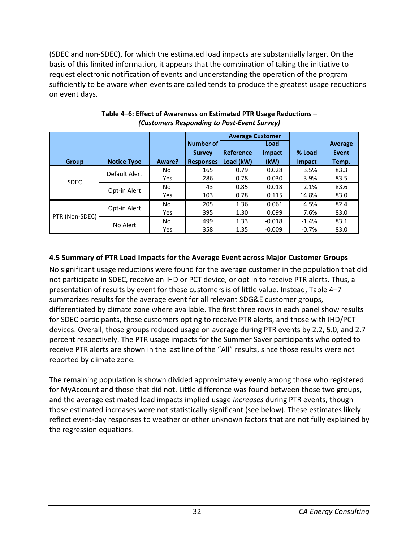(SDEC and non-SDEC), for which the estimated load impacts are substantially larger. On the basis of this limited information, it appears that the combination of taking the initiative to request electronic notification of events and understanding the operation of the program sufficiently to be aware when events are called tends to produce the greatest usage reductions on event days.

|                |                    |        |                  | <b>Average Customer</b> |               |         |                |
|----------------|--------------------|--------|------------------|-------------------------|---------------|---------|----------------|
|                |                    |        | Number of        |                         | Load          |         | <b>Average</b> |
|                |                    |        | <b>Survey</b>    | Reference               | <b>Impact</b> | % Load  | <b>Event</b>   |
| Group          | <b>Notice Type</b> | Aware? | <b>Responses</b> | Load (kW)               | (kW)          | Impact  | Temp.          |
|                | Default Alert      | No     | 165              | 0.79                    | 0.028         | 3.5%    | 83.3           |
| <b>SDEC</b>    |                    | Yes    | 286              | 0.78                    | 0.030         | 3.9%    | 83.5           |
|                | Opt-in Alert       |        | 43               | 0.85                    | 0.018         | 2.1%    | 83.6           |
|                |                    | Yes    | 103              | 0.78                    | 0.115         | 14.8%   | 83.0           |
|                | Opt-in Alert       | No     | 205              | 1.36                    | 0.061         | 4.5%    | 82.4           |
| PTR (Non-SDEC) |                    | Yes    | 395              | 1.30                    | 0.099         | 7.6%    | 83.0           |
|                | No Alert           |        | 499              | 1.33                    | $-0.018$      | $-1.4%$ | 83.1           |
|                |                    | Yes    | 358              | 1.35                    | $-0.009$      | $-0.7%$ | 83.0           |

#### **Table 4–6: Effect of Awareness on Estimated PTR Usage Reductions –**  *(Customers Responding to Post-Event Survey)*

# **4.5 Summary of PTR Load Impacts for the Average Event across Major Customer Groups**

No significant usage reductions were found for the average customer in the population that did not participate in SDEC, receive an IHD or PCT device, or opt in to receive PTR alerts. Thus, a presentation of results by event for these customers is of little value. Instead, Table 4–7 summarizes results for the average event for all relevant SDG&E customer groups, differentiated by climate zone where available. The first three rows in each panel show results for SDEC participants, those customers opting to receive PTR alerts, and those with IHD/PCT devices. Overall, those groups reduced usage on average during PTR events by 2.2, 5.0, and 2.7 percent respectively. The PTR usage impacts for the Summer Saver participants who opted to receive PTR alerts are shown in the last line of the "All" results, since those results were not reported by climate zone.

The remaining population is shown divided approximately evenly among those who registered for MyAccount and those that did not. Little difference was found between those two groups, and the average estimated load impacts implied usage *increases* during PTR events, though those estimated increases were not statistically significant (see below). These estimates likely reflect event-day responses to weather or other unknown factors that are not fully explained by the regression equations.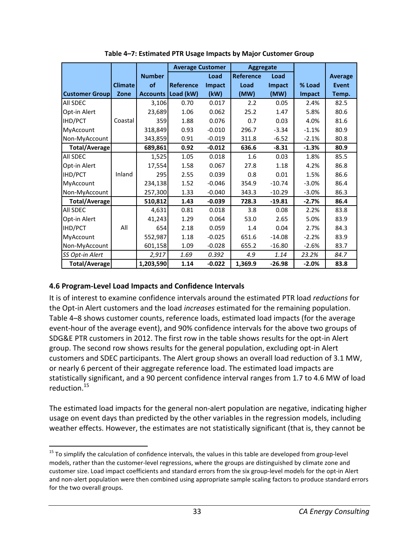|                       |                |                 | <b>Average Customer</b> |          | <b>Aggregate</b> |               |         |              |
|-----------------------|----------------|-----------------|-------------------------|----------|------------------|---------------|---------|--------------|
|                       |                | <b>Number</b>   |                         | Load     | <b>Reference</b> | Load          |         | Average      |
|                       | <b>Climate</b> | of              | <b>Reference</b>        | Impact   | Load             | <b>Impact</b> | % Load  | <b>Event</b> |
| <b>Customer Group</b> | Zone           | <b>Accounts</b> | Load (kW)               | (kW)     | (MW)             | (MW)          | Impact  | Temp.        |
| <b>All SDEC</b>       |                | 3,106           | 0.70                    | 0.017    | 2.2              | 0.05          | 2.4%    | 82.5         |
| Opt-in Alert          |                | 23,689          | 1.06                    | 0.062    | 25.2             | 1.47          | 5.8%    | 80.6         |
| <b>IHD/PCT</b>        | Coastal        | 359             | 1.88                    | 0.076    | 0.7              | 0.03          | 4.0%    | 81.6         |
| MyAccount             |                | 318,849         | 0.93                    | $-0.010$ | 296.7            | $-3.34$       | $-1.1%$ | 80.9         |
| Non-MyAccount         |                | 343,859         | 0.91                    | $-0.019$ | 311.8            | $-6.52$       | $-2.1%$ | 80.8         |
| Total/Average         |                | 689,861         | 0.92                    | $-0.012$ | 636.6            | $-8.31$       | $-1.3%$ | 80.9         |
| <b>All SDEC</b>       |                | 1,525           | 1.05                    | 0.018    | 1.6              | 0.03          | 1.8%    | 85.5         |
| Opt-in Alert          |                | 17,554          | 1.58                    | 0.067    | 27.8             | 1.18          | 4.2%    | 86.8         |
| <b>IHD/PCT</b>        | Inland         | 295             | 2.55                    | 0.039    | 0.8              | 0.01          | 1.5%    | 86.6         |
| MyAccount             |                | 234,138         | 1.52                    | $-0.046$ | 354.9            | $-10.74$      | $-3.0%$ | 86.4         |
| Non-MyAccount         |                | 257,300         | 1.33                    | $-0.040$ | 343.3            | $-10.29$      | $-3.0%$ | 86.3         |
| <b>Total/Average</b>  |                | 510,812         | 1.43                    | $-0.039$ | 728.3            | $-19.81$      | $-2.7%$ | 86.4         |
| All SDEC              |                | 4,631           | 0.81                    | 0.018    | 3.8              | 0.08          | 2.2%    | 83.8         |
| Opt-in Alert          |                | 41,243          | 1.29                    | 0.064    | 53.0             | 2.65          | 5.0%    | 83.9         |
| <b>IHD/PCT</b>        | All            | 654             | 2.18                    | 0.059    | 1.4              | 0.04          | 2.7%    | 84.3         |
| <b>MyAccount</b>      |                | 552,987         | 1.18                    | $-0.025$ | 651.6            | $-14.08$      | $-2.2%$ | 83.9         |
| Non-MyAccount         |                | 601,158         | 1.09                    | $-0.028$ | 655.2            | $-16.80$      | $-2.6%$ | 83.7         |
| SS Opt-in Alert       |                | 2,917           | 1.69                    | 0.392    | 4.9              | 1.14          | 23.2%   | 84.7         |
| <b>Total/Average</b>  |                | 1,203,590       | 1.14                    | $-0.022$ | 1,369.9          | $-26.98$      | $-2.0%$ | 83.8         |

**Table 4–7: Estimated PTR Usage Impacts by Major Customer Group** 

#### **4.6 Program-Level Load Impacts and Confidence Intervals**

.

It is of interest to examine confidence intervals around the estimated PTR load *reductions* for the Opt-in Alert customers and the load *increases* estimated for the remaining population. Table 4–8 shows customer counts, reference loads, estimated load impacts (for the average event-hour of the average event), and 90% confidence intervals for the above two groups of SDG&E PTR customers in 2012. The first row in the table shows results for the opt-in Alert group. The second row shows results for the general population, excluding opt-in Alert customers and SDEC participants. The Alert group shows an overall load reduction of 3.1 MW, or nearly 6 percent of their aggregate reference load. The estimated load impacts are statistically significant, and a 90 percent confidence interval ranges from 1.7 to 4.6 MW of load reduction.<sup>15</sup>

The estimated load impacts for the general non-alert population are negative, indicating higher usage on event days than predicted by the other variables in the regression models, including weather effects. However, the estimates are not statistically significant (that is, they cannot be

<sup>&</sup>lt;sup>15</sup> To simplify the calculation of confidence intervals, the values in this table are developed from group-level models, rather than the customer-level regressions, where the groups are distinguished by climate zone and customer size. Load impact coefficients and standard errors from the six group-level models for the opt-in Alert and non-alert population were then combined using appropriate sample scaling factors to produce standard errors for the two overall groups.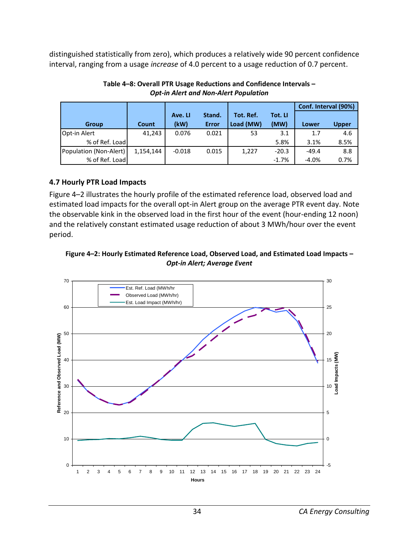distinguished statistically from zero), which produces a relatively wide 90 percent confidence interval, ranging from a usage *increase* of 4.0 percent to a usage reduction of 0.7 percent.

|                        |           |          |        |           |         | Conf. Interval (90%) |              |
|------------------------|-----------|----------|--------|-----------|---------|----------------------|--------------|
|                        |           | Ave. LI  | Stand. | Tot. Ref. | Tot. LI |                      |              |
| Group                  | Count     | (kW)     | Error  | Load (MW) | (MW)    | Lower                | <b>Upper</b> |
| Opt-in Alert           | 41,243    | 0.076    | 0.021  | 53        | 3.1     | 1.7                  | 4.6          |
| % of Ref. Load         |           |          |        |           | 5.8%    | 3.1%                 | 8.5%         |
| Population (Non-Alert) | 1,154,144 | $-0.018$ | 0.015  | 1,227     | $-20.3$ | $-49.4$              | 8.8          |
| % of Ref. Load         |           |          |        |           | $-1.7%$ | $-4.0%$              | 0.7%         |

#### **Table 4–8: Overall PTR Usage Reductions and Confidence Intervals –**  *Opt-in Alert and Non-Alert Population*

## **4.7 Hourly PTR Load Impacts**

Figure 4–2 illustrates the hourly profile of the estimated reference load, observed load and estimated load impacts for the overall opt-in Alert group on the average PTR event day. Note the observable kink in the observed load in the first hour of the event (hour-ending 12 noon) and the relatively constant estimated usage reduction of about 3 MWh/hour over the event period.

#### **Figure 4–2: Hourly Estimated Reference Load, Observed Load, and Estimated Load Impacts –**  *Opt-in Alert; Average Event*

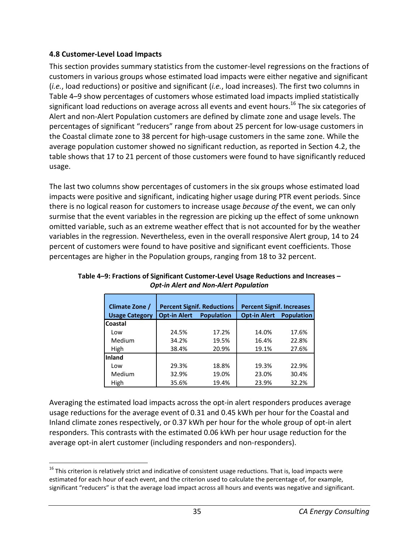## **4.8 Customer-Level Load Impacts**

This section provides summary statistics from the customer-level regressions on the fractions of customers in various groups whose estimated load impacts were either negative and significant (*i.e.*, load reductions) or positive and significant (*i.e.*, load increases). The first two columns in Table 4–9 show percentages of customers whose estimated load impacts implied statistically significant load reductions on average across all events and event hours.<sup>16</sup> The six categories of Alert and non-Alert Population customers are defined by climate zone and usage levels. The percentages of significant "reducers" range from about 25 percent for low-usage customers in the Coastal climate zone to 38 percent for high-usage customers in the same zone. While the average population customer showed no significant reduction, as reported in Section 4.2, the table shows that 17 to 21 percent of those customers were found to have significantly reduced usage.

The last two columns show percentages of customers in the six groups whose estimated load impacts were positive and significant, indicating higher usage during PTR event periods. Since there is no logical reason for customers to increase usage *because of* the event, we can only surmise that the event variables in the regression are picking up the effect of some unknown omitted variable, such as an extreme weather effect that is not accounted for by the weather variables in the regression. Nevertheless, even in the overall responsive Alert group, 14 to 24 percent of customers were found to have positive and significant event coefficients. Those percentages are higher in the Population groups, ranging from 18 to 32 percent.

| Climate Zone /        |                                          | <b>Percent Signif. Reductions</b> | <b>Percent Signif. Increases</b> |                   |  |  |
|-----------------------|------------------------------------------|-----------------------------------|----------------------------------|-------------------|--|--|
| <b>Usage Category</b> | <b>Opt-in Alert</b><br><b>Population</b> |                                   | <b>Opt-in Alert</b>              | <b>Population</b> |  |  |
| Coastal               |                                          |                                   |                                  |                   |  |  |
| Low                   | 24.5%                                    | 17.2%                             | 14.0%                            | 17.6%             |  |  |
| Medium                | 34.2%                                    | 19.5%                             | 16.4%                            | 22.8%             |  |  |
| <b>High</b>           | 38.4%                                    | 20.9%                             | 19.1%                            | 27.6%             |  |  |
| Inland                |                                          |                                   |                                  |                   |  |  |
| Low                   | 29.3%                                    | 18.8%                             | 19.3%                            | 22.9%             |  |  |
| Medium                | 32.9%                                    | 19.0%                             | 23.0%                            | 30.4%             |  |  |
| High                  | 35.6%                                    | 19.4%                             | 23.9%                            | 32.2%             |  |  |

#### **Table 4–9: Fractions of Significant Customer-Level Usage Reductions and Increases –**  *Opt-in Alert and Non-Alert Population*

Averaging the estimated load impacts across the opt-in alert responders produces average usage reductions for the average event of 0.31 and 0.45 kWh per hour for the Coastal and Inland climate zones respectively, or 0.37 kWh per hour for the whole group of opt-in alert responders. This contrasts with the estimated 0.06 kWh per hour usage reduction for the average opt-in alert customer (including responders and non-responders).

<sup>.</sup>  $16$  This criterion is relatively strict and indicative of consistent usage reductions. That is, load impacts were estimated for each hour of each event, and the criterion used to calculate the percentage of, for example, significant "reducers" is that the average load impact across all hours and events was negative and significant.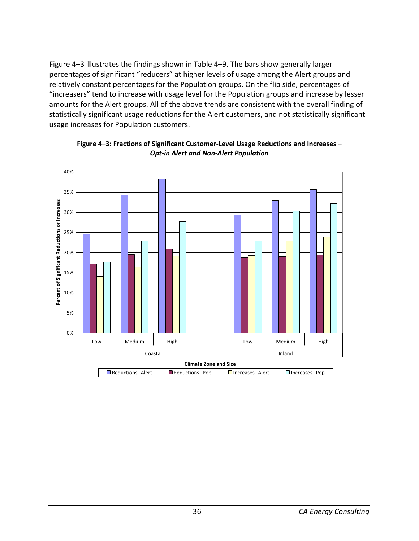Figure 4–3 illustrates the findings shown in Table 4–9. The bars show generally larger percentages of significant "reducers" at higher levels of usage among the Alert groups and relatively constant percentages for the Population groups. On the flip side, percentages of "increasers" tend to increase with usage level for the Population groups and increase by lesser amounts for the Alert groups. All of the above trends are consistent with the overall finding of statistically significant usage reductions for the Alert customers, and not statistically significant usage increases for Population customers.



**Figure 4–3: Fractions of Significant Customer-Level Usage Reductions and Increases –**  *Opt-in Alert and Non-Alert Population*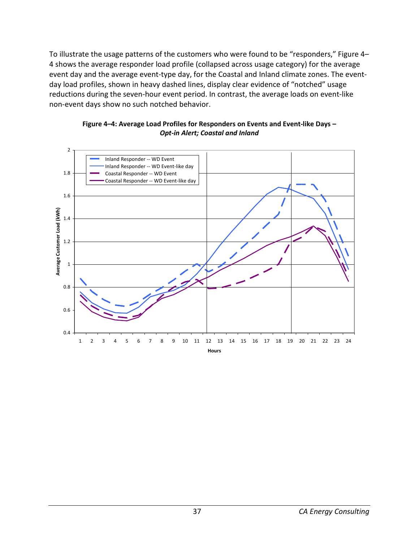To illustrate the usage patterns of the customers who were found to be "responders," Figure 4– 4 shows the average responder load profile (collapsed across usage category) for the average event day and the average event-type day, for the Coastal and Inland climate zones. The eventday load profiles, shown in heavy dashed lines, display clear evidence of "notched" usage reductions during the seven-hour event period. In contrast, the average loads on event-like non-event days show no such notched behavior.



#### **Figure 4–4: Average Load Profiles for Responders on Events and Event-like Days –**  *Opt-in Alert; Coastal and Inland*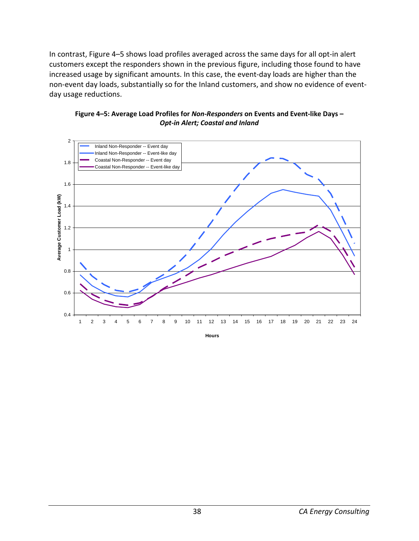In contrast, Figure 4–5 shows load profiles averaged across the same days for all opt-in alert customers except the responders shown in the previous figure, including those found to have increased usage by significant amounts. In this case, the event-day loads are higher than the non-event day loads, substantially so for the Inland customers, and show no evidence of eventday usage reductions.





**Hours**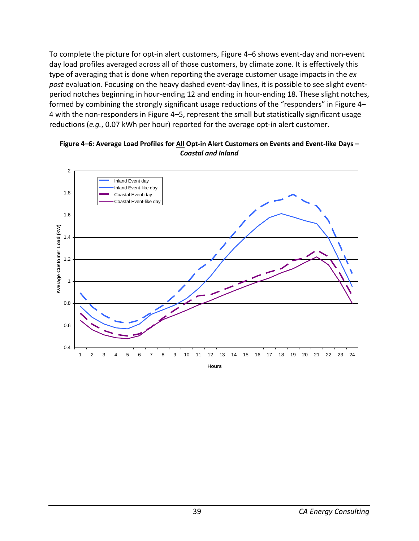To complete the picture for opt-in alert customers, Figure 4–6 shows event-day and non-event day load profiles averaged across all of those customers, by climate zone. It is effectively this type of averaging that is done when reporting the average customer usage impacts in the *ex post* evaluation. Focusing on the heavy dashed event-day lines, it is possible to see slight eventperiod notches beginning in hour-ending 12 and ending in hour-ending 18. These slight notches, formed by combining the strongly significant usage reductions of the "responders" in Figure 4– 4 with the non-responders in Figure 4–5, represent the small but statistically significant usage reductions (*e.g.*, 0.07 kWh per hour) reported for the average opt-in alert customer.



**Figure 4–6: Average Load Profiles for All Opt-in Alert Customers on Events and Event-like Days –**  *Coastal and Inland*

**Hours**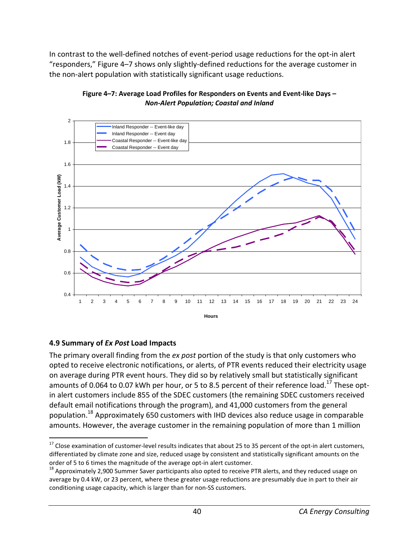In contrast to the well-defined notches of event-period usage reductions for the opt-in alert "responders," Figure 4–7 shows only slightly-defined reductions for the average customer in the non-alert population with statistically significant usage reductions.



#### **Figure 4–7: Average Load Profiles for Responders on Events and Event-like Days –**  *Non-Alert Population; Coastal and Inland*

## **4.9 Summary of** *Ex Post* **Load Impacts**

The primary overall finding from the *ex post* portion of the study is that only customers who opted to receive electronic notifications, or alerts, of PTR events reduced their electricity usage on average during PTR event hours. They did so by relatively small but statistically significant amounts of 0.064 to 0.07 kWh per hour, or 5 to 8.5 percent of their reference load.<sup>17</sup> These optin alert customers include 855 of the SDEC customers (the remaining SDEC customers received default email notifications through the program), and 41,000 customers from the general population.<sup>18</sup> Approximately 650 customers with IHD devices also reduce usage in comparable amounts. However, the average customer in the remaining population of more than 1 million

l  $17$  Close examination of customer-level results indicates that about 25 to 35 percent of the opt-in alert customers, differentiated by climate zone and size, reduced usage by consistent and statistically significant amounts on the order of 5 to 6 times the magnitude of the average opt-in alert customer.

 $^{18}$  Approximately 2,900 Summer Saver participants also opted to receive PTR alerts, and they reduced usage on average by 0.4 kW, or 23 percent, where these greater usage reductions are presumably due in part to their air conditioning usage capacity, which is larger than for non-SS customers.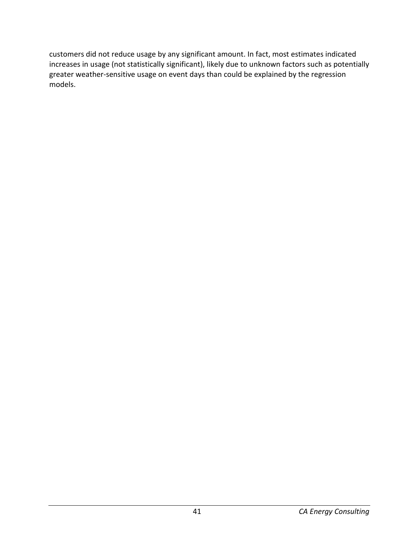customers did not reduce usage by any significant amount. In fact, most estimates indicated increases in usage (not statistically significant), likely due to unknown factors such as potentially greater weather-sensitive usage on event days than could be explained by the regression models.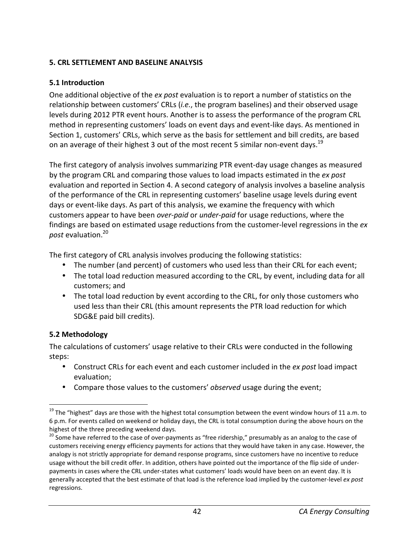### **5. CRL SETTLEMENT AND BASELINE ANALYSIS**

### **5.1 Introduction**

One additional objective of the *ex post* evaluation is to report a number of statistics on the relationship between customers' CRLs (*i.e.*, the program baselines) and their observed usage levels during 2012 PTR event hours. Another is to assess the performance of the program CRL method in representing customers' loads on event days and event-like days. As mentioned in Section 1, customers' CRLs, which serve as the basis for settlement and bill credits, are based on an average of their highest 3 out of the most recent 5 similar non-event days.<sup>19</sup>

The first category of analysis involves summarizing PTR event-day usage changes as measured by the program CRL and comparing those values to load impacts estimated in the *ex post* evaluation and reported in Section 4. A second category of analysis involves a baseline analysis of the performance of the CRL in representing customers' baseline usage levels during event days or event-like days. As part of this analysis, we examine the frequency with which customers appear to have been *over-paid* or *under-paid* for usage reductions, where the findings are based on estimated usage reductions from the customer-level regressions in the *ex post* evaluation.<sup>20</sup>

The first category of CRL analysis involves producing the following statistics:

- The number (and percent) of customers who used less than their CRL for each event;
- The total load reduction measured according to the CRL, by event, including data for all customers; and
- The total load reduction by event according to the CRL, for only those customers who used less than their CRL (this amount represents the PTR load reduction for which SDG&E paid bill credits).

## **5.2 Methodology**

l

The calculations of customers' usage relative to their CRLs were conducted in the following steps:

- Construct CRLs for each event and each customer included in the *ex post* load impact evaluation;
- Compare those values to the customers' *observed* usage during the event;

<sup>&</sup>lt;sup>19</sup> The "highest" days are those with the highest total consumption between the event window hours of 11 a.m. to 6 p.m. For events called on weekend or holiday days, the CRL is total consumption during the above hours on the highest of the three preceding weekend days.

<sup>&</sup>lt;sup>20</sup> Some have referred to the case of over-payments as "free ridership," presumably as an analog to the case of customers receiving energy efficiency payments for actions that they would have taken in any case. However, the analogy is not strictly appropriate for demand response programs, since customers have no incentive to reduce usage without the bill credit offer. In addition, others have pointed out the importance of the flip side of underpayments in cases where the CRL under-states what customers' loads would have been on an event day. It is generally accepted that the best estimate of that load is the reference load implied by the customer-level *ex post* regressions.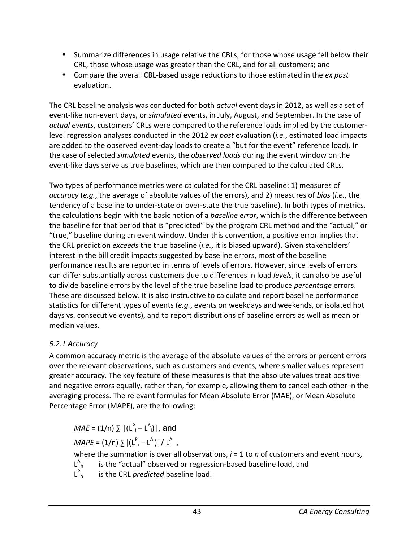- Summarize differences in usage relative the CBLs, for those whose usage fell below their CRL, those whose usage was greater than the CRL, and for all customers; and
- Compare the overall CBL-based usage reductions to those estimated in the *ex post* evaluation.

The CRL baseline analysis was conducted for both *actual* event days in 2012, as well as a set of event-like non-event days, or *simulated* events, in July, August, and September. In the case of *actual events*, customers' CRLs were compared to the reference loads implied by the customerlevel regression analyses conducted in the 2012 *ex post* evaluation (*i.e.*, estimated load impacts are added to the observed event-day loads to create a "but for the event" reference load). In the case of selected *simulated* events, the *observed loads* during the event window on the event-like days serve as true baselines, which are then compared to the calculated CRLs.

Two types of performance metrics were calculated for the CRL baseline: 1) measures of *accuracy* (*e.g.*, the average of absolute values of the errors), and 2) measures of *bias* (*i.e.*, the tendency of a baseline to under-state or over-state the true baseline). In both types of metrics, the calculations begin with the basic notion of a *baseline error*, which is the difference between the baseline for that period that is "predicted" by the program CRL method and the "actual," or "true," baseline during an event window. Under this convention, a positive error implies that the CRL prediction *exceeds* the true baseline (*i.e.*, it is biased upward). Given stakeholders' interest in the bill credit impacts suggested by baseline errors, most of the baseline performance results are reported in terms of levels of errors. However, since levels of errors can differ substantially across customers due to differences in load *levels*, it can also be useful to divide baseline errors by the level of the true baseline load to produce *percentage* errors. These are discussed below. It is also instructive to calculate and report baseline performance statistics for different types of events (*e.g.*, events on weekdays and weekends, or isolated hot days vs. consecutive events), and to report distributions of baseline errors as well as mean or median values.

# *5.2.1 Accuracy*

A common accuracy metric is the average of the absolute values of the errors or percent errors over the relevant observations, such as customers and events, where smaller values represent greater accuracy. The key feature of these measures is that the absolute values treat positive and negative errors equally, rather than, for example, allowing them to cancel each other in the averaging process. The relevant formulas for Mean Absolute Error (MAE), or Mean Absolute Percentage Error (MAPE), are the following:

 $MAE = (1/n) \sum |(L^P_i - L^A_i)|$ , and

$$
MAPE = (1/n) \sum |(L^{P_i} - L^{A_i})| / L^{A_i},
$$

where the summation is over all observations, *i* = 1 to *n* of customers and event hours,

- L A is the "actual" observed or regression-based baseline load, and
- L P is the CRL *predicted* baseline load.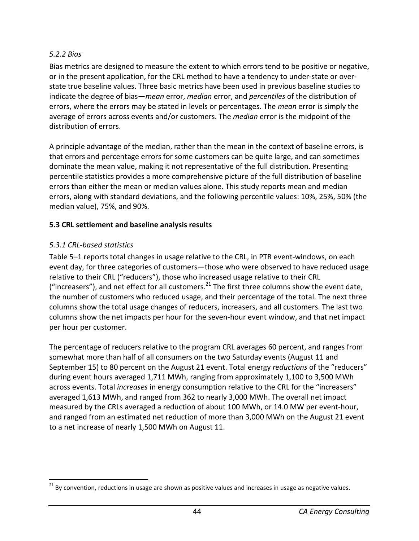### *5.2.2 Bias*

Bias metrics are designed to measure the extent to which errors tend to be positive or negative, or in the present application, for the CRL method to have a tendency to under-state or overstate true baseline values. Three basic metrics have been used in previous baseline studies to indicate the degree of bias—*mean* error, *median* error, and *percentiles* of the distribution of errors, where the errors may be stated in levels or percentages. The *mean* error is simply the average of errors across events and/or customers. The *median* error is the midpoint of the distribution of errors.

A principle advantage of the median, rather than the mean in the context of baseline errors, is that errors and percentage errors for some customers can be quite large, and can sometimes dominate the mean value, making it not representative of the full distribution. Presenting percentile statistics provides a more comprehensive picture of the full distribution of baseline errors than either the mean or median values alone. This study reports mean and median errors, along with standard deviations, and the following percentile values: 10%, 25%, 50% (the median value), 75%, and 90%.

## **5.3 CRL settlement and baseline analysis results**

# *5.3.1 CRL-based statistics*

.

Table 5–1 reports total changes in usage relative to the CRL, in PTR event-windows, on each event day, for three categories of customers—those who were observed to have reduced usage relative to their CRL ("reducers"), those who increased usage relative to their CRL ("increasers"), and net effect for all customers.<sup>21</sup> The first three columns show the event date, the number of customers who reduced usage, and their percentage of the total. The next three columns show the total usage changes of reducers, increasers, and all customers. The last two columns show the net impacts per hour for the seven-hour event window, and that net impact per hour per customer.

The percentage of reducers relative to the program CRL averages 60 percent, and ranges from somewhat more than half of all consumers on the two Saturday events (August 11 and September 15) to 80 percent on the August 21 event. Total energy *reductions* of the "reducers" during event hours averaged 1,711 MWh, ranging from approximately 1,100 to 3,500 MWh across events. Total *increases* in energy consumption relative to the CRL for the "increasers" averaged 1,613 MWh, and ranged from 362 to nearly 3,000 MWh. The overall net impact measured by the CRLs averaged a reduction of about 100 MWh, or 14.0 MW per event-hour, and ranged from an estimated net reduction of more than 3,000 MWh on the August 21 event to a net increase of nearly 1,500 MWh on August 11.

<sup>&</sup>lt;sup>21</sup> By convention, reductions in usage are shown as positive values and increases in usage as negative values.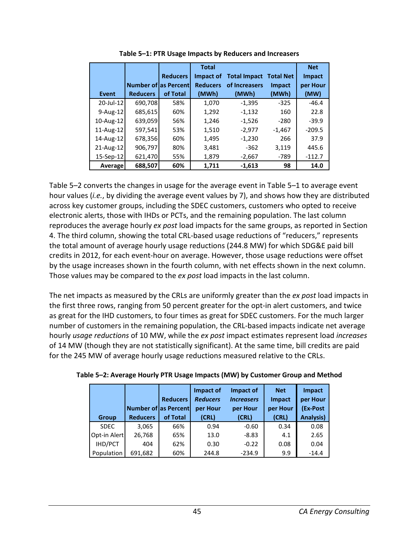|              |                               |                 | <b>Total</b>    |                     |                  | <b>Net</b> |
|--------------|-------------------------------|-----------------|-----------------|---------------------|------------------|------------|
|              |                               | <b>Reducers</b> | Impact of       | <b>Total Impact</b> | <b>Total Net</b> | Impact     |
|              | <b>Number of las Percentl</b> |                 | <b>Reducers</b> | of Increasers       | <b>Impact</b>    | per Hour   |
| Event        | <b>Reducers</b>               | of Total        | (MWh)           | (MWh)               | (MWh)            | (MW)       |
| 20-Jul-12    | 690,708                       | 58%             | 1,070           | $-1,395$            | $-325$           | $-46.4$    |
| $9-Aug-12$   | 685,615                       | 60%             | 1,292           | $-1,132$            | 160              | 22.8       |
| 10-Aug-12    | 639,059                       | 56%             | 1,246           | $-1,526$            | $-280$           | $-39.9$    |
| $11$ -Aug-12 | 597,541                       | 53%             | 1,510           | $-2,977$            | $-1,467$         | $-209.5$   |
| 14-Aug-12    | 678,356                       | 60%             | 1,495           | $-1,230$            | 266              | 37.9       |
| 21-Aug-12    | 906,797                       | 80%             | 3,481           | $-362$              | 3,119            | 445.6      |
| 15-Sep-12    | 621,470                       | 55%             | 1,879           | $-2,667$            | $-789$           | $-112.7$   |
| Average      | 688,507                       | 60%             | 1,711           | $-1,613$            | 98               | 14.0       |

**Table 5–1: PTR Usage Impacts by Reducers and Increasers** 

Table 5–2 converts the changes in usage for the average event in Table 5–1 to average event hour values (*i.e.*, by dividing the average event values by 7), and shows how they are distributed across key customer groups, including the SDEC customers, customers who opted to receive electronic alerts, those with IHDs or PCTs, and the remaining population. The last column reproduces the average hourly *ex post* load impacts for the same groups, as reported in Section 4. The third column, showing the total CRL-based usage reductions of "reducers," represents the total amount of average hourly usage reductions (244.8 MW) for which SDG&E paid bill credits in 2012, for each event-hour on average. However, those usage reductions were offset by the usage increases shown in the fourth column, with net effects shown in the next column. Those values may be compared to the *ex post* load impacts in the last column.

The net impacts as measured by the CRLs are uniformly greater than the *ex post* load impacts in the first three rows, ranging from 50 percent greater for the opt-in alert customers, and twice as great for the IHD customers, to four times as great for SDEC customers. For the much larger number of customers in the remaining population, the CRL-based impacts indicate net average hourly *usage reductions* of 10 MW, while the *ex post* impact estimates represent load *increases* of 14 MW (though they are not statistically significant). At the same time, bill credits are paid for the 245 MW of average hourly usage reductions measured relative to the CRLs.

|              |                             |                 | Impact of       | Impact of         | <b>Net</b>    | <b>Impact</b>    |
|--------------|-----------------------------|-----------------|-----------------|-------------------|---------------|------------------|
|              |                             | <b>Reducers</b> | <b>Reducers</b> | <b>Increasers</b> | <b>Impact</b> | per Hour         |
|              | <b>Number of as Percent</b> |                 | per Hour        | per Hour          | per Hour      | (Ex-Post         |
| <b>Group</b> | <b>Reducers</b>             | of Total        | (CRL)           | (CRL)             | (CRL)         | <b>Analysis)</b> |
| <b>SDEC</b>  | 3,065                       | 66%             | 0.94            | $-0.60$           | 0.34          | 0.08             |
| Opt-in Alert | 26,768                      | 65%             | 13.0            | $-8.83$           | 4.1           | 2.65             |
| IHD/PCT      | 404                         | 62%             | 0.30            | $-0.22$           | 0.08          | 0.04             |
| Population   | 691,682                     | 60%             | 244.8           | $-234.9$          | 9.9           | $-14.4$          |

| Table 5-2: Average Hourly PTR Usage Impacts (MW) by Customer Group and Method |  |  |
|-------------------------------------------------------------------------------|--|--|
|                                                                               |  |  |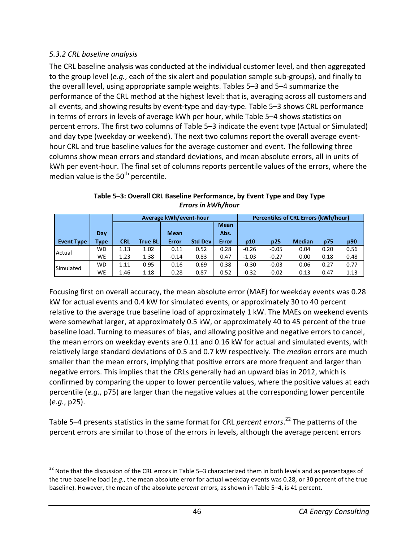## *5.3.2 CRL baseline analysis*

l

The CRL baseline analysis was conducted at the individual customer level, and then aggregated to the group level (*e.g.*, each of the six alert and population sample sub-groups), and finally to the overall level, using appropriate sample weights. Tables 5–3 and 5–4 summarize the performance of the CRL method at the highest level: that is, averaging across all customers and all events, and showing results by event-type and day-type. Table 5–3 shows CRL performance in terms of errors in levels of average kWh per hour, while Table 5–4 shows statistics on percent errors. The first two columns of Table 5–3 indicate the event type (Actual or Simulated) and day type (weekday or weekend). The next two columns report the overall average eventhour CRL and true baseline values for the average customer and event. The following three columns show mean errors and standard deviations, and mean absolute errors, all in units of kWh per event-hour. The final set of columns reports percentile values of the errors, where the median value is the  $50<sup>th</sup>$  percentile.

|                   |           |            |         | Average kWh/event-hour |                |              |         |         | <b>Percentiles of CRL Errors (kWh/hour)</b> |      |      |
|-------------------|-----------|------------|---------|------------------------|----------------|--------------|---------|---------|---------------------------------------------|------|------|
|                   |           |            |         |                        |                | <b>Mean</b>  |         |         |                                             |      |      |
|                   | Day       |            |         | <b>Mean</b>            |                | Abs.         |         |         |                                             |      |      |
| <b>Event Type</b> | Type      | <b>CRL</b> | True BL | Error                  | <b>Std Dev</b> | <b>Error</b> | p10     | p25     | <b>Median</b>                               | p75  | p90  |
| Actual            | WD        | 1.13       | 1.02    | 0.11                   | 0.52           | 0.28         | $-0.26$ | $-0.05$ | 0.04                                        | 0.20 | 0.56 |
|                   | WE        | 1.23       | 1.38    | $-0.14$                | 0.83           | 0.47         | $-1.03$ | $-0.27$ | 0.00                                        | 0.18 | 0.48 |
| Simulated         | WD        | 1.11       | 0.95    | 0.16                   | 0.69           | 0.38         | $-0.30$ | $-0.03$ | 0.06                                        | 0.27 | 0.77 |
|                   | <b>WE</b> | 1.46       | 1.18    | 0.28                   | 0.87           | 0.52         | $-0.32$ | $-0.02$ | 0.13                                        | 0.47 | 1.13 |

**Table 5–3: Overall CRL Baseline Performance, by Event Type and Day Type**  *Errors in kWh/hour*

Focusing first on overall accuracy, the mean absolute error (MAE) for weekday events was 0.28 kW for actual events and 0.4 kW for simulated events, or approximately 30 to 40 percent relative to the average true baseline load of approximately 1 kW. The MAEs on weekend events were somewhat larger, at approximately 0.5 kW, or approximately 40 to 45 percent of the true baseline load. Turning to measures of bias, and allowing positive and negative errors to cancel, the mean errors on weekday events are 0.11 and 0.16 kW for actual and simulated events, with relatively large standard deviations of 0.5 and 0.7 kW respectively. The *median* errors are much smaller than the mean errors, implying that positive errors are more frequent and larger than negative errors. This implies that the CRLs generally had an upward bias in 2012, which is confirmed by comparing the upper to lower percentile values, where the positive values at each percentile (*e.g.*, p75) are larger than the negative values at the corresponding lower percentile (*e.g.*, p25).

Table 5–4 presents statistics in the same format for CRL *percent errors*. <sup>22</sup> The patterns of the percent errors are similar to those of the errors in levels, although the average percent errors

<sup>&</sup>lt;sup>22</sup> Note that the discussion of the CRL errors in Table 5–3 characterized them in both levels and as percentages of the true baseline load (*e.g.*, the mean absolute error for actual weekday events was 0.28, or 30 percent of the true baseline). However, the mean of the absolute *percent* errors, as shown in Table 5–4, is 41 percent.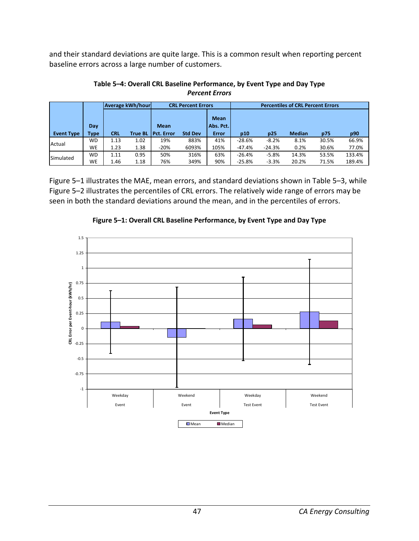and their standard deviations are quite large. This is a common result when reporting percent baseline errors across a large number of customers.

|                   |           |            | <b>Average kWh/hour</b> |                    | <b>CRL Percent Errors</b> |                          |          | <b>Percentiles of CRL Percent Errors</b> |               |       |        |  |
|-------------------|-----------|------------|-------------------------|--------------------|---------------------------|--------------------------|----------|------------------------------------------|---------------|-------|--------|--|
|                   | Day       |            |                         | <b>Mean</b>        |                           | <b>Mean</b><br>Abs. Pct. |          |                                          |               |       |        |  |
| <b>Event Type</b> | Type      | <b>CRL</b> | <b>True BL</b>          | <b>IPct.</b> Error | <b>Std Dev</b>            | Error                    | p10      | p25                                      | <b>Median</b> | p75   | p90    |  |
| Actual            | WD        | 1.13       | 1.02                    | 19%                | 883%                      | 41%                      | $-28.6%$ | $-8.2%$                                  | 8.1%          | 30.5% | 66.9%  |  |
|                   | <b>WE</b> | 1.23       | 1.38                    | $-20%$             | 6093%                     | 105%                     | $-47.4%$ | $-24.3%$                                 | 0.2%          | 30.6% | 77.0%  |  |
| Simulated         | WD        | 1.11       | 0.95                    | 50%                | 316%                      | 63%                      | $-26.4%$ | $-5.8%$                                  | 14.3%         | 53.5% | 133.4% |  |
|                   | WE        | 1.46       | 1.18                    | 76%                | 349%                      | 90%                      | $-25.8%$ | $-3.3%$                                  | 20.2%         | 71.5% | 189.4% |  |

**Table 5–4: Overall CRL Baseline Performance, by Event Type and Day Type**  *Percent Errors*

Figure 5–1 illustrates the MAE, mean errors, and standard deviations shown in Table 5–3, while Figure 5–2 illustrates the percentiles of CRL errors. The relatively wide range of errors may be seen in both the standard deviations around the mean, and in the percentiles of errors.



**Figure 5–1: Overall CRL Baseline Performance, by Event Type and Day Type**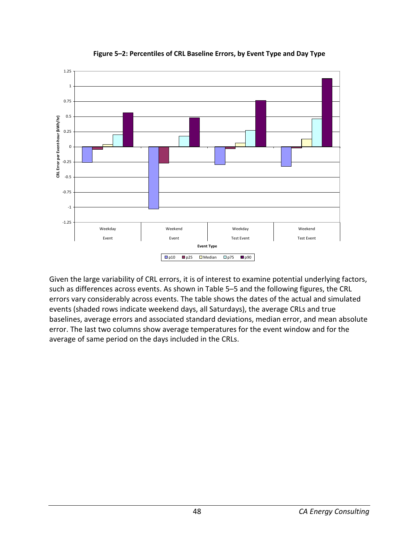

**Figure 5–2: Percentiles of CRL Baseline Errors, by Event Type and Day Type** 

Given the large variability of CRL errors, it is of interest to examine potential underlying factors, such as differences across events. As shown in Table 5–5 and the following figures, the CRL errors vary considerably across events. The table shows the dates of the actual and simulated events (shaded rows indicate weekend days, all Saturdays), the average CRLs and true baselines, average errors and associated standard deviations, median error, and mean absolute error. The last two columns show average temperatures for the event window and for the average of same period on the days included in the CRLs.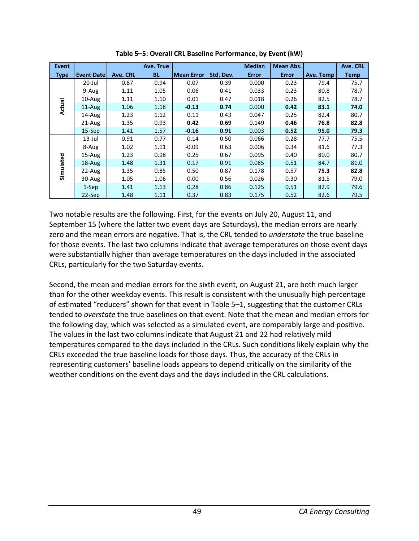| <b>Event</b> |                    |          | Ave. True |                   |           | <b>Median</b> | <b>Mean Abs.</b> |           | Ave. CRL    |
|--------------|--------------------|----------|-----------|-------------------|-----------|---------------|------------------|-----------|-------------|
| <b>Type</b>  | <b>Event Datel</b> | Ave. CRL | <b>BL</b> | <b>Mean Error</b> | Std. Dev. | <b>Error</b>  | <b>Error</b>     | Ave. Temp | <b>Temp</b> |
|              | 20-Jul             | 0.87     | 0.94      | $-0.07$           | 0.39      | 0.000         | 0.23             | 79.4      | 75.7        |
|              | 9-Aug              | 1.11     | 1.05      | 0.06              | 0.41      | 0.033         | 0.23             | 80.8      | 78.7        |
|              | $10$ -Aug          | 1.11     | 1.10      | 0.01              | 0.47      | 0.018         | 0.26             | 82.5      | 78.7        |
| Actual       | $11$ -Aug          | 1.06     | 1.18      | $-0.13$           | 0.74      | 0.000         | 0.42             | 83.1      | 74.0        |
|              | 14-Aug             | 1.23     | 1.12      | 0.11              | 0.43      | 0.047         | 0.25             | 82.4      | 80.7        |
|              | $21$ -Aug          | 1.35     | 0.93      | 0.42              | 0.69      | 0.149         | 0.46             | 76.8      | 82.8        |
|              | 15-Sep             | 1.41     | 1.57      | $-0.16$           | 0.91      | 0.003         | 0.52             | 95.0      | 79.3        |
|              | $13$ -Jul          | 0.91     | 0.77      | 0.14              | 0.50      | 0.066         | 0.28             | 77.7      | 75.5        |
|              | 8-Aug              | 1.02     | 1.11      | $-0.09$           | 0.63      | 0.006         | 0.34             | 81.6      | 77.3        |
|              | $15 - Aug$         | 1.23     | 0.98      | 0.25              | 0.67      | 0.095         | 0.40             | 80.0      | 80.7        |
| Simulated    | $18 - Aug$         | 1.48     | 1.31      | 0.17              | 0.91      | 0.085         | 0.51             | 84.7      | 81.0        |
|              | $22$ -Aug          | 1.35     | 0.85      | 0.50              | 0.87      | 0.178         | 0.57             | 75.3      | 82.8        |
|              | $30-Aug$           | 1.05     | 1.06      | 0.00              | 0.56      | 0.026         | 0.30             | 81.5      | 79.0        |
|              | 1-Sep              | 1.41     | 1.13      | 0.28              | 0.86      | 0.125         | 0.51             | 82.9      | 79.6        |
|              | $22-Sep$           | 1.48     | 1.11      | 0.37              | 0.83      | 0.175         | 0.52             | 82.6      | 79.5        |

**Table 5–5: Overall CRL Baseline Performance, by Event (kW)** 

Two notable results are the following. First, for the events on July 20, August 11, and September 15 (where the latter two event days are Saturdays), the median errors are nearly zero and the mean errors are negative. That is, the CRL tended to *understate* the true baseline for those events. The last two columns indicate that average temperatures on those event days were substantially higher than average temperatures on the days included in the associated CRLs, particularly for the two Saturday events.

Second, the mean and median errors for the sixth event, on August 21, are both much larger than for the other weekday events. This result is consistent with the unusually high percentage of estimated "reducers" shown for that event in Table 5–1, suggesting that the customer CRLs tended to *overstate* the true baselines on that event. Note that the mean and median errors for the following day, which was selected as a simulated event, are comparably large and positive. The values in the last two columns indicate that August 21 and 22 had relatively mild temperatures compared to the days included in the CRLs. Such conditions likely explain why the CRLs exceeded the true baseline loads for those days. Thus, the accuracy of the CRLs in representing customers' baseline loads appears to depend critically on the similarity of the weather conditions on the event days and the days included in the CRL calculations.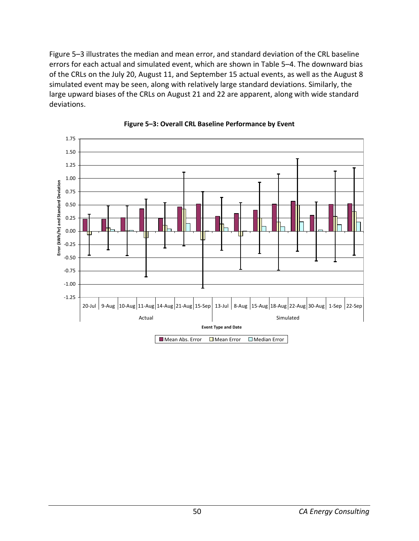Figure 5–3 illustrates the median and mean error, and standard deviation of the CRL baseline errors for each actual and simulated event, which are shown in Table 5–4. The downward bias of the CRLs on the July 20, August 11, and September 15 actual events, as well as the August 8 simulated event may be seen, along with relatively large standard deviations. Similarly, the large upward biases of the CRLs on August 21 and 22 are apparent, along with wide standard deviations.



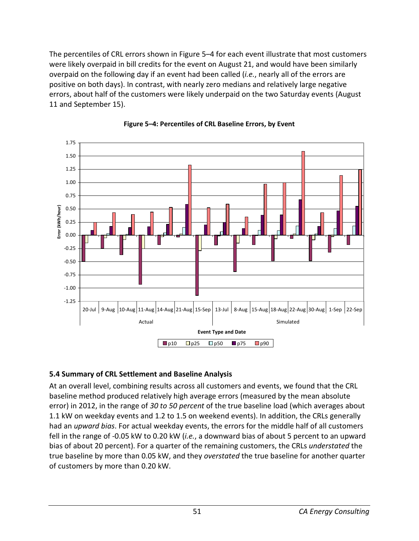The percentiles of CRL errors shown in Figure 5–4 for each event illustrate that most customers were likely overpaid in bill credits for the event on August 21, and would have been similarly overpaid on the following day if an event had been called (*i.e.*, nearly all of the errors are positive on both days). In contrast, with nearly zero medians and relatively large negative errors, about half of the customers were likely underpaid on the two Saturday events (August 11 and September 15).





## **5.4 Summary of CRL Settlement and Baseline Analysis**

At an overall level, combining results across all customers and events, we found that the CRL baseline method produced relatively high average errors (measured by the mean absolute error) in 2012, in the range of *30 to 50 percent* of the true baseline load (which averages about 1.1 kW on weekday events and 1.2 to 1.5 on weekend events). In addition, the CRLs generally had an *upward bias*. For actual weekday events, the errors for the middle half of all customers fell in the range of -0.05 kW to 0.20 kW (*i.e.*, a downward bias of about 5 percent to an upward bias of about 20 percent). For a quarter of the remaining customers, the CRLs *understated* the true baseline by more than 0.05 kW, and they *overstated* the true baseline for another quarter of customers by more than 0.20 kW.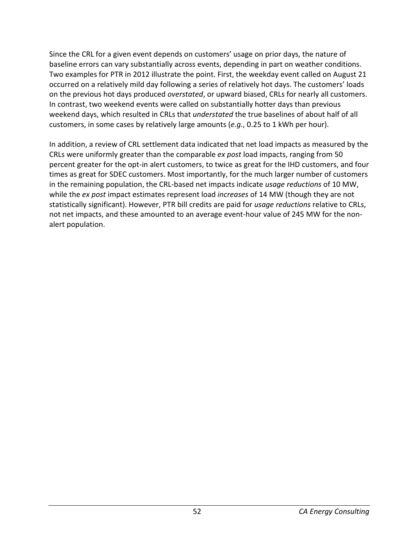Since the CRL for a given event depends on customers' usage on prior days, the nature of baseline errors can vary substantially across events, depending in part on weather conditions. Two examples for PTR in 2012 illustrate the point. First, the weekday event called on August 21 occurred on a relatively mild day following a series of relatively hot days. The customers' loads on the previous hot days produced *overstated*, or upward biased, CRLs for nearly all customers. In contrast, two weekend events were called on substantially hotter days than previous weekend days, which resulted in CRLs that *understated* the true baselines of about half of all customers, in some cases by relatively large amounts (*e.g.*, 0.25 to 1 kWh per hour).

In addition, a review of CRL settlement data indicated that net load impacts as measured by the CRLs were uniformly greater than the comparable *ex post* load impacts, ranging from 50 percent greater for the opt-in alert customers, to twice as great for the IHD customers, and four times as great for SDEC customers. Most importantly, for the much larger number of customers in the remaining population, the CRL-based net impacts indicate *usage reductions* of 10 MW, while the *ex post* impact estimates represent load *increases* of 14 MW (though they are not statistically significant). However, PTR bill credits are paid for *usage reductions* relative to CRLs, not net impacts, and these amounted to an average event-hour value of 245 MW for the nonalert population.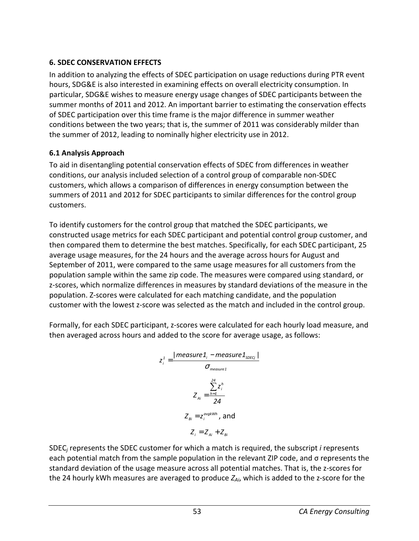## **6. SDEC CONSERVATION EFFECTS**

In addition to analyzing the effects of SDEC participation on usage reductions during PTR event hours, SDG&E is also interested in examining effects on overall electricity consumption. In particular, SDG&E wishes to measure energy usage changes of SDEC participants between the summer months of 2011 and 2012. An important barrier to estimating the conservation effects of SDEC participation over this time frame is the major difference in summer weather conditions between the two years; that is, the summer of 2011 was considerably milder than the summer of 2012, leading to nominally higher electricity use in 2012.

## **6.1 Analysis Approach**

To aid in disentangling potential conservation effects of SDEC from differences in weather conditions, our analysis included selection of a control group of comparable non-SDEC customers, which allows a comparison of differences in energy consumption between the summers of 2011 and 2012 for SDEC participants to similar differences for the control group customers.

To identify customers for the control group that matched the SDEC participants, we constructed usage metrics for each SDEC participant and potential control group customer, and then compared them to determine the best matches. Specifically, for each SDEC participant, 25 average usage measures, for the 24 hours and the average across hours for August and September of 2011, were compared to the same usage measures for all customers from the population sample within the same zip code. The measures were compared using standard, or z-scores, which normalize differences in measures by standard deviations of the measure in the population. Z-scores were calculated for each matching candidate, and the population customer with the lowest z-score was selected as the match and included in the control group.

Formally, for each SDEC participant, z-scores were calculated for each hourly load measure, and then averaged across hours and added to the score for average usage, as follows:

$$
z_i^1 = \frac{|measure1_i - measure1_{\text{SDEC}_i}|}{\sigma_{measure1}}
$$

$$
Z_{Ai} = \frac{\sum_{h=1}^{24} z_i^h}{24}
$$

$$
Z_{Bi} = z_i^{avgkWh}, \text{ and}
$$

$$
Z_i = Z_{Ai} + Z_{Bi}
$$

SDEC*<sup>j</sup>* represents the SDEC customer for which a match is required, the subscript *i* represents each potential match from the sample population in the relevant ZIP code, and σ represents the standard deviation of the usage measure across all potential matches. That is, the z-scores for the 24 hourly kWh measures are averaged to produce *ZAi*, which is added to the z-score for the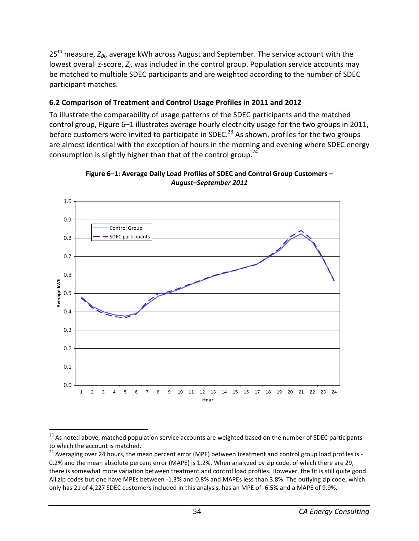25th measure, *ZBi*, average kWh across August and September. The service account with the lowest overall z-score,  $Z_i$ , was included in the control group. Population service accounts may be matched to multiple SDEC participants and are weighted according to the number of SDEC participant matches.

## **6.2 Comparison of Treatment and Control Usage Profiles in 2011 and 2012**

To illustrate the comparability of usage patterns of the SDEC participants and the matched control group, Figure 6–1 illustrates average hourly electricity usage for the two groups in 2011, before customers were invited to participate in SDEC.<sup>23</sup> As shown, profiles for the two groups are almost identical with the exception of hours in the morning and evening where SDEC energy consumption is slightly higher than that of the control group.<sup>24</sup>





<sup>.</sup> <sup>23</sup> As noted above, matched population service accounts are weighted based on the number of SDEC participants to which the account is matched.

<sup>&</sup>lt;sup>24</sup> Averaging over 24 hours, the mean percent error (MPE) between treatment and control group load profiles is -0.2% and the mean absolute percent error (MAPE) is 1.2%. When analyzed by zip code, of which there are 29, there is somewhat more variation between treatment and control load profiles. However, the fit is still quite good. All zip codes but one have MPEs between -1.3% and 0.8% and MAPEs less than 3.8%. The outlying zip code, which only has 21 of 4,227 SDEC customers included in this analysis, has an MPE of -6.5% and a MAPE of 9.9%.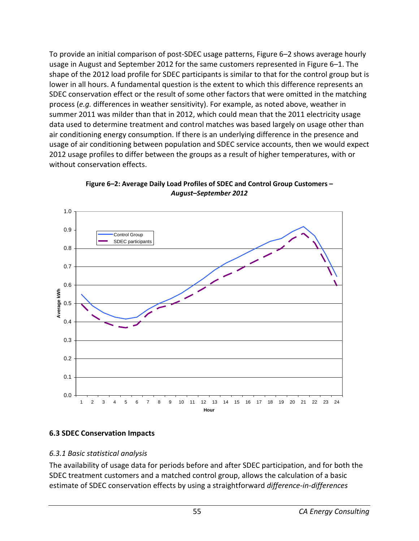To provide an initial comparison of post-SDEC usage patterns, Figure 6–2 shows average hourly usage in August and September 2012 for the same customers represented in Figure 6–1. The shape of the 2012 load profile for SDEC participants is similar to that for the control group but is lower in all hours. A fundamental question is the extent to which this difference represents an SDEC conservation effect or the result of some other factors that were omitted in the matching process (*e.g.* differences in weather sensitivity). For example, as noted above, weather in summer 2011 was milder than that in 2012, which could mean that the 2011 electricity usage data used to determine treatment and control matches was based largely on usage other than air conditioning energy consumption. If there is an underlying difference in the presence and usage of air conditioning between population and SDEC service accounts, then we would expect 2012 usage profiles to differ between the groups as a result of higher temperatures, with or without conservation effects.



**Figure 6–2: Average Daily Load Profiles of SDEC and Control Group Customers –**  *August–September 2012*

# **6.3 SDEC Conservation Impacts**

#### *6.3.1 Basic statistical analysis*

The availability of usage data for periods before and after SDEC participation, and for both the SDEC treatment customers and a matched control group, allows the calculation of a basic estimate of SDEC conservation effects by using a straightforward *difference-in-differences*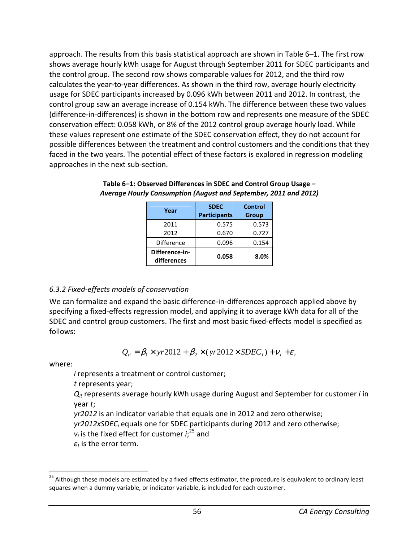approach. The results from this basis statistical approach are shown in Table 6–1. The first row shows average hourly kWh usage for August through September 2011 for SDEC participants and the control group. The second row shows comparable values for 2012, and the third row calculates the year-to-year differences. As shown in the third row, average hourly electricity usage for SDEC participants increased by 0.096 kWh between 2011 and 2012. In contrast, the control group saw an average increase of 0.154 kWh. The difference between these two values (difference-in-differences) is shown in the bottom row and represents one measure of the SDEC conservation effect: 0.058 kWh, or 8% of the 2012 control group average hourly load. While these values represent one estimate of the SDEC conservation effect, they do not account for possible differences between the treatment and control customers and the conditions that they faced in the two years. The potential effect of these factors is explored in regression modeling approaches in the next sub-section.

| Year                          | <b>SDEC</b><br><b>Participants</b> | <b>Control</b><br><b>Group</b> |
|-------------------------------|------------------------------------|--------------------------------|
| 2011                          | 0.575                              | 0.573                          |
| 2012                          | 0.670                              | 0.727                          |
| Difference                    | 0.096                              | 0.154                          |
| Difference-in-<br>differences | 0.058                              | 8.0%                           |

**Table 6–1: Observed Differences in SDEC and Control Group Usage –**  *Average Hourly Consumption (August and September, 2011 and 2012)*

# *6.3.2 Fixed-effects models of conservation*

We can formalize and expand the basic difference-in-differences approach applied above by specifying a fixed-effects regression model, and applying it to average kWh data for all of the SDEC and control group customers. The first and most basic fixed-effects model is specified as follows:

$$
Q_{ii} = \beta_1 \times yr2012 + \beta_2 \times (yr2012 \times SDEC_i) + v_i + \varepsilon_t
$$

where:

.

*i* represents a treatment or control customer;

*t* represents year;

*Qit* represents average hourly kWh usage during August and September for customer *i* in year *t*;

*yr2012* is an indicator variable that equals one in 2012 and zero otherwise;

yr2012xSDEC<sub>i</sub> equals one for SDEC participants during 2012 and zero otherwise;

 $v_i$  is the fixed effect for customer  $i_i^{25}$  and

*εt* is the error term.

<sup>&</sup>lt;sup>25</sup> Although these models are estimated by a fixed effects estimator, the procedure is equivalent to ordinary least squares when a dummy variable, or indicator variable, is included for each customer.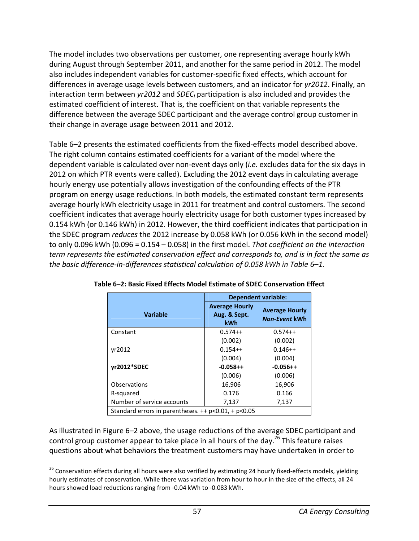The model includes two observations per customer, one representing average hourly kWh during August through September 2011, and another for the same period in 2012. The model also includes independent variables for customer-specific fixed effects, which account for differences in average usage levels between customers, and an indicator for *yr2012*. Finally, an interaction term between *yr2012* and *SDEC<sup>i</sup>* participation is also included and provides the estimated coefficient of interest. That is, the coefficient on that variable represents the difference between the average SDEC participant and the average control group customer in their change in average usage between 2011 and 2012.

Table 6–2 presents the estimated coefficients from the fixed-effects model described above. The right column contains estimated coefficients for a variant of the model where the dependent variable is calculated over non-event days only (*i.e.* excludes data for the six days in 2012 on which PTR events were called). Excluding the 2012 event days in calculating average hourly energy use potentially allows investigation of the confounding effects of the PTR program on energy usage reductions. In both models, the estimated constant term represents average hourly kWh electricity usage in 2011 for treatment and control customers. The second coefficient indicates that average hourly electricity usage for both customer types increased by 0.154 kWh (or 0.146 kWh) in 2012. However, the third coefficient indicates that participation in the SDEC program *reduces* the 2012 increase by 0.058 kWh (or 0.056 kWh in the second model) to only 0.096 kWh (0.096 = 0.154 – 0.058) in the first model. *That coefficient on the interaction term represents the estimated conservation effect and corresponds to, and is in fact the same as the basic difference-in-differences statistical calculation of 0.058 kWh in Table 6–1.*

|                                                         | <b>Dependent variable:</b>                          |                                               |  |
|---------------------------------------------------------|-----------------------------------------------------|-----------------------------------------------|--|
| <b>Variable</b>                                         | <b>Average Hourly</b><br>Aug. & Sept.<br><b>kWh</b> | <b>Average Hourly</b><br><b>Non-Event kWh</b> |  |
| Constant                                                | $0.574++$                                           | $0.574++$                                     |  |
|                                                         | (0.002)                                             | (0.002)                                       |  |
| vr2012                                                  | $0.154++$                                           | $0.146++$                                     |  |
|                                                         | (0.004)                                             | (0.004)                                       |  |
| yr2012*SDEC                                             | $-0.058++$                                          | $-0.056++$                                    |  |
|                                                         | (0.006)                                             | (0.006)                                       |  |
| Observations                                            | 16,906                                              | 16,906                                        |  |
| R-squared                                               | 0.176                                               | 0.166                                         |  |
| Number of service accounts                              | 7,137                                               | 7,137                                         |  |
| Standard errors in parentheses. $++$ p<0.01, $+$ p<0.05 |                                                     |                                               |  |

**Table 6–2: Basic Fixed Effects Model Estimate of SDEC Conservation Effect** 

As illustrated in Figure 6–2 above, the usage reductions of the average SDEC participant and control group customer appear to take place in all hours of the day. $^{26}$  This feature raises questions about what behaviors the treatment customers may have undertaken in order to

l

<sup>&</sup>lt;sup>26</sup> Conservation effects during all hours were also verified by estimating 24 hourly fixed-effects models, yielding hourly estimates of conservation. While there was variation from hour to hour in the size of the effects, all 24 hours showed load reductions ranging from -0.04 kWh to -0.083 kWh.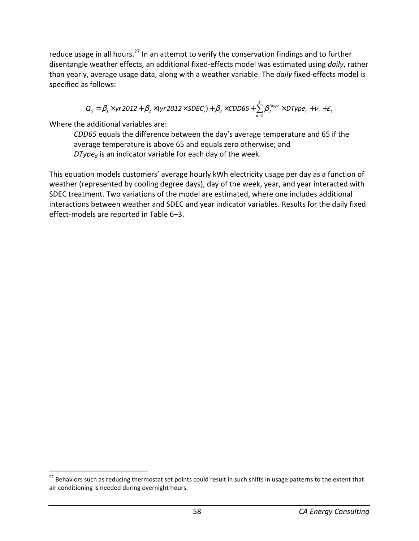reduce usage in all hours.<sup>27</sup> In an attempt to verify the conservation findings and to further disentangle weather effects, an additional fixed-effects model was estimated using *daily*, rather than yearly, average usage data, along with a weather variable. The *daily* fixed-effects model is specified as follows:

$$
Q_{ti} = \beta_1 \times yr2012 + \beta_2 \times (yr2012 \times SDEC_i) + \beta_3 \times CDD65 + \sum_{d=1}^{6} \beta_d^{Dtype} \times DType_t + v_i + \varepsilon_t
$$

Where the additional variables are:

l

*CDD65* equals the difference between the day's average temperature and 65 if the average temperature is above 65 and equals zero otherwise; and *DType<sup>d</sup>* is an indicator variable for each day of the week.

This equation models customers' average hourly kWh electricity usage per day as a function of weather (represented by cooling degree days), day of the week, year, and year interacted with SDEC treatment. Two variations of the model are estimated, where one includes additional interactions between weather and SDEC and year indicator variables. Results for the daily fixed effect-models are reported in Table 6–3.

 $27$  Behaviors such as reducing thermostat set points could result in such shifts in usage patterns to the extent that air conditioning is needed during overnight hours.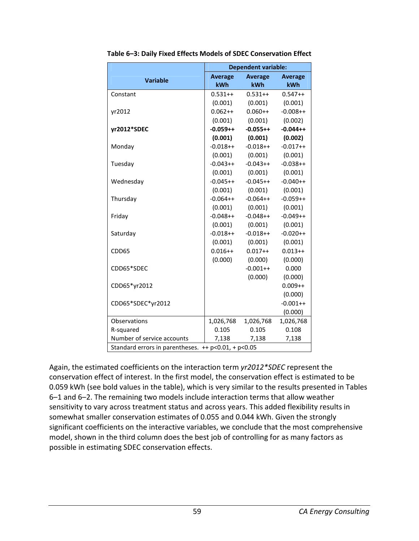|                                                     | <b>Dependent variable:</b> |            |                |
|-----------------------------------------------------|----------------------------|------------|----------------|
| <b>Variable</b>                                     | <b>Average</b>             | Average    | <b>Average</b> |
|                                                     | kWh                        | <b>kWh</b> | kWh            |
| Constant                                            | $0.531++$                  | $0.531++$  | $0.547++$      |
|                                                     | (0.001)                    | (0.001)    | (0.001)        |
| yr2012                                              | $0.062++$                  | $0.060++$  | $-0.008++$     |
|                                                     | (0.001)                    | (0.001)    | (0.002)        |
| yr2012*SDEC                                         | $-0.059++$                 | $-0.055++$ | $-0.044++$     |
|                                                     | (0.001)                    | (0.001)    | (0.002)        |
| Monday                                              | $-0.018++$                 | $-0.018++$ | $-0.017++$     |
|                                                     | (0.001)                    | (0.001)    | (0.001)        |
| Tuesday                                             | $-0.043++$                 | $-0.043++$ | $-0.038++$     |
|                                                     | (0.001)                    | (0.001)    | (0.001)        |
| Wednesday                                           | $-0.045++$                 | $-0.045++$ | $-0.040++$     |
|                                                     | (0.001)                    | (0.001)    | (0.001)        |
| Thursday                                            | $-0.064++$                 | $-0.064++$ | $-0.059++$     |
|                                                     | (0.001)                    | (0.001)    | (0.001)        |
| Friday                                              | $-0.048++$                 | $-0.048++$ | $-0.049++$     |
|                                                     | (0.001)                    | (0.001)    | (0.001)        |
| Saturday                                            | $-0.018++$                 | $-0.018++$ | $-0.020++$     |
|                                                     | (0.001)                    | (0.001)    | (0.001)        |
| CDD65                                               | $0.016++$                  | $0.017++$  | $0.013++$      |
|                                                     | (0.000)                    | (0.000)    | (0.000)        |
| CDD65*SDEC                                          |                            | $-0.001++$ | 0.000          |
|                                                     |                            | (0.000)    | (0.000)        |
| CDD65*yr2012                                        |                            |            | $0.009++$      |
|                                                     |                            |            | (0.000)        |
| CDD65*SDEC*yr2012                                   |                            |            | $-0.001++$     |
|                                                     |                            |            | (0.000)        |
| <b>Observations</b>                                 | 1,026,768                  | 1,026,768  | 1,026,768      |
| R-squared                                           | 0.105                      | 0.105      | 0.108          |
| Number of service accounts                          | 7,138                      | 7,138      | 7,138          |
| Standard errors in parentheses. ++ p<0.01, + p<0.05 |                            |            |                |

**Table 6–3: Daily Fixed Effects Models of SDEC Conservation Effect** 

Again, the estimated coefficients on the interaction term *yr2012\*SDEC* represent the conservation effect of interest. In the first model, the conservation effect is estimated to be 0.059 kWh (see bold values in the table), which is very similar to the results presented in Tables 6–1 and 6–2. The remaining two models include interaction terms that allow weather sensitivity to vary across treatment status and across years. This added flexibility results in somewhat smaller conservation estimates of 0.055 and 0.044 kWh. Given the strongly significant coefficients on the interactive variables, we conclude that the most comprehensive model, shown in the third column does the best job of controlling for as many factors as possible in estimating SDEC conservation effects.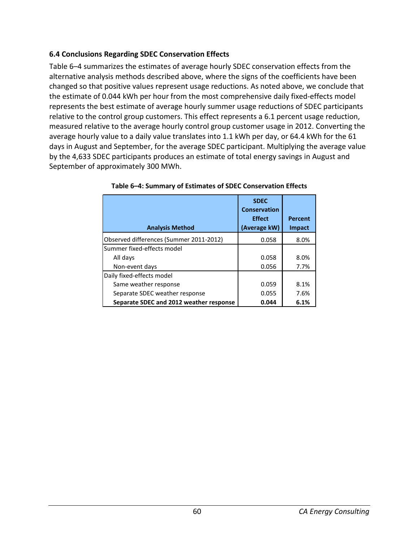### **6.4 Conclusions Regarding SDEC Conservation Effects**

Table 6–4 summarizes the estimates of average hourly SDEC conservation effects from the alternative analysis methods described above, where the signs of the coefficients have been changed so that positive values represent usage reductions. As noted above, we conclude that the estimate of 0.044 kWh per hour from the most comprehensive daily fixed-effects model represents the best estimate of average hourly summer usage reductions of SDEC participants relative to the control group customers. This effect represents a 6.1 percent usage reduction, measured relative to the average hourly control group customer usage in 2012. Converting the average hourly value to a daily value translates into 1.1 kWh per day, or 64.4 kWh for the 61 days in August and September, for the average SDEC participant. Multiplying the average value by the 4,633 SDEC participants produces an estimate of total energy savings in August and September of approximately 300 MWh.

| <b>Analysis Method</b>                  | <b>SDEC</b><br><b>Conservation</b><br><b>Effect</b><br>(Average kW) | <b>Percent</b><br>Impact |
|-----------------------------------------|---------------------------------------------------------------------|--------------------------|
| Observed differences (Summer 2011-2012) | 0.058                                                               | 8.0%                     |
| Summer fixed-effects model              |                                                                     |                          |
| All days                                | 0.058                                                               | 8.0%                     |
| Non-event days                          | 0.056                                                               | 7.7%                     |
| Daily fixed-effects model               |                                                                     |                          |
| Same weather response                   | 0.059                                                               | 8.1%                     |
| Separate SDEC weather response          | 0.055                                                               | 7.6%                     |
| Separate SDEC and 2012 weather response | 0.044                                                               | 6.1%                     |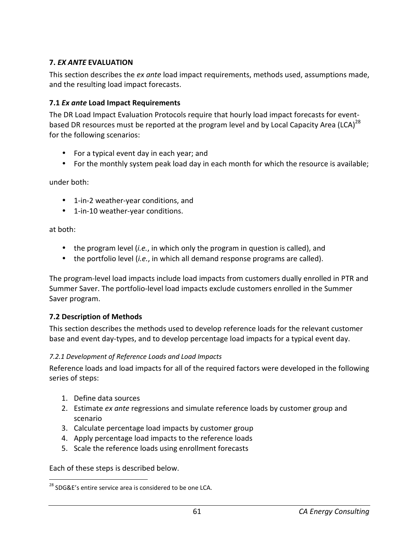### **7.** *EX ANTE* **EVALUATION**

This section describes the *ex ante* load impact requirements, methods used, assumptions made, and the resulting load impact forecasts.

### **7.1** *Ex ante* **Load Impact Requirements**

The DR Load Impact Evaluation Protocols require that hourly load impact forecasts for eventbased DR resources must be reported at the program level and by Local Capacity Area (LCA)<sup>28</sup> for the following scenarios:

- For a typical event day in each year; and
- For the monthly system peak load day in each month for which the resource is available;

under both:

- 1-in-2 weather-year conditions, and
- 1-in-10 weather-year conditions.

at both:

.

- the program level (*i.e.*, in which only the program in question is called), and
- the portfolio level (*i.e.*, in which all demand response programs are called).

The program-level load impacts include load impacts from customers dually enrolled in PTR and Summer Saver. The portfolio-level load impacts exclude customers enrolled in the Summer Saver program.

#### **7.2 Description of Methods**

This section describes the methods used to develop reference loads for the relevant customer base and event day-types, and to develop percentage load impacts for a typical event day.

#### *7.2.1 Development of Reference Loads and Load Impacts*

Reference loads and load impacts for all of the required factors were developed in the following series of steps:

- 1. Define data sources
- 2. Estimate *ex ante* regressions and simulate reference loads by customer group and scenario
- 3. Calculate percentage load impacts by customer group
- 4. Apply percentage load impacts to the reference loads
- 5. Scale the reference loads using enrollment forecasts

Each of these steps is described below.

<sup>&</sup>lt;sup>28</sup> SDG&E's entire service area is considered to be one LCA.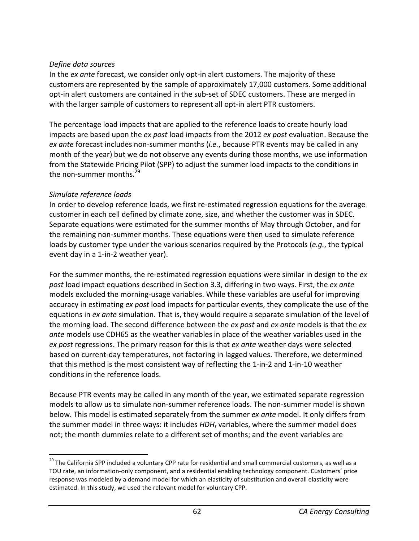#### *Define data sources*

In the *ex ante* forecast, we consider only opt-in alert customers. The majority of these customers are represented by the sample of approximately 17,000 customers. Some additional opt-in alert customers are contained in the sub-set of SDEC customers. These are merged in with the larger sample of customers to represent all opt-in alert PTR customers.

The percentage load impacts that are applied to the reference loads to create hourly load impacts are based upon the *ex post* load impacts from the 2012 *ex post* evaluation. Because the *ex ante* forecast includes non-summer months (*i.e.*, because PTR events may be called in any month of the year) but we do not observe any events during those months, we use information from the Statewide Pricing Pilot (SPP) to adjust the summer load impacts to the conditions in the non-summer months.<sup>29</sup>

### *Simulate reference loads*

.

In order to develop reference loads, we first re-estimated regression equations for the average customer in each cell defined by climate zone, size, and whether the customer was in SDEC. Separate equations were estimated for the summer months of May through October, and for the remaining non-summer months. These equations were then used to simulate reference loads by customer type under the various scenarios required by the Protocols (*e.g.*, the typical event day in a 1-in-2 weather year).

For the summer months, the re-estimated regression equations were similar in design to the *ex post* load impact equations described in Section 3.3, differing in two ways. First, the *ex ante* models excluded the morning-usage variables. While these variables are useful for improving accuracy in estimating *ex post* load impacts for particular events, they complicate the use of the equations in *ex ante* simulation. That is, they would require a separate simulation of the level of the morning load. The second difference between the *ex post* and *ex ante* models is that the *ex ante* models use CDH65 as the weather variables in place of the weather variables used in the *ex post* regressions. The primary reason for this is that *ex ante* weather days were selected based on current-day temperatures, not factoring in lagged values. Therefore, we determined that this method is the most consistent way of reflecting the 1-in-2 and 1-in-10 weather conditions in the reference loads.

Because PTR events may be called in any month of the year, we estimated separate regression models to allow us to simulate non-summer reference loads. The non-summer model is shown below. This model is estimated separately from the summer *ex ante* model. It only differs from the summer model in three ways: it includes HDH<sub>t</sub> variables, where the summer model does not; the month dummies relate to a different set of months; and the event variables are

<sup>&</sup>lt;sup>29</sup> The California SPP included a voluntary CPP rate for residential and small commercial customers, as well as a TOU rate, an information-only component, and a residential enabling technology component. Customers' price response was modeled by a demand model for which an elasticity of substitution and overall elasticity were estimated. In this study, we used the relevant model for voluntary CPP.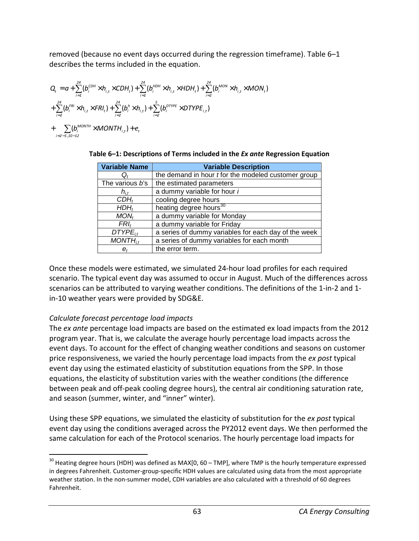removed (because no event days occurred during the regression timeframe). Table 6–1 describes the terms included in the equation.

$$
Q_{t} = a + \sum_{i=1}^{24} (b_{i}^{CDH} \times h_{i,t} \times CDH_{t}) + \sum_{i=1}^{24} (b_{i}^{HDH} \times h_{i,t} \times HDH_{t}) + \sum_{i=2}^{24} (b_{i}^{MON} \times h_{i,t} \times MON_{t})
$$
  
+ 
$$
\sum_{i=2}^{24} (b_{i}^{FRH} \times h_{i,t} \times FRI_{t}) + \sum_{i=2}^{24} (b_{i}^{h} \times h_{i,t}) + \sum_{i=2}^{5} (b_{i}^{DTVPE} \times DTYPE_{i,t})
$$
  
+ 
$$
\sum_{i=2-5,10-12} (b_{i}^{MONTH} \times MONTH_{i,t}) + e_{t}
$$

| <b>Variable Name</b> | <b>Variable Description</b>                                |
|----------------------|------------------------------------------------------------|
|                      | the demand in hour <i>t</i> for the modeled customer group |
| The various b's      | the estimated parameters                                   |
| $h_{i,t}$            | a dummy variable for hour i                                |
| $CDH_t$              | cooling degree hours                                       |
| $HDH_t$              | heating degree hours <sup>30</sup>                         |
| $MON_t$              | a dummy variable for Monday                                |
| $FRI_t$              | a dummy variable for Friday                                |
| $DTYPE_{it}$         | a series of dummy variables for each day of the week       |
| $MONTH_{i,t}$        | a series of dummy variables for each month                 |
| $e_{t}$              | the error term.                                            |

| Table 6-1: Descriptions of Terms included in the Ex ante Regression Equation |  |  |
|------------------------------------------------------------------------------|--|--|
|                                                                              |  |  |

Once these models were estimated, we simulated 24-hour load profiles for each required scenario. The typical event day was assumed to occur in August. Much of the differences across scenarios can be attributed to varying weather conditions. The definitions of the 1-in-2 and 1 in-10 weather years were provided by SDG&E.

## *Calculate forecast percentage load impacts*

l

The *ex ante* percentage load impacts are based on the estimated ex load impacts from the 2012 program year. That is, we calculate the average hourly percentage load impacts across the event days. To account for the effect of changing weather conditions and seasons on customer price responsiveness, we varied the hourly percentage load impacts from the *ex post* typical event day using the estimated elasticity of substitution equations from the SPP. In those equations, the elasticity of substitution varies with the weather conditions (the difference between peak and off-peak cooling degree hours), the central air conditioning saturation rate, and season (summer, winter, and "inner" winter).

Using these SPP equations, we simulated the elasticity of substitution for the *ex post* typical event day using the conditions averaged across the PY2012 event days. We then performed the same calculation for each of the Protocol scenarios. The hourly percentage load impacts for

<sup>&</sup>lt;sup>30</sup> Heating degree hours (HDH) was defined as MAX[0, 60 – TMP], where TMP is the hourly temperature expressed in degrees Fahrenheit. Customer-group-specific HDH values are calculated using data from the most appropriate weather station. In the non-summer model, CDH variables are also calculated with a threshold of 60 degrees Fahrenheit.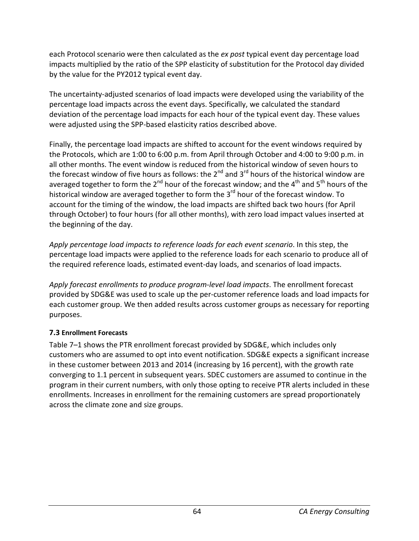each Protocol scenario were then calculated as the *ex post* typical event day percentage load impacts multiplied by the ratio of the SPP elasticity of substitution for the Protocol day divided by the value for the PY2012 typical event day.

The uncertainty-adjusted scenarios of load impacts were developed using the variability of the percentage load impacts across the event days. Specifically, we calculated the standard deviation of the percentage load impacts for each hour of the typical event day. These values were adjusted using the SPP-based elasticity ratios described above.

Finally, the percentage load impacts are shifted to account for the event windows required by the Protocols, which are 1:00 to 6:00 p.m. from April through October and 4:00 to 9:00 p.m. in all other months. The event window is reduced from the historical window of seven hours to the forecast window of five hours as follows: the  $2^{nd}$  and  $3^{rd}$  hours of the historical window are averaged together to form the  $2^{nd}$  hour of the forecast window; and the 4<sup>th</sup> and 5<sup>th</sup> hours of the historical window are averaged together to form the  $3<sup>rd</sup>$  hour of the forecast window. To account for the timing of the window, the load impacts are shifted back two hours (for April through October) to four hours (for all other months), with zero load impact values inserted at the beginning of the day.

*Apply percentage load impacts to reference loads for each event scenario*. In this step, the percentage load impacts were applied to the reference loads for each scenario to produce all of the required reference loads, estimated event-day loads, and scenarios of load impacts.

*Apply forecast enrollments to produce program-level load impacts*. The enrollment forecast provided by SDG&E was used to scale up the per-customer reference loads and load impacts for each customer group. We then added results across customer groups as necessary for reporting purposes.

## **7.3 Enrollment Forecasts**

Table 7–1 shows the PTR enrollment forecast provided by SDG&E, which includes only customers who are assumed to opt into event notification. SDG&E expects a significant increase in these customer between 2013 and 2014 (increasing by 16 percent), with the growth rate converging to 1.1 percent in subsequent years. SDEC customers are assumed to continue in the program in their current numbers, with only those opting to receive PTR alerts included in these enrollments. Increases in enrollment for the remaining customers are spread proportionately across the climate zone and size groups.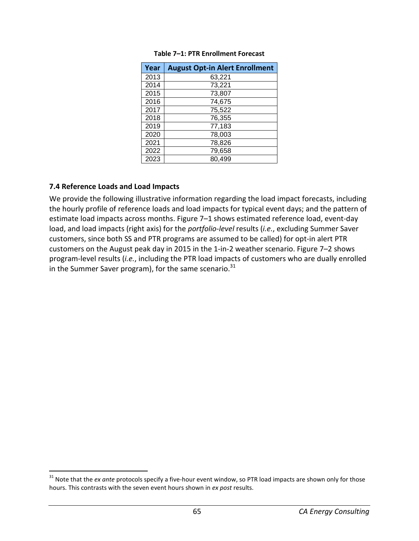| Year | <b>August Opt-in Alert Enrollment</b> |
|------|---------------------------------------|
| 2013 | 63,221                                |
| 2014 | 73,221                                |
| 2015 | 73,807                                |
| 2016 | 74,675                                |
| 2017 | 75,522                                |
| 2018 | 76,355                                |
| 2019 | 77,183                                |
| 2020 | 78,003                                |
| 2021 | 78,826                                |
| 2022 | 79,658                                |
| 2023 | 80,499                                |

#### **Table 7–1: PTR Enrollment Forecast**

#### **7.4 Reference Loads and Load Impacts**

l

We provide the following illustrative information regarding the load impact forecasts, including the hourly profile of reference loads and load impacts for typical event days; and the pattern of estimate load impacts across months. Figure 7–1 shows estimated reference load, event-day load, and load impacts (right axis) for the *portfolio-level* results (*i.e.*, excluding Summer Saver customers, since both SS and PTR programs are assumed to be called) for opt-in alert PTR customers on the August peak day in 2015 in the 1-in-2 weather scenario. Figure 7–2 shows program-level results (*i.e.*, including the PTR load impacts of customers who are dually enrolled in the Summer Saver program), for the same scenario. $31$ 

<sup>&</sup>lt;sup>31</sup> Note that the *ex ante* protocols specify a five-hour event window, so PTR load impacts are shown only for those hours. This contrasts with the seven event hours shown in *ex post* results.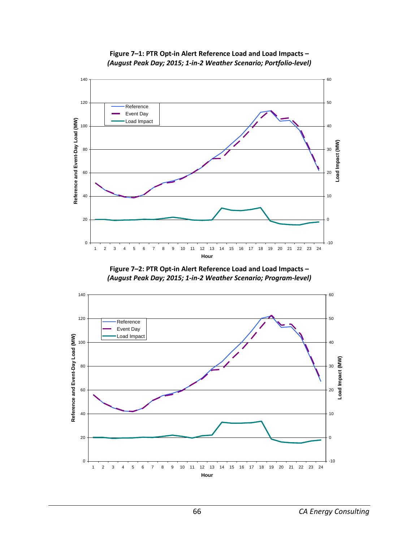

**Figure 7–1: PTR Opt-in Alert Reference Load and Load Impacts –**  *(August Peak Day; 2015; 1-in-2 Weather Scenario; Portfolio-level)*

**Figure 7–2: PTR Opt-in Alert Reference Load and Load Impacts –**  *(August Peak Day; 2015; 1-in-2 Weather Scenario; Program-level)*

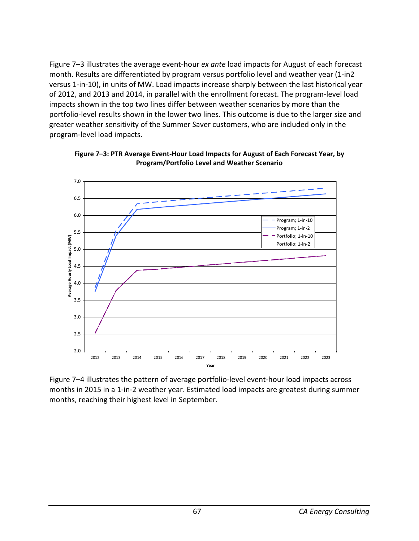Figure 7–3 illustrates the average event-hour *ex ante* load impacts for August of each forecast month. Results are differentiated by program versus portfolio level and weather year (1-in2 versus 1-in-10), in units of MW. Load impacts increase sharply between the last historical year of 2012, and 2013 and 2014, in parallel with the enrollment forecast. The program-level load impacts shown in the top two lines differ between weather scenarios by more than the portfolio-level results shown in the lower two lines. This outcome is due to the larger size and greater weather sensitivity of the Summer Saver customers, who are included only in the program-level load impacts.



**Figure 7–3: PTR Average Event-Hour Load Impacts for August of Each Forecast Year, by Program/Portfolio Level and Weather Scenario** 

Figure 7–4 illustrates the pattern of average portfolio-level event-hour load impacts across months in 2015 in a 1-in-2 weather year. Estimated load impacts are greatest during summer months, reaching their highest level in September.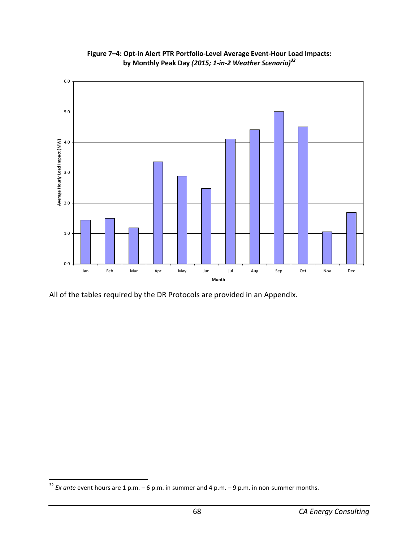

**Figure 7–4: Opt-in Alert PTR Portfolio-Level Average Event-Hour Load Impacts: by Monthly Peak Day** *(2015; 1-in-2 Weather Scenario)<sup>32</sup>*

All of the tables required by the DR Protocols are provided in an Appendix.

.

<sup>32</sup> *Ex ante* event hours are 1 p.m. – 6 p.m. in summer and 4 p.m. – 9 p.m. in non-summer months.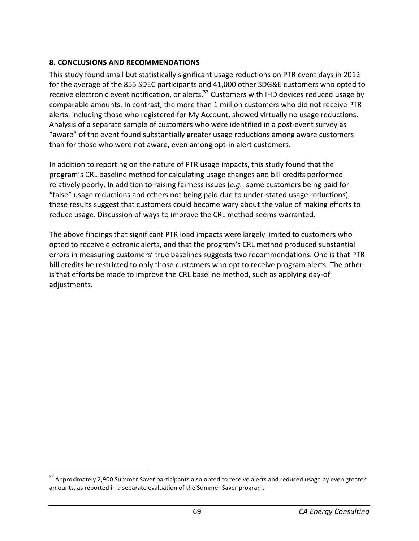## **8. CONCLUSIONS AND RECOMMENDATIONS**

This study found small but statistically significant usage reductions on PTR event days in 2012 for the average of the 855 SDEC participants and 41,000 other SDG&E customers who opted to receive electronic event notification, or alerts.<sup>33</sup> Customers with IHD devices reduced usage by comparable amounts. In contrast, the more than 1 million customers who did not receive PTR alerts, including those who registered for My Account, showed virtually no usage reductions. Analysis of a separate sample of customers who were identified in a post-event survey as "aware" of the event found substantially greater usage reductions among aware customers than for those who were not aware, even among opt-in alert customers.

In addition to reporting on the nature of PTR usage impacts, this study found that the program's CRL baseline method for calculating usage changes and bill credits performed relatively poorly. In addition to raising fairness issues (*e.g.*, some customers being paid for "false" usage reductions and others not being paid due to under-stated usage reductions), these results suggest that customers could become wary about the value of making efforts to reduce usage. Discussion of ways to improve the CRL method seems warranted.

The above findings that significant PTR load impacts were largely limited to customers who opted to receive electronic alerts, and that the program's CRL method produced substantial errors in measuring customers' true baselines suggests two recommendations. One is that PTR bill credits be restricted to only those customers who opt to receive program alerts. The other is that efforts be made to improve the CRL baseline method, such as applying day-of adjustments.

l

<sup>&</sup>lt;sup>33</sup> Approximately 2,900 Summer Saver participants also opted to receive alerts and reduced usage by even greater amounts, as reported in a separate evaluation of the Summer Saver program.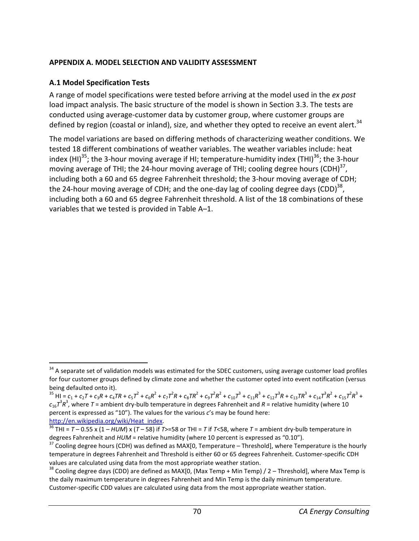#### **APPENDIX A. MODEL SELECTION AND VALIDITY ASSESSMENT**

## **A.1 Model Specification Tests**

A range of model specifications were tested before arriving at the model used in the *ex post* load impact analysis. The basic structure of the model is shown in Section 3.3. The tests are conducted using average-customer data by customer group, where customer groups are defined by region (coastal or inland), size, and whether they opted to receive an event alert.<sup>34</sup>

The model variations are based on differing methods of characterizing weather conditions. We tested 18 different combinations of weather variables. The weather variables include: heat index (HI)<sup>35</sup>; the 3-hour moving average if HI; temperature-humidity index (THI)<sup>36</sup>; the 3-hour moving average of THI; the 24-hour moving average of THI; cooling degree hours (CDH) $^{37}$ , including both a 60 and 65 degree Fahrenheit threshold; the 3-hour moving average of CDH; the 24-hour moving average of CDH; and the one-day lag of cooling degree days (CDD)<sup>38</sup>, including both a 60 and 65 degree Fahrenheit threshold. A list of the 18 combinations of these variables that we tested is provided in Table A–1.

<sup>.</sup> <sup>34</sup> A separate set of validation models was estimated for the SDEC customers, using average customer load profiles for four customer groups defined by climate zone and whether the customer opted into event notification (versus being defaulted onto it).

<sup>&</sup>lt;sup>35</sup> HI =  $c_1$  +  $c_2$ T +  $c_3$ R +  $c_4$ TR +  $c_5$ T<sup>2</sup> +  $c_6$ R<sup>2</sup> +  $c_7$ T<sup>2</sup>R +  $c_8$ TR<sup>2</sup> +  $c_9$ T<sup>2</sup>R<sup>2</sup> +  $c_{10}$ T<sup>3</sup> +  $c_{11}$ R<sup>3</sup> +  $c_{12}$ T<sup>3</sup>R +  $c_{13}$ TR<sup>3</sup> +  $c_{14}$ T<sup>3</sup>R<sup>2</sup> +  $c_{15}$ T<sup>2</sup>R<sup>3</sup> +  $c_{16}$  $7^3$  $R^3$ , where  $T$  = ambient dry-bulb temperature in degrees Fahrenheit and  $R$  = relative humidity (where 10 percent is expressed as "10"). The values for the various *c*'s may be found here: http://en.wikipedia.org/wiki/Heat\_index.

 $\frac{36}{36}$  THI =  $T - 0.55$  x (1 – HUM) x (T – 58) if T>=58 or THI = T if T<58, where T = ambient dry-bulb temperature in degrees Fahrenheit and *HUM* = relative humidity (where 10 percent is expressed as "0.10").

 $37$  Cooling degree hours (CDH) was defined as MAX[0, Temperature – Threshold], where Temperature is the hourly temperature in degrees Fahrenheit and Threshold is either 60 or 65 degrees Fahrenheit. Customer-specific CDH values are calculated using data from the most appropriate weather station.

 $38$  Cooling degree days (CDD) are defined as MAX[0, (Max Temp + Min Temp) / 2 – Threshold], where Max Temp is the daily maximum temperature in degrees Fahrenheit and Min Temp is the daily minimum temperature. Customer-specific CDD values are calculated using data from the most appropriate weather station.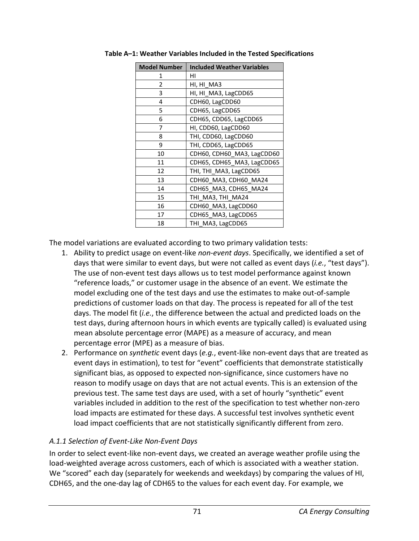| <b>Model Number</b> | <b>Included Weather Variables</b> |  |  |  |
|---------------------|-----------------------------------|--|--|--|
| 1                   | ΗI                                |  |  |  |
| 2                   | HI, HI MA3                        |  |  |  |
| 3                   | HI, HI_MA3, LagCDD65              |  |  |  |
| 4                   | CDH60, LagCDD60                   |  |  |  |
| 5                   | CDH65, LagCDD65                   |  |  |  |
| 6                   | CDH65, CDD65, LagCDD65            |  |  |  |
| 7                   | HI, CDD60, LagCDD60               |  |  |  |
| 8                   | THI, CDD60, LagCDD60              |  |  |  |
| 9                   | THI, CDD65, LagCDD65              |  |  |  |
| 10                  | CDH60, CDH60 MA3, LagCDD60        |  |  |  |
| 11                  | CDH65, CDH65_MA3, LagCDD65        |  |  |  |
| 12                  | THI, THI MA3, LagCDD65            |  |  |  |
| 13                  | CDH60_MA3, CDH60_MA24             |  |  |  |
| 14                  | CDH65 MA3, CDH65 MA24             |  |  |  |
| 15                  | THI MA3, THI MA24                 |  |  |  |
| 16                  | CDH60_MA3, LagCDD60               |  |  |  |
| 17                  | CDH65_MA3, LagCDD65               |  |  |  |
| 18                  | THI MA3, LagCDD65                 |  |  |  |

**Table A–1: Weather Variables Included in the Tested Specifications** 

The model variations are evaluated according to two primary validation tests:

- 1. Ability to predict usage on event-like *non-event days*. Specifically, we identified a set of days that were similar to event days, but were not called as event days (*i.e.*, "test days"). The use of non-event test days allows us to test model performance against known "reference loads," or customer usage in the absence of an event. We estimate the model excluding one of the test days and use the estimates to make out-of-sample predictions of customer loads on that day. The process is repeated for all of the test days. The model fit (*i.e.*, the difference between the actual and predicted loads on the test days, during afternoon hours in which events are typically called) is evaluated using mean absolute percentage error (MAPE) as a measure of accuracy, and mean percentage error (MPE) as a measure of bias.
- 2. Performance on *synthetic* event days (*e.g.*, event-like non-event days that are treated as event days in estimation), to test for "event" coefficients that demonstrate statistically significant bias, as opposed to expected non-significance, since customers have no reason to modify usage on days that are not actual events. This is an extension of the previous test. The same test days are used, with a set of hourly "synthetic" event variables included in addition to the rest of the specification to test whether non-zero load impacts are estimated for these days. A successful test involves synthetic event load impact coefficients that are not statistically significantly different from zero.

#### *A.1.1 Selection of Event-Like Non-Event Days*

In order to select event-like non-event days, we created an average weather profile using the load-weighted average across customers, each of which is associated with a weather station. We "scored" each day (separately for weekends and weekdays) by comparing the values of HI, CDH65, and the one-day lag of CDH65 to the values for each event day. For example, we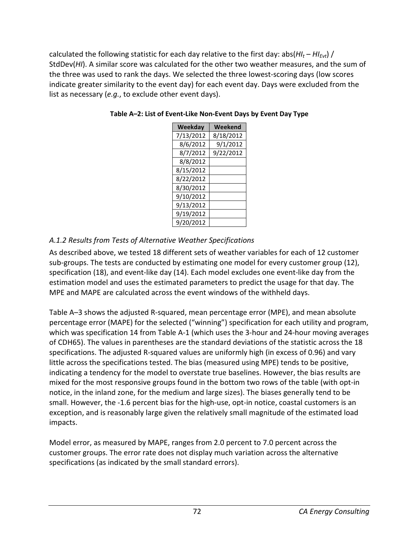calculated the following statistic for each day relative to the first day: abs(*HI<sup>t</sup>* – *HIEvt*) / StdDev(*HI*). A similar score was calculated for the other two weather measures, and the sum of the three was used to rank the days. We selected the three lowest-scoring days (low scores indicate greater similarity to the event day) for each event day. Days were excluded from the list as necessary (*e.g.*, to exclude other event days).

| Weekday   | Weekend   |
|-----------|-----------|
| 7/13/2012 | 8/18/2012 |
| 8/6/2012  | 9/1/2012  |
| 8/7/2012  | 9/22/2012 |
| 8/8/2012  |           |
| 8/15/2012 |           |
| 8/22/2012 |           |
| 8/30/2012 |           |
| 9/10/2012 |           |
| 9/13/2012 |           |
| 9/19/2012 |           |
| 9/20/2012 |           |

#### **Table A–2: List of Event-Like Non-Event Days by Event Day Type**

# *A.1.2 Results from Tests of Alternative Weather Specifications*

As described above, we tested 18 different sets of weather variables for each of 12 customer sub-groups. The tests are conducted by estimating one model for every customer group (12), specification (18), and event-like day (14). Each model excludes one event-like day from the estimation model and uses the estimated parameters to predict the usage for that day. The MPE and MAPE are calculated across the event windows of the withheld days.

Table A–3 shows the adjusted R-squared, mean percentage error (MPE), and mean absolute percentage error (MAPE) for the selected ("winning") specification for each utility and program, which was specification 14 from Table A-1 (which uses the 3-hour and 24-hour moving averages of CDH65). The values in parentheses are the standard deviations of the statistic across the 18 specifications. The adjusted R-squared values are uniformly high (in excess of 0.96) and vary little across the specifications tested. The bias (measured using MPE) tends to be positive, indicating a tendency for the model to overstate true baselines. However, the bias results are mixed for the most responsive groups found in the bottom two rows of the table (with opt-in notice, in the inland zone, for the medium and large sizes). The biases generally tend to be small. However, the -1.6 percent bias for the high-use, opt-in notice, coastal customers is an exception, and is reasonably large given the relatively small magnitude of the estimated load impacts.

Model error, as measured by MAPE, ranges from 2.0 percent to 7.0 percent across the customer groups. The error rate does not display much variation across the alternative specifications (as indicated by the small standard errors).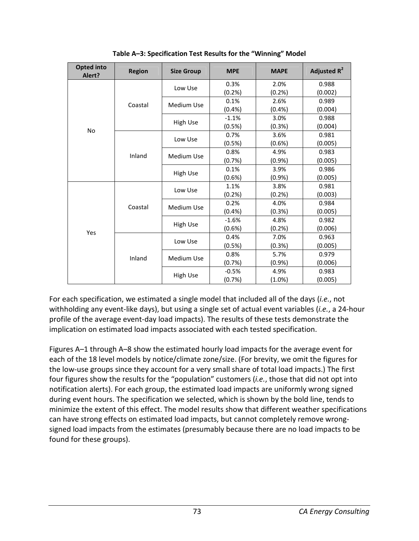| <b>Opted into</b><br>Alert? | <b>Region</b><br><b>Size Group</b> |                   | <b>MPE</b> | <b>MAPE</b> | Adjusted $R^2$ |
|-----------------------------|------------------------------------|-------------------|------------|-------------|----------------|
|                             |                                    | Low Use           | 0.3%       | 2.0%        | 0.988          |
|                             |                                    |                   | $(0.2\%)$  | (0.2%)      | (0.002)        |
|                             | Coastal                            | <b>Medium Use</b> | 0.1%       | 2.6%        | 0.989          |
|                             |                                    |                   | (0.4% )    | $(0.4\%)$   | (0.004)        |
|                             |                                    |                   | $-1.1%$    | 3.0%        | 0.988          |
| No                          |                                    | <b>High Use</b>   | (0.5%)     | (0.3%)      | (0.004)        |
|                             |                                    | Low Use           | 0.7%       | 3.6%        | 0.981          |
|                             |                                    |                   | (0.5%)     | (0.6%)      | (0.005)        |
|                             | Inland                             |                   | 0.8%       | 4.9%        | 0.983          |
|                             |                                    | <b>Medium Use</b> | (0.7%)     | $(0.9\%)$   | (0.005)        |
|                             |                                    |                   | 0.1%       | 3.9%        | 0.986          |
|                             |                                    | High Use          | $(0.6\%)$  | (0.9%       | (0.005)        |
|                             | Coastal                            | Low Use           | 1.1%       | 3.8%        | 0.981          |
|                             |                                    |                   | (0.2%      | (0.2%)      | (0.003)        |
| Yes                         |                                    | <b>Medium Use</b> | 0.2%       | 4.0%        | 0.984          |
|                             |                                    |                   | (0.4% )    | (0.3%)      | (0.005)        |
|                             |                                    | <b>High Use</b>   | $-1.6%$    | 4.8%        | 0.982          |
|                             |                                    |                   | $(0.6\%)$  | (0.2%)      | (0.006)        |
|                             | Inland                             | Low Use           | 0.4%       | 7.0%        | 0.963          |
|                             |                                    |                   | (0.5%)     | (0.3%)      | (0.005)        |
|                             |                                    | <b>Medium Use</b> | 0.8%       | 5.7%        | 0.979          |
|                             |                                    |                   | (0.7%      | (0.9%       | (0.006)        |
|                             |                                    | <b>High Use</b>   | $-0.5%$    | 4.9%        | 0.983          |
|                             |                                    |                   | (0.7%)     | $(1.0\%)$   | (0.005)        |

**Table A–3: Specification Test Results for the "Winning" Model** 

For each specification, we estimated a single model that included all of the days (*i.e.*, not withholding any event-like days), but using a single set of actual event variables (*i.e.*, a 24-hour profile of the average event-day load impacts). The results of these tests demonstrate the implication on estimated load impacts associated with each tested specification.

Figures A–1 through A–8 show the estimated hourly load impacts for the average event for each of the 18 level models by notice/climate zone/size. (For brevity, we omit the figures for the low-use groups since they account for a very small share of total load impacts.) The first four figures show the results for the "population" customers (*i.e.*, those that did not opt into notification alerts). For each group, the estimated load impacts are uniformly wrong signed during event hours. The specification we selected, which is shown by the bold line, tends to minimize the extent of this effect. The model results show that different weather specifications can have strong effects on estimated load impacts, but cannot completely remove wrongsigned load impacts from the estimates (presumably because there are no load impacts to be found for these groups).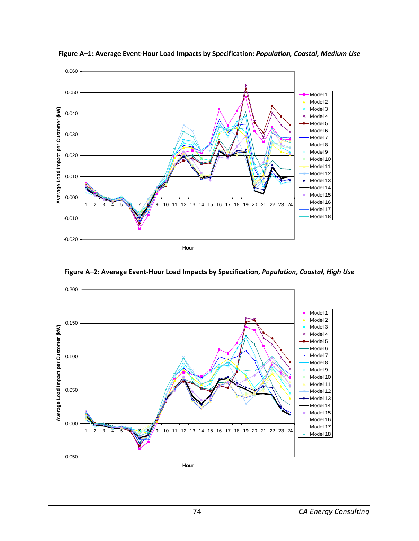

**Figure A–1: Average Event-Hour Load Impacts by Specification:** *Population, Coastal, Medium Use*

**Figure A–2: Average Event-Hour Load Impacts by Specification,** *Population, Coastal, High Use*

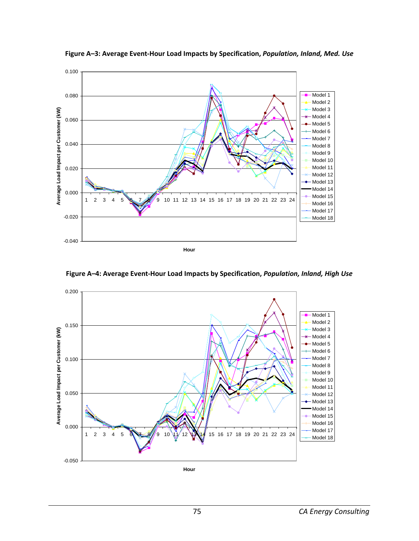

**Figure A–3: Average Event-Hour Load Impacts by Specification,** *Population, Inland, Med. Use*

**Figure A–4: Average Event-Hour Load Impacts by Specification,** *Population, Inland, High Use*

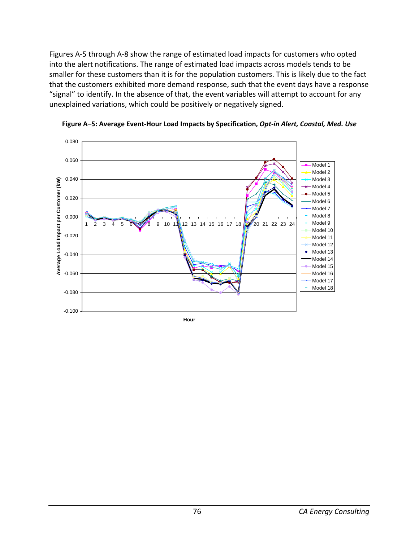Figures A-5 through A-8 show the range of estimated load impacts for customers who opted into the alert notifications. The range of estimated load impacts across models tends to be smaller for these customers than it is for the population customers. This is likely due to the fact that the customers exhibited more demand response, such that the event days have a response "signal" to identify. In the absence of that, the event variables will attempt to account for any unexplained variations, which could be positively or negatively signed.



**Figure A–5: Average Event-Hour Load Impacts by Specification,** *Opt-in Alert, Coastal, Med. Use*

**Hour**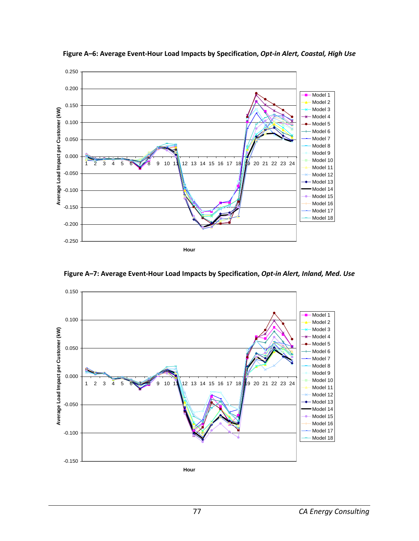

**Figure A–6: Average Event-Hour Load Impacts by Specification,** *Opt-in Alert, Coastal, High Use*

**Figure A–7: Average Event-Hour Load Impacts by Specification,** *Opt-in Alert, Inland, Med. Use*

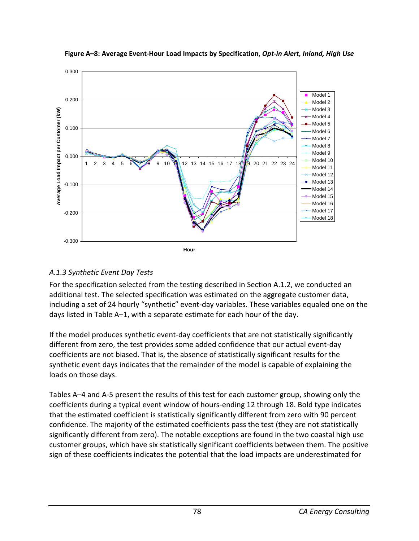

**Figure A–8: Average Event-Hour Load Impacts by Specification,** *Opt-in Alert, Inland, High Use*

## *A.1.3 Synthetic Event Day Tests*

For the specification selected from the testing described in Section A.1.2, we conducted an additional test. The selected specification was estimated on the aggregate customer data, including a set of 24 hourly "synthetic" event-day variables. These variables equaled one on the days listed in Table A–1, with a separate estimate for each hour of the day.

If the model produces synthetic event-day coefficients that are not statistically significantly different from zero, the test provides some added confidence that our actual event-day coefficients are not biased. That is, the absence of statistically significant results for the synthetic event days indicates that the remainder of the model is capable of explaining the loads on those days.

Tables A–4 and A-5 present the results of this test for each customer group, showing only the coefficients during a typical event window of hours-ending 12 through 18. Bold type indicates that the estimated coefficient is statistically significantly different from zero with 90 percent confidence. The majority of the estimated coefficients pass the test (they are not statistically significantly different from zero). The notable exceptions are found in the two coastal high use customer groups, which have six statistically significant coefficients between them. The positive sign of these coefficients indicates the potential that the load impacts are underestimated for